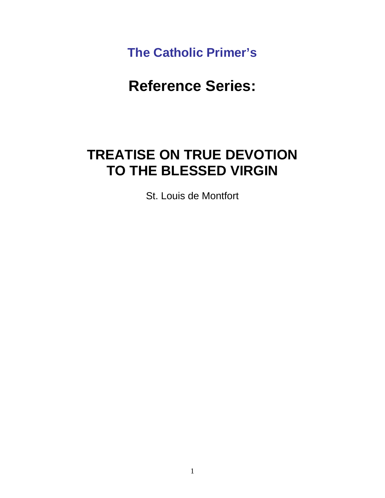**The Catholic Primer's** 

# **Reference Series:**

# **TREATISE ON TRUE DEVOTION TO THE BLESSED VIRGIN**

St. Louis de Montfort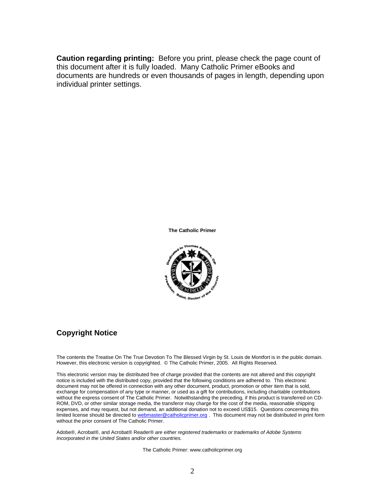**Caution regarding printing:** Before you print, please check the page count of this document after it is fully loaded. Many Catholic Primer eBooks and documents are hundreds or even thousands of pages in length, depending upon individual printer settings.

**The Catholic Primer** 



#### **Copyright Notice**

The contents the Treatise On The True Devotion To The Blessed Virgin by St. Louis de Montfort is in the public domain. However, this electronic version is copyrighted. © The Catholic Primer, 2005. All Rights Reserved.

This electronic version may be distributed free of charge provided that the contents are not altered and this copyright notice is included with the distributed copy, provided that the following conditions are adhered to. This electronic document may not be offered in connection with any other document, product, promotion or other item that is sold, exchange for compensation of any type or manner, or used as a gift for contributions, including charitable contributions without the express consent of The Catholic Primer. Notwithstanding the preceding, if this product is transferred on CD-ROM, DVD, or other similar storage media, the transferor may charge for the cost of the media, reasonable shipping expenses, and may request, but not demand, an additional donation not to exceed US\$15. Questions concerning this limited license should be directed to [webmaster@catholicprimer.org](mailto:webmaster@catholicprimer.org) . This document may not be distributed in print form without the prior consent of The Catholic Primer.

Adobe®, Acrobat®, and Acrobat® Reader® *are either registered trademarks or trademarks of Adobe Systems Incorporated in the United States and/or other countries.*

The Catholic Primer: www.catholicprimer.org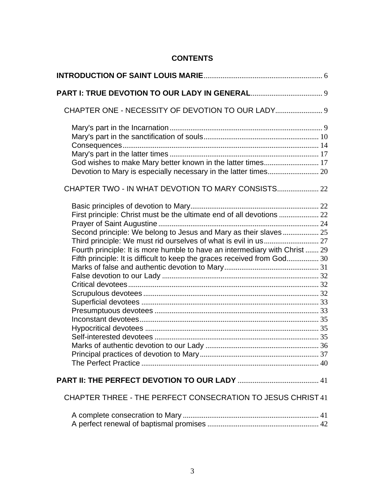| God wishes to make Mary better known in the latter times 17                 |  |
|-----------------------------------------------------------------------------|--|
|                                                                             |  |
| CHAPTER TWO - IN WHAT DEVOTION TO MARY CONSISTS 22                          |  |
|                                                                             |  |
| First principle: Christ must be the ultimate end of all devotions  22       |  |
|                                                                             |  |
| Second principle: We belong to Jesus and Mary as their slaves 25            |  |
|                                                                             |  |
| Fourth principle: It is more humble to have an intermediary with Christ  29 |  |
| Fifth principle: It is difficult to keep the graces received from God 30    |  |
|                                                                             |  |
|                                                                             |  |
|                                                                             |  |
|                                                                             |  |
|                                                                             |  |
|                                                                             |  |
|                                                                             |  |
|                                                                             |  |
|                                                                             |  |
|                                                                             |  |
|                                                                             |  |
|                                                                             |  |
| CHAPTER THREE - THE PERFECT CONSECRATION TO JESUS CHRIST 41                 |  |
|                                                                             |  |
|                                                                             |  |

# **CONTENTS**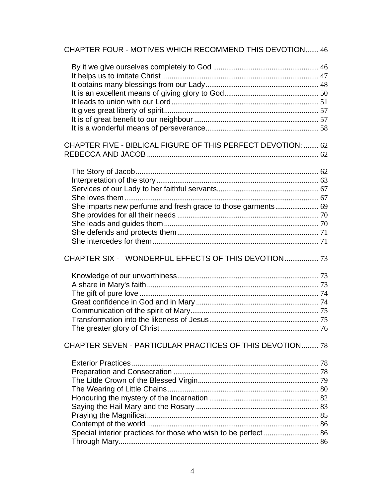| CHAPTER FIVE - BIBLICAL FIGURE OF THIS PERFECT DEVOTION:  62 |  |
|--------------------------------------------------------------|--|
|                                                              |  |
|                                                              |  |
|                                                              |  |
|                                                              |  |
|                                                              |  |
|                                                              |  |
| She imparts new perfume and fresh grace to those garments 69 |  |
|                                                              |  |
|                                                              |  |
|                                                              |  |
|                                                              |  |
| CHAPTER SIX - WONDERFUL EFFECTS OF THIS DEVOTION  73         |  |
|                                                              |  |
|                                                              |  |
|                                                              |  |
|                                                              |  |
|                                                              |  |
|                                                              |  |
|                                                              |  |
|                                                              |  |
| CHAPTER SEVEN - PARTICULAR PRACTICES OF THIS DEVOTION 78     |  |
|                                                              |  |
|                                                              |  |
|                                                              |  |
|                                                              |  |
|                                                              |  |
|                                                              |  |
|                                                              |  |
|                                                              |  |
|                                                              |  |
|                                                              |  |
|                                                              |  |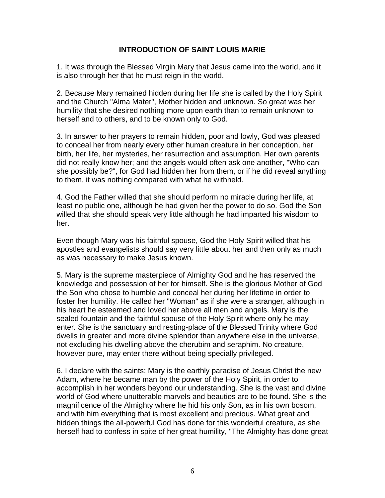### **INTRODUCTION OF SAINT LOUIS MARIE**

<span id="page-5-0"></span>1. It was through the Blessed Virgin Mary that Jesus came into the world, and it is also through her that he must reign in the world.

2. Because Mary remained hidden during her life she is called by the Holy Spirit and the Church "Alma Mater", Mother hidden and unknown. So great was her humility that she desired nothing more upon earth than to remain unknown to herself and to others, and to be known only to God.

3. In answer to her prayers to remain hidden, poor and lowly, God was pleased to conceal her from nearly every other human creature in her conception, her birth, her life, her mysteries, her resurrection and assumption. Her own parents did not really know her; and the angels would often ask one another, "Who can she possibly be?", for God had hidden her from them, or if he did reveal anything to them, it was nothing compared with what he withheld.

4. God the Father willed that she should perform no miracle during her life, at least no public one, although he had given her the power to do so. God the Son willed that she should speak very little although he had imparted his wisdom to her.

Even though Mary was his faithful spouse, God the Holy Spirit willed that his apostles and evangelists should say very little about her and then only as much as was necessary to make Jesus known.

5. Mary is the supreme masterpiece of Almighty God and he has reserved the knowledge and possession of her for himself. She is the glorious Mother of God the Son who chose to humble and conceal her during her lifetime in order to foster her humility. He called her "Woman" as if she were a stranger, although in his heart he esteemed and loved her above all men and angels. Mary is the sealed fountain and the faithful spouse of the Holy Spirit where only he may enter. She is the sanctuary and resting-place of the Blessed Trinity where God dwells in greater and more divine splendor than anywhere else in the universe, not excluding his dwelling above the cherubim and seraphim. No creature, however pure, may enter there without being specially privileged.

6. I declare with the saints: Mary is the earthly paradise of Jesus Christ the new Adam, where he became man by the power of the Holy Spirit, in order to accomplish in her wonders beyond our understanding. She is the vast and divine world of God where unutterable marvels and beauties are to be found. She is the magnificence of the Almighty where he hid his only Son, as in his own bosom, and with him everything that is most excellent and precious. What great and hidden things the all-powerful God has done for this wonderful creature, as she herself had to confess in spite of her great humility, "The Almighty has done great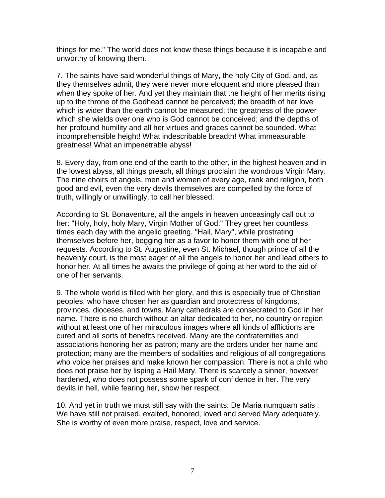things for me." The world does not know these things because it is incapable and unworthy of knowing them.

7. The saints have said wonderful things of Mary, the holy City of God, and, as they themselves admit, they were never more eloquent and more pleased than when they spoke of her. And yet they maintain that the height of her merits rising up to the throne of the Godhead cannot be perceived; the breadth of her love which is wider than the earth cannot be measured; the greatness of the power which she wields over one who is God cannot be conceived; and the depths of her profound humility and all her virtues and graces cannot be sounded. What incomprehensible height! What indescribable breadth! What immeasurable greatness! What an impenetrable abyss!

8. Every day, from one end of the earth to the other, in the highest heaven and in the lowest abyss, all things preach, all things proclaim the wondrous Virgin Mary. The nine choirs of angels, men and women of every age, rank and religion, both good and evil, even the very devils themselves are compelled by the force of truth, willingly or unwillingly, to call her blessed.

According to St. Bonaventure, all the angels in heaven unceasingly call out to her: "Holy, holy, holy Mary, Virgin Mother of God." They greet her countless times each day with the angelic greeting, "Hail, Mary", while prostrating themselves before her, begging her as a favor to honor them with one of her requests. According to St. Augustine, even St. Michael, though prince of all the heavenly court, is the most eager of all the angels to honor her and lead others to honor her. At all times he awaits the privilege of going at her word to the aid of one of her servants.

9. The whole world is filled with her glory, and this is especially true of Christian peoples, who have chosen her as guardian and protectress of kingdoms, provinces, dioceses, and towns. Many cathedrals are consecrated to God in her name. There is no church without an altar dedicated to her, no country or region without at least one of her miraculous images where all kinds of afflictions are cured and all sorts of benefits received. Many are the confraternities and associations honoring her as patron; many are the orders under her name and protection; many are the members of sodalities and religious of all congregations who voice her praises and make known her compassion. There is not a child who does not praise her by lisping a Hail Mary. There is scarcely a sinner, however hardened, who does not possess some spark of confidence in her. The very devils in hell, while fearing her, show her respect.

10. And yet in truth we must still say with the saints: De Maria numquam satis : We have still not praised, exalted, honored, loved and served Mary adequately. She is worthy of even more praise, respect, love and service.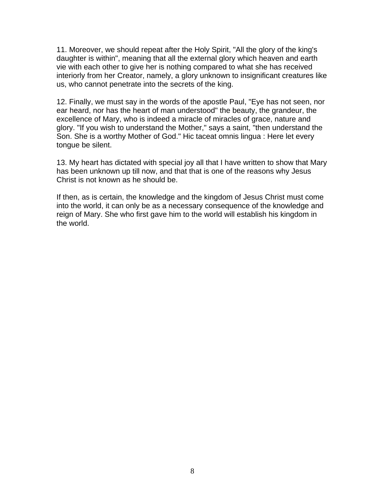11. Moreover, we should repeat after the Holy Spirit, "All the glory of the king's daughter is within", meaning that all the external glory which heaven and earth vie with each other to give her is nothing compared to what she has received interiorly from her Creator, namely, a glory unknown to insignificant creatures like us, who cannot penetrate into the secrets of the king.

12. Finally, we must say in the words of the apostle Paul, "Eye has not seen, nor ear heard, nor has the heart of man understood" the beauty, the grandeur, the excellence of Mary, who is indeed a miracle of miracles of grace, nature and glory. "If you wish to understand the Mother," says a saint, "then understand the Son. She is a worthy Mother of God." Hic taceat omnis lingua : Here let every tongue be silent.

13. My heart has dictated with special joy all that I have written to show that Mary has been unknown up till now, and that that is one of the reasons why Jesus Christ is not known as he should be.

If then, as is certain, the knowledge and the kingdom of Jesus Christ must come into the world, it can only be as a necessary consequence of the knowledge and reign of Mary. She who first gave him to the world will establish his kingdom in the world.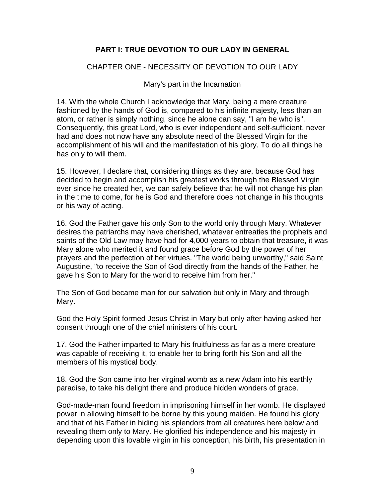# <span id="page-8-0"></span>**PART I: TRUE DEVOTION TO OUR LADY IN GENERAL**

# CHAPTER ONE - NECESSITY OF DEVOTION TO OUR LADY

Mary's part in the Incarnation

14. With the whole Church I acknowledge that Mary, being a mere creature fashioned by the hands of God is, compared to his infinite majesty, less than an atom, or rather is simply nothing, since he alone can say, "I am he who is". Consequently, this great Lord, who is ever independent and self-sufficient, never had and does not now have any absolute need of the Blessed Virgin for the accomplishment of his will and the manifestation of his glory. To do all things he has only to will them.

15. However, I declare that, considering things as they are, because God has decided to begin and accomplish his greatest works through the Blessed Virgin ever since he created her, we can safely believe that he will not change his plan in the time to come, for he is God and therefore does not change in his thoughts or his way of acting.

16. God the Father gave his only Son to the world only through Mary. Whatever desires the patriarchs may have cherished, whatever entreaties the prophets and saints of the Old Law may have had for 4,000 years to obtain that treasure, it was Mary alone who merited it and found grace before God by the power of her prayers and the perfection of her virtues. "The world being unworthy," said Saint Augustine, "to receive the Son of God directly from the hands of the Father, he gave his Son to Mary for the world to receive him from her."

The Son of God became man for our salvation but only in Mary and through Mary.

God the Holy Spirit formed Jesus Christ in Mary but only after having asked her consent through one of the chief ministers of his court.

17. God the Father imparted to Mary his fruitfulness as far as a mere creature was capable of receiving it, to enable her to bring forth his Son and all the members of his mystical body.

18. God the Son came into her virginal womb as a new Adam into his earthly paradise, to take his delight there and produce hidden wonders of grace.

God-made-man found freedom in imprisoning himself in her womb. He displayed power in allowing himself to be borne by this young maiden. He found his glory and that of his Father in hiding his splendors from all creatures here below and revealing them only to Mary. He glorified his independence and his majesty in depending upon this lovable virgin in his conception, his birth, his presentation in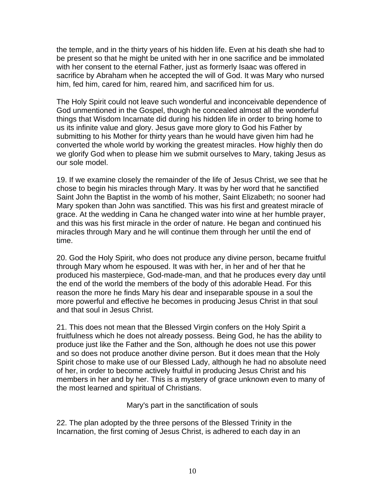<span id="page-9-0"></span>the temple, and in the thirty years of his hidden life. Even at his death she had to be present so that he might be united with her in one sacrifice and be immolated with her consent to the eternal Father, just as formerly Isaac was offered in sacrifice by Abraham when he accepted the will of God. It was Mary who nursed him, fed him, cared for him, reared him, and sacrificed him for us.

The Holy Spirit could not leave such wonderful and inconceivable dependence of God unmentioned in the Gospel, though he concealed almost all the wonderful things that Wisdom Incarnate did during his hidden life in order to bring home to us its infinite value and glory. Jesus gave more glory to God his Father by submitting to his Mother for thirty years than he would have given him had he converted the whole world by working the greatest miracles. How highly then do we glorify God when to please him we submit ourselves to Mary, taking Jesus as our sole model.

19. If we examine closely the remainder of the life of Jesus Christ, we see that he chose to begin his miracles through Mary. It was by her word that he sanctified Saint John the Baptist in the womb of his mother, Saint Elizabeth; no sooner had Mary spoken than John was sanctified. This was his first and greatest miracle of grace. At the wedding in Cana he changed water into wine at her humble prayer, and this was his first miracle in the order of nature. He began and continued his miracles through Mary and he will continue them through her until the end of time.

20. God the Holy Spirit, who does not produce any divine person, became fruitful through Mary whom he espoused. It was with her, in her and of her that he produced his masterpiece, God-made-man, and that he produces every day until the end of the world the members of the body of this adorable Head. For this reason the more he finds Mary his dear and inseparable spouse in a soul the more powerful and effective he becomes in producing Jesus Christ in that soul and that soul in Jesus Christ.

21. This does not mean that the Blessed Virgin confers on the Holy Spirit a fruitfulness which he does not already possess. Being God, he has the ability to produce just like the Father and the Son, although he does not use this power and so does not produce another divine person. But it does mean that the Holy Spirit chose to make use of our Blessed Lady, although he had no absolute need of her, in order to become actively fruitful in producing Jesus Christ and his members in her and by her. This is a mystery of grace unknown even to many of the most learned and spiritual of Christians.

Mary's part in the sanctification of souls

22. The plan adopted by the three persons of the Blessed Trinity in the Incarnation, the first coming of Jesus Christ, is adhered to each day in an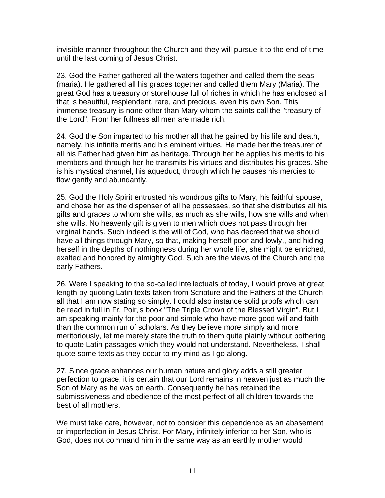invisible manner throughout the Church and they will pursue it to the end of time until the last coming of Jesus Christ.

23. God the Father gathered all the waters together and called them the seas (maria). He gathered all his graces together and called them Mary (Maria). The great God has a treasury or storehouse full of riches in which he has enclosed all that is beautiful, resplendent, rare, and precious, even his own Son. This immense treasury is none other than Mary whom the saints call the "treasury of the Lord". From her fullness all men are made rich.

24. God the Son imparted to his mother all that he gained by his life and death, namely, his infinite merits and his eminent virtues. He made her the treasurer of all his Father had given him as heritage. Through her he applies his merits to his members and through her he transmits his virtues and distributes his graces. She is his mystical channel, his aqueduct, through which he causes his mercies to flow gently and abundantly.

25. God the Holy Spirit entrusted his wondrous gifts to Mary, his faithful spouse, and chose her as the dispenser of all he possesses, so that she distributes all his gifts and graces to whom she wills, as much as she wills, how she wills and when she wills. No heavenly gift is given to men which does not pass through her virginal hands. Such indeed is the will of God, who has decreed that we should have all things through Mary, so that, making herself poor and lowly,, and hiding herself in the depths of nothingness during her whole life, she might be enriched, exalted and honored by almighty God. Such are the views of the Church and the early Fathers.

26. Were I speaking to the so-called intellectuals of today, I would prove at great length by quoting Latin texts taken from Scripture and the Fathers of the Church all that I am now stating so simply. I could also instance solid proofs which can be read in full in Fr. Poir,'s book "The Triple Crown of the Blessed Virgin". But I am speaking mainly for the poor and simple who have more good will and faith than the common run of scholars. As they believe more simply and more meritoriously, let me merely state the truth to them quite plainly without bothering to quote Latin passages which they would not understand. Nevertheless, I shall quote some texts as they occur to my mind as I go along.

27. Since grace enhances our human nature and glory adds a still greater perfection to grace, it is certain that our Lord remains in heaven just as much the Son of Mary as he was on earth. Consequently he has retained the submissiveness and obedience of the most perfect of all children towards the best of all mothers.

We must take care, however, not to consider this dependence as an abasement or imperfection in Jesus Christ. For Mary, infinitely inferior to her Son, who is God, does not command him in the same way as an earthly mother would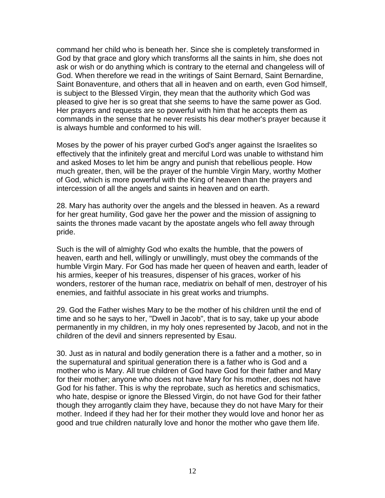command her child who is beneath her. Since she is completely transformed in God by that grace and glory which transforms all the saints in him, she does not ask or wish or do anything which is contrary to the eternal and changeless will of God. When therefore we read in the writings of Saint Bernard, Saint Bernardine, Saint Bonaventure, and others that all in heaven and on earth, even God himself, is subject to the Blessed Virgin, they mean that the authority which God was pleased to give her is so great that she seems to have the same power as God. Her prayers and requests are so powerful with him that he accepts them as commands in the sense that he never resists his dear mother's prayer because it is always humble and conformed to his will.

Moses by the power of his prayer curbed God's anger against the Israelites so effectively that the infinitely great and merciful Lord was unable to withstand him and asked Moses to let him be angry and punish that rebellious people. How much greater, then, will be the prayer of the humble Virgin Mary, worthy Mother of God, which is more powerful with the King of heaven than the prayers and intercession of all the angels and saints in heaven and on earth.

28. Mary has authority over the angels and the blessed in heaven. As a reward for her great humility, God gave her the power and the mission of assigning to saints the thrones made vacant by the apostate angels who fell away through pride.

Such is the will of almighty God who exalts the humble, that the powers of heaven, earth and hell, willingly or unwillingly, must obey the commands of the humble Virgin Mary. For God has made her queen of heaven and earth, leader of his armies, keeper of his treasures, dispenser of his graces, worker of his wonders, restorer of the human race, mediatrix on behalf of men, destroyer of his enemies, and faithful associate in his great works and triumphs.

29. God the Father wishes Mary to be the mother of his children until the end of time and so he says to her, "Dwell in Jacob", that is to say, take up your abode permanently in my children, in my holy ones represented by Jacob, and not in the children of the devil and sinners represented by Esau.

30. Just as in natural and bodily generation there is a father and a mother, so in the supernatural and spiritual generation there is a father who is God and a mother who is Mary. All true children of God have God for their father and Mary for their mother; anyone who does not have Mary for his mother, does not have God for his father. This is why the reprobate, such as heretics and schismatics, who hate, despise or ignore the Blessed Virgin, do not have God for their father though they arrogantly claim they have, because they do not have Mary for their mother. Indeed if they had her for their mother they would love and honor her as good and true children naturally love and honor the mother who gave them life.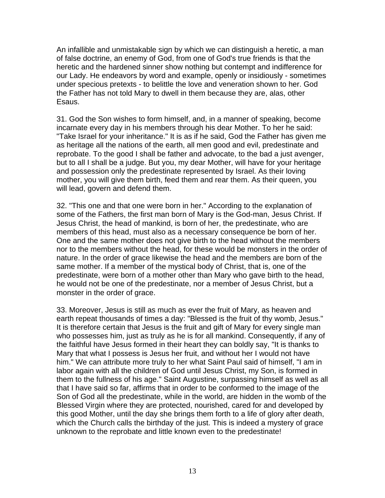An infallible and unmistakable sign by which we can distinguish a heretic, a man of false doctrine, an enemy of God, from one of God's true friends is that the heretic and the hardened sinner show nothing but contempt and indifference for our Lady. He endeavors by word and example, openly or insidiously - sometimes under specious pretexts - to belittle the love and veneration shown to her. God the Father has not told Mary to dwell in them because they are, alas, other Esaus.

31. God the Son wishes to form himself, and, in a manner of speaking, become incarnate every day in his members through his dear Mother. To her he said: "Take Israel for your inheritance." It is as if he said, God the Father has given me as heritage all the nations of the earth, all men good and evil, predestinate and reprobate. To the good I shall be father and advocate, to the bad a just avenger, but to all I shall be a judge. But you, my dear Mother, will have for your heritage and possession only the predestinate represented by Israel. As their loving mother, you will give them birth, feed them and rear them. As their queen, you will lead, govern and defend them.

32. "This one and that one were born in her." According to the explanation of some of the Fathers, the first man born of Mary is the God-man, Jesus Christ. If Jesus Christ, the head of mankind, is born of her, the predestinate, who are members of this head, must also as a necessary consequence be born of her. One and the same mother does not give birth to the head without the members nor to the members without the head, for these would be monsters in the order of nature. In the order of grace likewise the head and the members are born of the same mother. If a member of the mystical body of Christ, that is, one of the predestinate, were born of a mother other than Mary who gave birth to the head, he would not be one of the predestinate, nor a member of Jesus Christ, but a monster in the order of grace.

33. Moreover, Jesus is still as much as ever the fruit of Mary, as heaven and earth repeat thousands of times a day: "Blessed is the fruit of thy womb, Jesus." It is therefore certain that Jesus is the fruit and gift of Mary for every single man who possesses him, just as truly as he is for all mankind. Consequently, if any of the faithful have Jesus formed in their heart they can boldly say, "It is thanks to Mary that what I possess is Jesus her fruit, and without her I would not have him." We can attribute more truly to her what Saint Paul said of himself, "I am in labor again with all the children of God until Jesus Christ, my Son, is formed in them to the fullness of his age." Saint Augustine, surpassing himself as well as all that I have said so far, affirms that in order to be conformed to the image of the Son of God all the predestinate, while in the world, are hidden in the womb of the Blessed Virgin where they are protected, nourished, cared for and developed by this good Mother, until the day she brings them forth to a life of glory after death, which the Church calls the birthday of the just. This is indeed a mystery of grace unknown to the reprobate and little known even to the predestinate!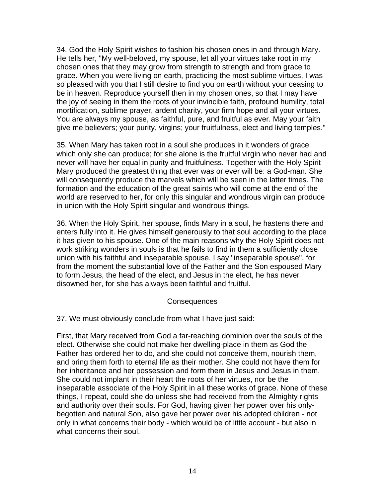<span id="page-13-0"></span>34. God the Holy Spirit wishes to fashion his chosen ones in and through Mary. He tells her, "My well-beloved, my spouse, let all your virtues take root in my chosen ones that they may grow from strength to strength and from grace to grace. When you were living on earth, practicing the most sublime virtues, I was so pleased with you that I still desire to find you on earth without your ceasing to be in heaven. Reproduce yourself then in my chosen ones, so that I may have the joy of seeing in them the roots of your invincible faith, profound humility, total mortification, sublime prayer, ardent charity, your firm hope and all your virtues. You are always my spouse, as faithful, pure, and fruitful as ever. May your faith give me believers; your purity, virgins; your fruitfulness, elect and living temples."

35. When Mary has taken root in a soul she produces in it wonders of grace which only she can produce; for she alone is the fruitful virgin who never had and never will have her equal in purity and fruitfulness. Together with the Holy Spirit Mary produced the greatest thing that ever was or ever will be: a God-man. She will consequently produce the marvels which will be seen in the latter times. The formation and the education of the great saints who will come at the end of the world are reserved to her, for only this singular and wondrous virgin can produce in union with the Holy Spirit singular and wondrous things.

36. When the Holy Spirit, her spouse, finds Mary in a soul, he hastens there and enters fully into it. He gives himself generously to that soul according to the place it has given to his spouse. One of the main reasons why the Holy Spirit does not work striking wonders in souls is that he fails to find in them a sufficiently close union with his faithful and inseparable spouse. I say "inseparable spouse", for from the moment the substantial love of the Father and the Son espoused Mary to form Jesus, the head of the elect, and Jesus in the elect, he has never disowned her, for she has always been faithful and fruitful.

#### **Consequences**

37. We must obviously conclude from what I have just said:

First, that Mary received from God a far-reaching dominion over the souls of the elect. Otherwise she could not make her dwelling-place in them as God the Father has ordered her to do, and she could not conceive them, nourish them, and bring them forth to eternal life as their mother. She could not have them for her inheritance and her possession and form them in Jesus and Jesus in them. She could not implant in their heart the roots of her virtues, nor be the inseparable associate of the Holy Spirit in all these works of grace. None of these things, I repeat, could she do unless she had received from the Almighty rights and authority over their souls. For God, having given her power over his onlybegotten and natural Son, also gave her power over his adopted children - not only in what concerns their body - which would be of little account - but also in what concerns their soul.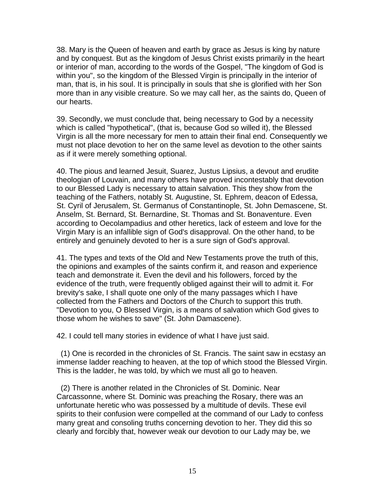38. Mary is the Queen of heaven and earth by grace as Jesus is king by nature and by conquest. But as the kingdom of Jesus Christ exists primarily in the heart or interior of man, according to the words of the Gospel, "The kingdom of God is within you", so the kingdom of the Blessed Virgin is principally in the interior of man, that is, in his soul. It is principally in souls that she is glorified with her Son more than in any visible creature. So we may call her, as the saints do, Queen of our hearts.

39. Secondly, we must conclude that, being necessary to God by a necessity which is called "hypothetical", (that is, because God so willed it), the Blessed Virgin is all the more necessary for men to attain their final end. Consequently we must not place devotion to her on the same level as devotion to the other saints as if it were merely something optional.

40. The pious and learned Jesuit, Suarez, Justus Lipsius, a devout and erudite theologian of Louvain, and many others have proved incontestably that devotion to our Blessed Lady is necessary to attain salvation. This they show from the teaching of the Fathers, notably St. Augustine, St. Ephrem, deacon of Edessa, St. Cyril of Jerusalem, St. Germanus of Constantinople, St. John Demascene, St. Anselm, St. Bernard, St. Bernardine, St. Thomas and St. Bonaventure. Even according to Oecolampadius and other heretics, lack of esteem and love for the Virgin Mary is an infallible sign of God's disapproval. On the other hand, to be entirely and genuinely devoted to her is a sure sign of God's approval.

41. The types and texts of the Old and New Testaments prove the truth of this, the opinions and examples of the saints confirm it, and reason and experience teach and demonstrate it. Even the devil and his followers, forced by the evidence of the truth, were frequently obliged against their will to admit it. For brevity's sake, I shall quote one only of the many passages which I have collected from the Fathers and Doctors of the Church to support this truth. "Devotion to you, O Blessed Virgin, is a means of salvation which God gives to those whom he wishes to save" (St. John Damascene).

42. I could tell many stories in evidence of what I have just said.

 (1) One is recorded in the chronicles of St. Francis. The saint saw in ecstasy an immense ladder reaching to heaven, at the top of which stood the Blessed Virgin. This is the ladder, he was told, by which we must all go to heaven.

 (2) There is another related in the Chronicles of St. Dominic. Near Carcassonne, where St. Dominic was preaching the Rosary, there was an unfortunate heretic who was possessed by a multitude of devils. These evil spirits to their confusion were compelled at the command of our Lady to confess many great and consoling truths concerning devotion to her. They did this so clearly and forcibly that, however weak our devotion to our Lady may be, we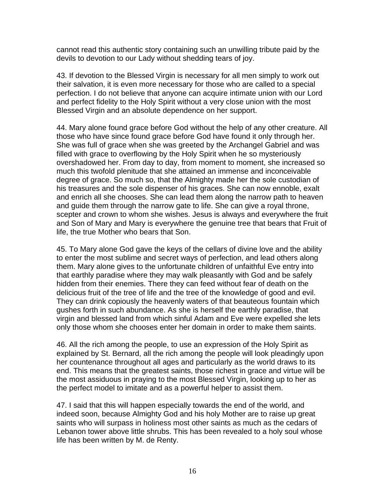cannot read this authentic story containing such an unwilling tribute paid by the devils to devotion to our Lady without shedding tears of joy.

43. If devotion to the Blessed Virgin is necessary for all men simply to work out their salvation, it is even more necessary for those who are called to a special perfection. I do not believe that anyone can acquire intimate union with our Lord and perfect fidelity to the Holy Spirit without a very close union with the most Blessed Virgin and an absolute dependence on her support.

44. Mary alone found grace before God without the help of any other creature. All those who have since found grace before God have found it only through her. She was full of grace when she was greeted by the Archangel Gabriel and was filled with grace to overflowing by the Holy Spirit when he so mysteriously overshadowed her. From day to day, from moment to moment, she increased so much this twofold plenitude that she attained an immense and inconceivable degree of grace. So much so, that the Almighty made her the sole custodian of his treasures and the sole dispenser of his graces. She can now ennoble, exalt and enrich all she chooses. She can lead them along the narrow path to heaven and guide them through the narrow gate to life. She can give a royal throne, scepter and crown to whom she wishes. Jesus is always and everywhere the fruit and Son of Mary and Mary is everywhere the genuine tree that bears that Fruit of life, the true Mother who bears that Son.

45. To Mary alone God gave the keys of the cellars of divine love and the ability to enter the most sublime and secret ways of perfection, and lead others along them. Mary alone gives to the unfortunate children of unfaithful Eve entry into that earthly paradise where they may walk pleasantly with God and be safely hidden from their enemies. There they can feed without fear of death on the delicious fruit of the tree of life and the tree of the knowledge of good and evil. They can drink copiously the heavenly waters of that beauteous fountain which gushes forth in such abundance. As she is herself the earthly paradise, that virgin and blessed land from which sinful Adam and Eve were expelled she lets only those whom she chooses enter her domain in order to make them saints.

46. All the rich among the people, to use an expression of the Holy Spirit as explained by St. Bernard, all the rich among the people will look pleadingly upon her countenance throughout all ages and particularly as the world draws to its end. This means that the greatest saints, those richest in grace and virtue will be the most assiduous in praying to the most Blessed Virgin, looking up to her as the perfect model to imitate and as a powerful helper to assist them.

47. I said that this will happen especially towards the end of the world, and indeed soon, because Almighty God and his holy Mother are to raise up great saints who will surpass in holiness most other saints as much as the cedars of Lebanon tower above little shrubs. This has been revealed to a holy soul whose life has been written by M. de Renty.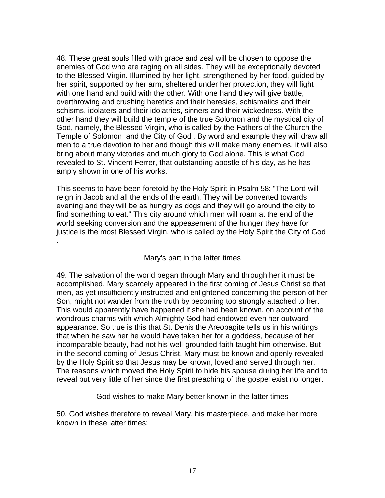<span id="page-16-0"></span>48. These great souls filled with grace and zeal will be chosen to oppose the enemies of God who are raging on all sides. They will be exceptionally devoted to the Blessed Virgin. Illumined by her light, strengthened by her food, guided by her spirit, supported by her arm, sheltered under her protection, they will fight with one hand and build with the other. With one hand they will give battle, overthrowing and crushing heretics and their heresies, schismatics and their schisms, idolaters and their idolatries, sinners and their wickedness. With the other hand they will build the temple of the true Solomon and the mystical city of God, namely, the Blessed Virgin, who is called by the Fathers of the Church the Temple of Solomon and the City of God . By word and example they will draw all men to a true devotion to her and though this will make many enemies, it will also bring about many victories and much glory to God alone. This is what God revealed to St. Vincent Ferrer, that outstanding apostle of his day, as he has amply shown in one of his works.

This seems to have been foretold by the Holy Spirit in Psalm 58: "The Lord will reign in Jacob and all the ends of the earth. They will be converted towards evening and they will be as hungry as dogs and they will go around the city to find something to eat." This city around which men will roam at the end of the world seeking conversion and the appeasement of the hunger they have for justice is the most Blessed Virgin, who is called by the Holy Spirit the City of God .

#### Mary's part in the latter times

49. The salvation of the world began through Mary and through her it must be accomplished. Mary scarcely appeared in the first coming of Jesus Christ so that men, as yet insufficiently instructed and enlightened concerning the person of her Son, might not wander from the truth by becoming too strongly attached to her. This would apparently have happened if she had been known, on account of the wondrous charms with which Almighty God had endowed even her outward appearance. So true is this that St. Denis the Areopagite tells us in his writings that when he saw her he would have taken her for a goddess, because of her incomparable beauty, had not his well-grounded faith taught him otherwise. But in the second coming of Jesus Christ, Mary must be known and openly revealed by the Holy Spirit so that Jesus may be known, loved and served through her. The reasons which moved the Holy Spirit to hide his spouse during her life and to reveal but very little of her since the first preaching of the gospel exist no longer.

God wishes to make Mary better known in the latter times

50. God wishes therefore to reveal Mary, his masterpiece, and make her more known in these latter times: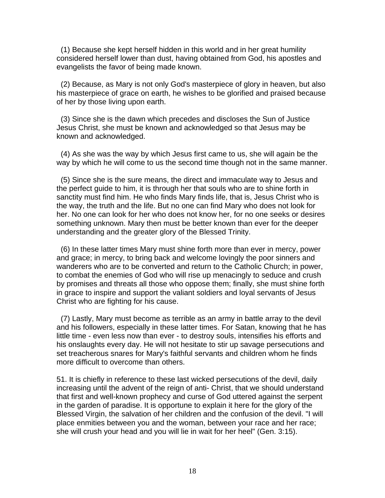(1) Because she kept herself hidden in this world and in her great humility considered herself lower than dust, having obtained from God, his apostles and evangelists the favor of being made known.

 (2) Because, as Mary is not only God's masterpiece of glory in heaven, but also his masterpiece of grace on earth, he wishes to be glorified and praised because of her by those living upon earth.

 (3) Since she is the dawn which precedes and discloses the Sun of Justice Jesus Christ, she must be known and acknowledged so that Jesus may be known and acknowledged.

 (4) As she was the way by which Jesus first came to us, she will again be the way by which he will come to us the second time though not in the same manner.

 (5) Since she is the sure means, the direct and immaculate way to Jesus and the perfect guide to him, it is through her that souls who are to shine forth in sanctity must find him. He who finds Mary finds life, that is, Jesus Christ who is the way, the truth and the life. But no one can find Mary who does not look for her. No one can look for her who does not know her, for no one seeks or desires something unknown. Mary then must be better known than ever for the deeper understanding and the greater glory of the Blessed Trinity.

 (6) In these latter times Mary must shine forth more than ever in mercy, power and grace; in mercy, to bring back and welcome lovingly the poor sinners and wanderers who are to be converted and return to the Catholic Church; in power, to combat the enemies of God who will rise up menacingly to seduce and crush by promises and threats all those who oppose them; finally, she must shine forth in grace to inspire and support the valiant soldiers and loyal servants of Jesus Christ who are fighting for his cause.

 (7) Lastly, Mary must become as terrible as an army in battle array to the devil and his followers, especially in these latter times. For Satan, knowing that he has little time - even less now than ever - to destroy souls, intensifies his efforts and his onslaughts every day. He will not hesitate to stir up savage persecutions and set treacherous snares for Mary's faithful servants and children whom he finds more difficult to overcome than others.

51. It is chiefly in reference to these last wicked persecutions of the devil, daily increasing until the advent of the reign of anti- Christ, that we should understand that first and well-known prophecy and curse of God uttered against the serpent in the garden of paradise. It is opportune to explain it here for the glory of the Blessed Virgin, the salvation of her children and the confusion of the devil. "I will place enmities between you and the woman, between your race and her race; she will crush your head and you will lie in wait for her heel" (Gen. 3:15).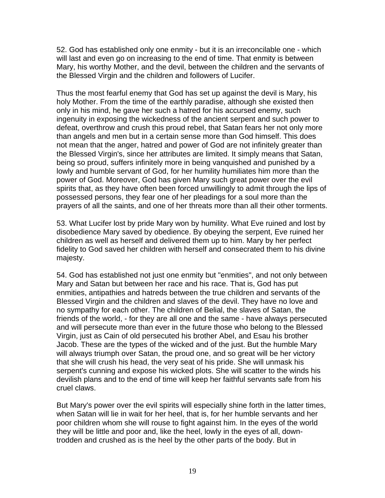52. God has established only one enmity - but it is an irreconcilable one - which will last and even go on increasing to the end of time. That enmity is between Mary, his worthy Mother, and the devil, between the children and the servants of the Blessed Virgin and the children and followers of Lucifer.

Thus the most fearful enemy that God has set up against the devil is Mary, his holy Mother. From the time of the earthly paradise, although she existed then only in his mind, he gave her such a hatred for his accursed enemy, such ingenuity in exposing the wickedness of the ancient serpent and such power to defeat, overthrow and crush this proud rebel, that Satan fears her not only more than angels and men but in a certain sense more than God himself. This does not mean that the anger, hatred and power of God are not infinitely greater than the Blessed Virgin's, since her attributes are limited. It simply means that Satan, being so proud, suffers infinitely more in being vanquished and punished by a lowly and humble servant of God, for her humility humiliates him more than the power of God. Moreover, God has given Mary such great power over the evil spirits that, as they have often been forced unwillingly to admit through the lips of possessed persons, they fear one of her pleadings for a soul more than the prayers of all the saints, and one of her threats more than all their other torments.

53. What Lucifer lost by pride Mary won by humility. What Eve ruined and lost by disobedience Mary saved by obedience. By obeying the serpent, Eve ruined her children as well as herself and delivered them up to him. Mary by her perfect fidelity to God saved her children with herself and consecrated them to his divine majesty.

54. God has established not just one enmity but "enmities", and not only between Mary and Satan but between her race and his race. That is, God has put enmities, antipathies and hatreds between the true children and servants of the Blessed Virgin and the children and slaves of the devil. They have no love and no sympathy for each other. The children of Belial, the slaves of Satan, the friends of the world, - for they are all one and the same - have always persecuted and will persecute more than ever in the future those who belong to the Blessed Virgin, just as Cain of old persecuted his brother Abel, and Esau his brother Jacob. These are the types of the wicked and of the just. But the humble Mary will always triumph over Satan, the proud one, and so great will be her victory that she will crush his head, the very seat of his pride. She will unmask his serpent's cunning and expose his wicked plots. She will scatter to the winds his devilish plans and to the end of time will keep her faithful servants safe from his cruel claws.

But Mary's power over the evil spirits will especially shine forth in the latter times, when Satan will lie in wait for her heel, that is, for her humble servants and her poor children whom she will rouse to fight against him. In the eyes of the world they will be little and poor and, like the heel, lowly in the eyes of all, downtrodden and crushed as is the heel by the other parts of the body. But in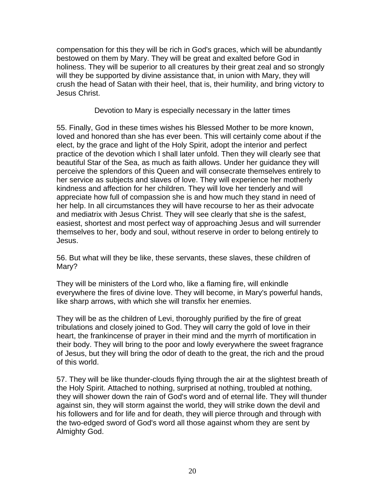<span id="page-19-0"></span>compensation for this they will be rich in God's graces, which will be abundantly bestowed on them by Mary. They will be great and exalted before God in holiness. They will be superior to all creatures by their great zeal and so strongly will they be supported by divine assistance that, in union with Mary, they will crush the head of Satan with their heel, that is, their humility, and bring victory to Jesus Christ.

Devotion to Mary is especially necessary in the latter times

55. Finally, God in these times wishes his Blessed Mother to be more known, loved and honored than she has ever been. This will certainly come about if the elect, by the grace and light of the Holy Spirit, adopt the interior and perfect practice of the devotion which I shall later unfold. Then they will clearly see that beautiful Star of the Sea, as much as faith allows. Under her guidance they will perceive the splendors of this Queen and will consecrate themselves entirely to her service as subjects and slaves of love. They will experience her motherly kindness and affection for her children. They will love her tenderly and will appreciate how full of compassion she is and how much they stand in need of her help. In all circumstances they will have recourse to her as their advocate and mediatrix with Jesus Christ. They will see clearly that she is the safest, easiest, shortest and most perfect way of approaching Jesus and will surrender themselves to her, body and soul, without reserve in order to belong entirely to Jesus.

56. But what will they be like, these servants, these slaves, these children of Mary?

They will be ministers of the Lord who, like a flaming fire, will enkindle everywhere the fires of divine love. They will become, in Mary's powerful hands, like sharp arrows, with which she will transfix her enemies.

They will be as the children of Levi, thoroughly purified by the fire of great tribulations and closely joined to God. They will carry the gold of love in their heart, the frankincense of prayer in their mind and the myrrh of mortification in their body. They will bring to the poor and lowly everywhere the sweet fragrance of Jesus, but they will bring the odor of death to the great, the rich and the proud of this world.

57. They will be like thunder-clouds flying through the air at the slightest breath of the Holy Spirit. Attached to nothing, surprised at nothing, troubled at nothing, they will shower down the rain of God's word and of eternal life. They will thunder against sin, they will storm against the world, they will strike down the devil and his followers and for life and for death, they will pierce through and through with the two-edged sword of God's word all those against whom they are sent by Almighty God.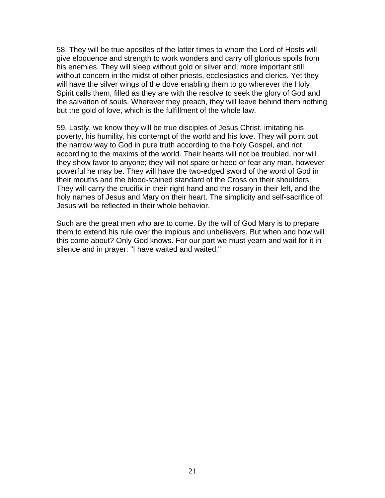58. They will be true apostles of the latter times to whom the Lord of Hosts will give eloquence and strength to work wonders and carry off glorious spoils from his enemies. They will sleep without gold or silver and, more important still, without concern in the midst of other priests, ecclesiastics and clerics. Yet they will have the silver wings of the dove enabling them to go wherever the Holy Spirit calls them, filled as they are with the resolve to seek the glory of God and the salvation of souls. Wherever they preach, they will leave behind them nothing but the gold of love, which is the fulfillment of the whole law.

59. Lastly, we know they will be true disciples of Jesus Christ, imitating his poverty, his humility, his contempt of the world and his love. They will point out the narrow way to God in pure truth according to the holy Gospel, and not according to the maxims of the world. Their hearts will not be troubled, nor will they show favor to anyone; they will not spare or heed or fear any man, however powerful he may be. They will have the two-edged sword of the word of God in their mouths and the blood-stained standard of the Cross on their shoulders. They will carry the crucifix in their right hand and the rosary in their left, and the holy names of Jesus and Mary on their heart. The simplicity and self-sacrifice of Jesus will be reflected in their whole behavior.

Such are the great men who are to come. By the will of God Mary is to prepare them to extend his rule over the impious and unbelievers. But when and how will this come about? Only God knows. For our part we must yearn and wait for it in silence and in prayer: "I have waited and waited."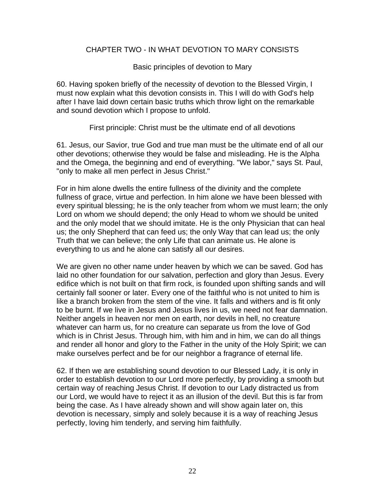## <span id="page-21-0"></span>CHAPTER TWO - IN WHAT DEVOTION TO MARY CONSISTS

Basic principles of devotion to Mary

60. Having spoken briefly of the necessity of devotion to the Blessed Virgin, I must now explain what this devotion consists in. This I will do with God's help after I have laid down certain basic truths which throw light on the remarkable and sound devotion which I propose to unfold.

First principle: Christ must be the ultimate end of all devotions

61. Jesus, our Savior, true God and true man must be the ultimate end of all our other devotions; otherwise they would be false and misleading. He is the Alpha and the Omega, the beginning and end of everything. "We labor," says St. Paul, "only to make all men perfect in Jesus Christ."

For in him alone dwells the entire fullness of the divinity and the complete fullness of grace, virtue and perfection. In him alone we have been blessed with every spiritual blessing; he is the only teacher from whom we must learn; the only Lord on whom we should depend; the only Head to whom we should be united and the only model that we should imitate. He is the only Physician that can heal us; the only Shepherd that can feed us; the only Way that can lead us; the only Truth that we can believe; the only Life that can animate us. He alone is everything to us and he alone can satisfy all our desires.

We are given no other name under heaven by which we can be saved. God has laid no other foundation for our salvation, perfection and glory than Jesus. Every edifice which is not built on that firm rock, is founded upon shifting sands and will certainly fall sooner or later. Every one of the faithful who is not united to him is like a branch broken from the stem of the vine. It falls and withers and is fit only to be burnt. If we live in Jesus and Jesus lives in us, we need not fear damnation. Neither angels in heaven nor men on earth, nor devils in hell, no creature whatever can harm us, for no creature can separate us from the love of God which is in Christ Jesus. Through him, with him and in him, we can do all things and render all honor and glory to the Father in the unity of the Holy Spirit; we can make ourselves perfect and be for our neighbor a fragrance of eternal life.

62. If then we are establishing sound devotion to our Blessed Lady, it is only in order to establish devotion to our Lord more perfectly, by providing a smooth but certain way of reaching Jesus Christ. If devotion to our Lady distracted us from our Lord, we would have to reject it as an illusion of the devil. But this is far from being the case. As I have already shown and will show again later on, this devotion is necessary, simply and solely because it is a way of reaching Jesus perfectly, loving him tenderly, and serving him faithfully.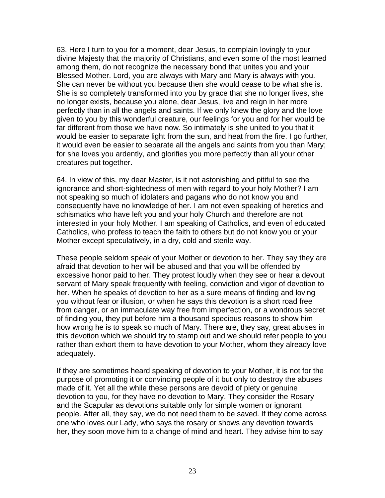63. Here I turn to you for a moment, dear Jesus, to complain lovingly to your divine Majesty that the majority of Christians, and even some of the most learned among them, do not recognize the necessary bond that unites you and your Blessed Mother. Lord, you are always with Mary and Mary is always with you. She can never be without you because then she would cease to be what she is. She is so completely transformed into you by grace that she no longer lives, she no longer exists, because you alone, dear Jesus, live and reign in her more perfectly than in all the angels and saints. If we only knew the glory and the love given to you by this wonderful creature, our feelings for you and for her would be far different from those we have now. So intimately is she united to you that it would be easier to separate light from the sun, and heat from the fire. I go further, it would even be easier to separate all the angels and saints from you than Mary; for she loves you ardently, and glorifies you more perfectly than all your other creatures put together.

64. In view of this, my dear Master, is it not astonishing and pitiful to see the ignorance and short-sightedness of men with regard to your holy Mother? I am not speaking so much of idolaters and pagans who do not know you and consequently have no knowledge of her. I am not even speaking of heretics and schismatics who have left you and your holy Church and therefore are not interested in your holy Mother. I am speaking of Catholics, and even of educated Catholics, who profess to teach the faith to others but do not know you or your Mother except speculatively, in a dry, cold and sterile way.

These people seldom speak of your Mother or devotion to her. They say they are afraid that devotion to her will be abused and that you will be offended by excessive honor paid to her. They protest loudly when they see or hear a devout servant of Mary speak frequently with feeling, conviction and vigor of devotion to her. When he speaks of devotion to her as a sure means of finding and loving you without fear or illusion, or when he says this devotion is a short road free from danger, or an immaculate way free from imperfection, or a wondrous secret of finding you, they put before him a thousand specious reasons to show him how wrong he is to speak so much of Mary. There are, they say, great abuses in this devotion which we should try to stamp out and we should refer people to you rather than exhort them to have devotion to your Mother, whom they already love adequately.

If they are sometimes heard speaking of devotion to your Mother, it is not for the purpose of promoting it or convincing people of it but only to destroy the abuses made of it. Yet all the while these persons are devoid of piety or genuine devotion to you, for they have no devotion to Mary. They consider the Rosary and the Scapular as devotions suitable only for simple women or ignorant people. After all, they say, we do not need them to be saved. If they come across one who loves our Lady, who says the rosary or shows any devotion towards her, they soon move him to a change of mind and heart. They advise him to say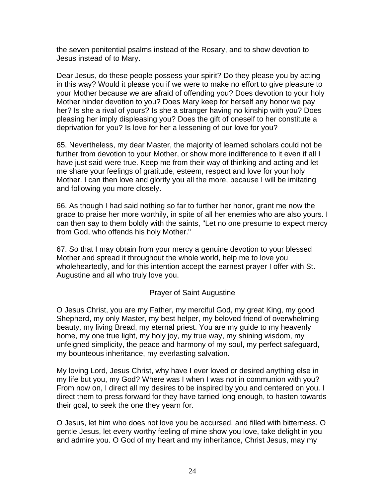<span id="page-23-0"></span>the seven penitential psalms instead of the Rosary, and to show devotion to Jesus instead of to Mary.

Dear Jesus, do these people possess your spirit? Do they please you by acting in this way? Would it please you if we were to make no effort to give pleasure to your Mother because we are afraid of offending you? Does devotion to your holy Mother hinder devotion to you? Does Mary keep for herself any honor we pay her? Is she a rival of yours? Is she a stranger having no kinship with you? Does pleasing her imply displeasing you? Does the gift of oneself to her constitute a deprivation for you? Is love for her a lessening of our love for you?

65. Nevertheless, my dear Master, the majority of learned scholars could not be further from devotion to your Mother, or show more indifference to it even if all I have just said were true. Keep me from their way of thinking and acting and let me share your feelings of gratitude, esteem, respect and love for your holy Mother. I can then love and glorify you all the more, because I will be imitating and following you more closely.

66. As though I had said nothing so far to further her honor, grant me now the grace to praise her more worthily, in spite of all her enemies who are also yours. I can then say to them boldly with the saints, "Let no one presume to expect mercy from God, who offends his holy Mother."

67. So that I may obtain from your mercy a genuine devotion to your blessed Mother and spread it throughout the whole world, help me to love you wholeheartedly, and for this intention accept the earnest prayer I offer with St. Augustine and all who truly love you.

#### Prayer of Saint Augustine

O Jesus Christ, you are my Father, my merciful God, my great King, my good Shepherd, my only Master, my best helper, my beloved friend of overwhelming beauty, my living Bread, my eternal priest. You are my guide to my heavenly home, my one true light, my holy joy, my true way, my shining wisdom, my unfeigned simplicity, the peace and harmony of my soul, my perfect safeguard, my bounteous inheritance, my everlasting salvation.

My loving Lord, Jesus Christ, why have I ever loved or desired anything else in my life but you, my God? Where was I when I was not in communion with you? From now on, I direct all my desires to be inspired by you and centered on you. I direct them to press forward for they have tarried long enough, to hasten towards their goal, to seek the one they yearn for.

O Jesus, let him who does not love you be accursed, and filled with bitterness. O gentle Jesus, let every worthy feeling of mine show you love, take delight in you and admire you. O God of my heart and my inheritance, Christ Jesus, may my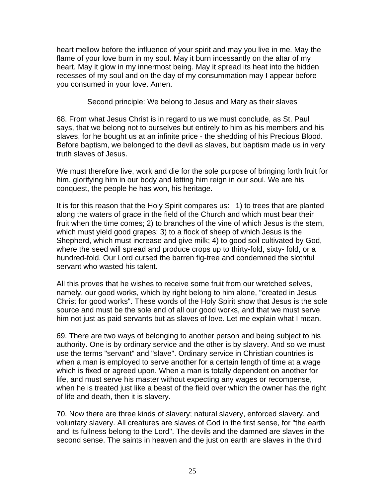<span id="page-24-0"></span>heart mellow before the influence of your spirit and may you live in me. May the flame of your love burn in my soul. May it burn incessantly on the altar of my heart. May it glow in my innermost being. May it spread its heat into the hidden recesses of my soul and on the day of my consummation may I appear before you consumed in your love. Amen.

Second principle: We belong to Jesus and Mary as their slaves

68. From what Jesus Christ is in regard to us we must conclude, as St. Paul says, that we belong not to ourselves but entirely to him as his members and his slaves, for he bought us at an infinite price - the shedding of his Precious Blood. Before baptism, we belonged to the devil as slaves, but baptism made us in very truth slaves of Jesus.

We must therefore live, work and die for the sole purpose of bringing forth fruit for him, glorifying him in our body and letting him reign in our soul. We are his conquest, the people he has won, his heritage.

It is for this reason that the Holy Spirit compares us: 1) to trees that are planted along the waters of grace in the field of the Church and which must bear their fruit when the time comes; 2) to branches of the vine of which Jesus is the stem, which must yield good grapes; 3) to a flock of sheep of which Jesus is the Shepherd, which must increase and give milk; 4) to good soil cultivated by God, where the seed will spread and produce crops up to thirty-fold, sixty- fold, or a hundred-fold. Our Lord cursed the barren fig-tree and condemned the slothful servant who wasted his talent.

All this proves that he wishes to receive some fruit from our wretched selves, namely, our good works, which by right belong to him alone, "created in Jesus Christ for good works". These words of the Holy Spirit show that Jesus is the sole source and must be the sole end of all our good works, and that we must serve him not just as paid servants but as slaves of love. Let me explain what I mean.

69. There are two ways of belonging to another person and being subject to his authority. One is by ordinary service and the other is by slavery. And so we must use the terms "servant" and "slave". Ordinary service in Christian countries is when a man is employed to serve another for a certain length of time at a wage which is fixed or agreed upon. When a man is totally dependent on another for life, and must serve his master without expecting any wages or recompense, when he is treated just like a beast of the field over which the owner has the right of life and death, then it is slavery.

70. Now there are three kinds of slavery; natural slavery, enforced slavery, and voluntary slavery. All creatures are slaves of God in the first sense, for "the earth and its fullness belong to the Lord". The devils and the damned are slaves in the second sense. The saints in heaven and the just on earth are slaves in the third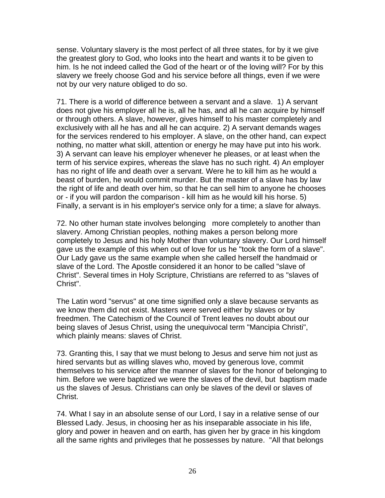sense. Voluntary slavery is the most perfect of all three states, for by it we give the greatest glory to God, who looks into the heart and wants it to be given to him. Is he not indeed called the God of the heart or of the loving will? For by this slavery we freely choose God and his service before all things, even if we were not by our very nature obliged to do so.

71. There is a world of difference between a servant and a slave. 1) A servant does not give his employer all he is, all he has, and all he can acquire by himself or through others. A slave, however, gives himself to his master completely and exclusively with all he has and all he can acquire. 2) A servant demands wages for the services rendered to his employer. A slave, on the other hand, can expect nothing, no matter what skill, attention or energy he may have put into his work. 3) A servant can leave his employer whenever he pleases, or at least when the term of his service expires, whereas the slave has no such right. 4) An employer has no right of life and death over a servant. Were he to kill him as he would a beast of burden, he would commit murder. But the master of a slave has by law the right of life and death over him, so that he can sell him to anyone he chooses or - if you will pardon the comparison - kill him as he would kill his horse. 5) Finally, a servant is in his employer's service only for a time; a slave for always.

72. No other human state involves belonging more completely to another than slavery. Among Christian peoples, nothing makes a person belong more completely to Jesus and his holy Mother than voluntary slavery. Our Lord himself gave us the example of this when out of love for us he "took the form of a slave". Our Lady gave us the same example when she called herself the handmaid or slave of the Lord. The Apostle considered it an honor to be called "slave of Christ". Several times in Holy Scripture, Christians are referred to as "slaves of Christ".

The Latin word "servus" at one time signified only a slave because servants as we know them did not exist. Masters were served either by slaves or by freedmen. The Catechism of the Council of Trent leaves no doubt about our being slaves of Jesus Christ, using the unequivocal term "Mancipia Christi", which plainly means: slaves of Christ.

73. Granting this, I say that we must belong to Jesus and serve him not just as hired servants but as willing slaves who, moved by generous love, commit themselves to his service after the manner of slaves for the honor of belonging to him. Before we were baptized we were the slaves of the devil, but baptism made us the slaves of Jesus. Christians can only be slaves of the devil or slaves of Christ.

74. What I say in an absolute sense of our Lord, I say in a relative sense of our Blessed Lady. Jesus, in choosing her as his inseparable associate in his life, glory and power in heaven and on earth, has given her by grace in his kingdom all the same rights and privileges that he possesses by nature. "All that belongs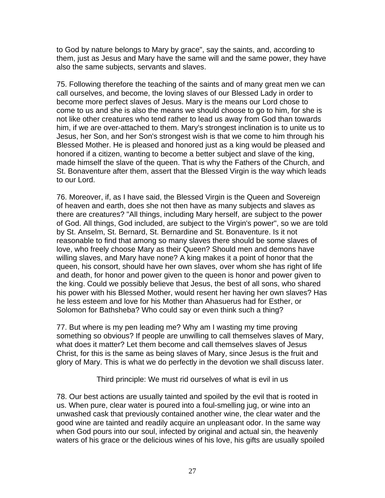<span id="page-26-0"></span>to God by nature belongs to Mary by grace", say the saints, and, according to them, just as Jesus and Mary have the same will and the same power, they have also the same subjects, servants and slaves.

75. Following therefore the teaching of the saints and of many great men we can call ourselves, and become, the loving slaves of our Blessed Lady in order to become more perfect slaves of Jesus. Mary is the means our Lord chose to come to us and she is also the means we should choose to go to him, for she is not like other creatures who tend rather to lead us away from God than towards him, if we are over-attached to them. Mary's strongest inclination is to unite us to Jesus, her Son, and her Son's strongest wish is that we come to him through his Blessed Mother. He is pleased and honored just as a king would be pleased and honored if a citizen, wanting to become a better subject and slave of the king, made himself the slave of the queen. That is why the Fathers of the Church, and St. Bonaventure after them, assert that the Blessed Virgin is the way which leads to our Lord.

76. Moreover, if, as I have said, the Blessed Virgin is the Queen and Sovereign of heaven and earth, does she not then have as many subjects and slaves as there are creatures? "All things, including Mary herself, are subject to the power of God. All things, God included, are subject to the Virgin's power", so we are told by St. Anselm, St. Bernard, St. Bernardine and St. Bonaventure. Is it not reasonable to find that among so many slaves there should be some slaves of love, who freely choose Mary as their Queen? Should men and demons have willing slaves, and Mary have none? A king makes it a point of honor that the queen, his consort, should have her own slaves, over whom she has right of life and death, for honor and power given to the queen is honor and power given to the king. Could we possibly believe that Jesus, the best of all sons, who shared his power with his Blessed Mother, would resent her having her own slaves? Has he less esteem and love for his Mother than Ahasuerus had for Esther, or Solomon for Bathsheba? Who could say or even think such a thing?

77. But where is my pen leading me? Why am I wasting my time proving something so obvious? If people are unwilling to call themselves slaves of Mary, what does it matter? Let them become and call themselves slaves of Jesus Christ, for this is the same as being slaves of Mary, since Jesus is the fruit and glory of Mary. This is what we do perfectly in the devotion we shall discuss later.

Third principle: We must rid ourselves of what is evil in us

78. Our best actions are usually tainted and spoiled by the evil that is rooted in us. When pure, clear water is poured into a foul-smelling jug, or wine into an unwashed cask that previously contained another wine, the clear water and the good wine are tainted and readily acquire an unpleasant odor. In the same way when God pours into our soul, infected by original and actual sin, the heavenly waters of his grace or the delicious wines of his love, his gifts are usually spoiled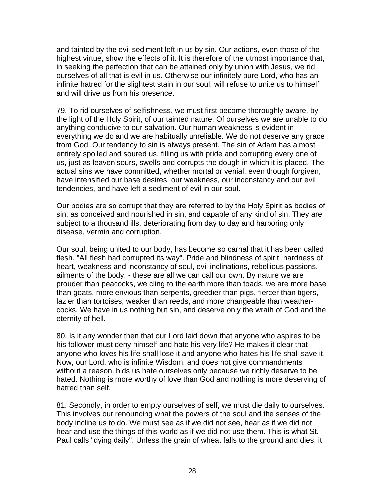and tainted by the evil sediment left in us by sin. Our actions, even those of the highest virtue, show the effects of it. It is therefore of the utmost importance that, in seeking the perfection that can be attained only by union with Jesus, we rid ourselves of all that is evil in us. Otherwise our infinitely pure Lord, who has an infinite hatred for the slightest stain in our soul, will refuse to unite us to himself and will drive us from his presence.

79. To rid ourselves of selfishness, we must first become thoroughly aware, by the light of the Holy Spirit, of our tainted nature. Of ourselves we are unable to do anything conducive to our salvation. Our human weakness is evident in everything we do and we are habitually unreliable. We do not deserve any grace from God. Our tendency to sin is always present. The sin of Adam has almost entirely spoiled and soured us, filling us with pride and corrupting every one of us, just as leaven sours, swells and corrupts the dough in which it is placed. The actual sins we have committed, whether mortal or venial, even though forgiven, have intensified our base desires, our weakness, our inconstancy and our evil tendencies, and have left a sediment of evil in our soul.

Our bodies are so corrupt that they are referred to by the Holy Spirit as bodies of sin, as conceived and nourished in sin, and capable of any kind of sin. They are subject to a thousand ills, deteriorating from day to day and harboring only disease, vermin and corruption.

Our soul, being united to our body, has become so carnal that it has been called flesh. "All flesh had corrupted its way". Pride and blindness of spirit, hardness of heart, weakness and inconstancy of soul, evil inclinations, rebellious passions, ailments of the body, - these are all we can call our own. By nature we are prouder than peacocks, we cling to the earth more than toads, we are more base than goats, more envious than serpents, greedier than pigs, fiercer than tigers, lazier than tortoises, weaker than reeds, and more changeable than weathercocks. We have in us nothing but sin, and deserve only the wrath of God and the eternity of hell.

80. Is it any wonder then that our Lord laid down that anyone who aspires to be his follower must deny himself and hate his very life? He makes it clear that anyone who loves his life shall lose it and anyone who hates his life shall save it. Now, our Lord, who is infinite Wisdom, and does not give commandments without a reason, bids us hate ourselves only because we richly deserve to be hated. Nothing is more worthy of love than God and nothing is more deserving of hatred than self.

81. Secondly, in order to empty ourselves of self, we must die daily to ourselves. This involves our renouncing what the powers of the soul and the senses of the body incline us to do. We must see as if we did not see, hear as if we did not hear and use the things of this world as if we did not use them. This is what St. Paul calls "dying daily". Unless the grain of wheat falls to the ground and dies, it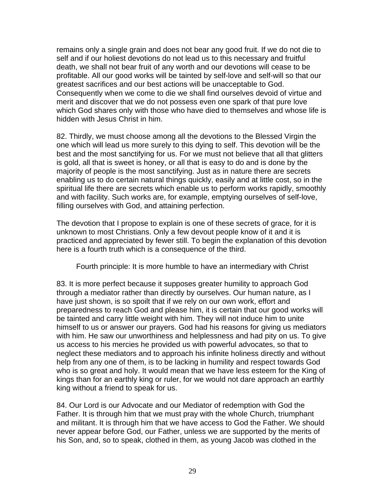<span id="page-28-0"></span>remains only a single grain and does not bear any good fruit. If we do not die to self and if our holiest devotions do not lead us to this necessary and fruitful death, we shall not bear fruit of any worth and our devotions will cease to be profitable. All our good works will be tainted by self-love and self-will so that our greatest sacrifices and our best actions will be unacceptable to God. Consequently when we come to die we shall find ourselves devoid of virtue and merit and discover that we do not possess even one spark of that pure love which God shares only with those who have died to themselves and whose life is hidden with Jesus Christ in him.

82. Thirdly, we must choose among all the devotions to the Blessed Virgin the one which will lead us more surely to this dying to self. This devotion will be the best and the most sanctifying for us. For we must not believe that all that glitters is gold, all that is sweet is honey, or all that is easy to do and is done by the majority of people is the most sanctifying. Just as in nature there are secrets enabling us to do certain natural things quickly, easily and at little cost, so in the spiritual life there are secrets which enable us to perform works rapidly, smoothly and with facility. Such works are, for example, emptying ourselves of self-love, filling ourselves with God, and attaining perfection.

The devotion that I propose to explain is one of these secrets of grace, for it is unknown to most Christians. Only a few devout people know of it and it is practiced and appreciated by fewer still. To begin the explanation of this devotion here is a fourth truth which is a consequence of the third.

Fourth principle: It is more humble to have an intermediary with Christ

83. It is more perfect because it supposes greater humility to approach God through a mediator rather than directly by ourselves. Our human nature, as I have just shown, is so spoilt that if we rely on our own work, effort and preparedness to reach God and please him, it is certain that our good works will be tainted and carry little weight with him. They will not induce him to unite himself to us or answer our prayers. God had his reasons for giving us mediators with him. He saw our unworthiness and helplessness and had pity on us. To give us access to his mercies he provided us with powerful advocates, so that to neglect these mediators and to approach his infinite holiness directly and without help from any one of them, is to be lacking in humility and respect towards God who is so great and holy. It would mean that we have less esteem for the King of kings than for an earthly king or ruler, for we would not dare approach an earthly king without a friend to speak for us.

84. Our Lord is our Advocate and our Mediator of redemption with God the Father. It is through him that we must pray with the whole Church, triumphant and militant. It is through him that we have access to God the Father. We should never appear before God, our Father, unless we are supported by the merits of his Son, and, so to speak, clothed in them, as young Jacob was clothed in the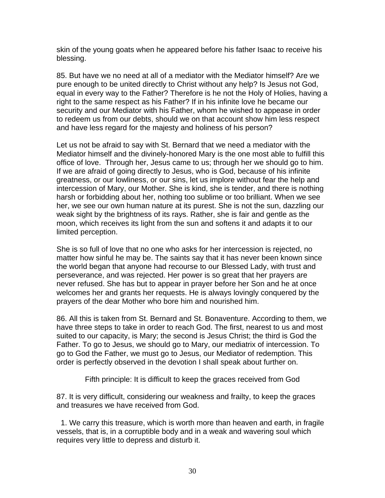<span id="page-29-0"></span>skin of the young goats when he appeared before his father Isaac to receive his blessing.

85. But have we no need at all of a mediator with the Mediator himself? Are we pure enough to be united directly to Christ without any help? Is Jesus not God, equal in every way to the Father? Therefore is he not the Holy of Holies, having a right to the same respect as his Father? If in his infinite love he became our security and our Mediator with his Father, whom he wished to appease in order to redeem us from our debts, should we on that account show him less respect and have less regard for the majesty and holiness of his person?

Let us not be afraid to say with St. Bernard that we need a mediator with the Mediator himself and the divinely-honored Mary is the one most able to fulfill this office of love. Through her, Jesus came to us; through her we should go to him. If we are afraid of going directly to Jesus, who is God, because of his infinite greatness, or our lowliness, or our sins, let us implore without fear the help and intercession of Mary, our Mother. She is kind, she is tender, and there is nothing harsh or forbidding about her, nothing too sublime or too brilliant. When we see her, we see our own human nature at its purest. She is not the sun, dazzling our weak sight by the brightness of its rays. Rather, she is fair and gentle as the moon, which receives its light from the sun and softens it and adapts it to our limited perception.

She is so full of love that no one who asks for her intercession is rejected, no matter how sinful he may be. The saints say that it has never been known since the world began that anyone had recourse to our Blessed Lady, with trust and perseverance, and was rejected. Her power is so great that her prayers are never refused. She has but to appear in prayer before her Son and he at once welcomes her and grants her requests. He is always lovingly conquered by the prayers of the dear Mother who bore him and nourished him.

86. All this is taken from St. Bernard and St. Bonaventure. According to them, we have three steps to take in order to reach God. The first, nearest to us and most suited to our capacity, is Mary; the second is Jesus Christ; the third is God the Father. To go to Jesus, we should go to Mary, our mediatrix of intercession. To go to God the Father, we must go to Jesus, our Mediator of redemption. This order is perfectly observed in the devotion I shall speak about further on.

Fifth principle: It is difficult to keep the graces received from God

87. It is very difficult, considering our weakness and frailty, to keep the graces and treasures we have received from God.

 1. We carry this treasure, which is worth more than heaven and earth, in fragile vessels, that is, in a corruptible body and in a weak and wavering soul which requires very little to depress and disturb it.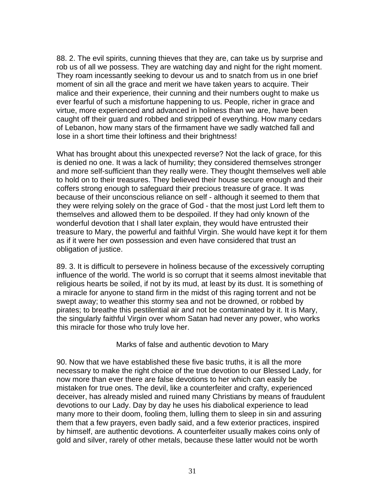<span id="page-30-0"></span>88. 2. The evil spirits, cunning thieves that they are, can take us by surprise and rob us of all we possess. They are watching day and night for the right moment. They roam incessantly seeking to devour us and to snatch from us in one brief moment of sin all the grace and merit we have taken years to acquire. Their malice and their experience, their cunning and their numbers ought to make us ever fearful of such a misfortune happening to us. People, richer in grace and virtue, more experienced and advanced in holiness than we are, have been caught off their guard and robbed and stripped of everything. How many cedars of Lebanon, how many stars of the firmament have we sadly watched fall and lose in a short time their loftiness and their brightness!

What has brought about this unexpected reverse? Not the lack of grace, for this is denied no one. It was a lack of humility; they considered themselves stronger and more self-sufficient than they really were. They thought themselves well able to hold on to their treasures. They believed their house secure enough and their coffers strong enough to safeguard their precious treasure of grace. It was because of their unconscious reliance on self - although it seemed to them that they were relying solely on the grace of God - that the most just Lord left them to themselves and allowed them to be despoiled. If they had only known of the wonderful devotion that I shall later explain, they would have entrusted their treasure to Mary, the powerful and faithful Virgin. She would have kept it for them as if it were her own possession and even have considered that trust an obligation of justice.

89. 3. It is difficult to persevere in holiness because of the excessively corrupting influence of the world. The world is so corrupt that it seems almost inevitable that religious hearts be soiled, if not by its mud, at least by its dust. It is something of a miracle for anyone to stand firm in the midst of this raging torrent and not be swept away; to weather this stormy sea and not be drowned, or robbed by pirates; to breathe this pestilential air and not be contaminated by it. It is Mary, the singularly faithful Virgin over whom Satan had never any power, who works this miracle for those who truly love her.

#### Marks of false and authentic devotion to Mary

90. Now that we have established these five basic truths, it is all the more necessary to make the right choice of the true devotion to our Blessed Lady, for now more than ever there are false devotions to her which can easily be mistaken for true ones. The devil, like a counterfeiter and crafty, experienced deceiver, has already misled and ruined many Christians by means of fraudulent devotions to our Lady. Day by day he uses his diabolical experience to lead many more to their doom, fooling them, lulling them to sleep in sin and assuring them that a few prayers, even badly said, and a few exterior practices, inspired by himself, are authentic devotions. A counterfeiter usually makes coins only of gold and silver, rarely of other metals, because these latter would not be worth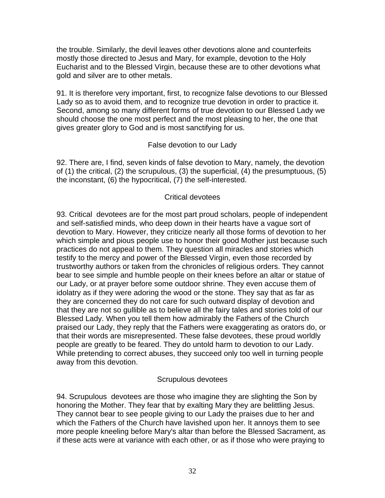<span id="page-31-0"></span>the trouble. Similarly, the devil leaves other devotions alone and counterfeits mostly those directed to Jesus and Mary, for example, devotion to the Holy Eucharist and to the Blessed Virgin, because these are to other devotions what gold and silver are to other metals.

91. It is therefore very important, first, to recognize false devotions to our Blessed Lady so as to avoid them, and to recognize true devotion in order to practice it. Second, among so many different forms of true devotion to our Blessed Lady we should choose the one most perfect and the most pleasing to her, the one that gives greater glory to God and is most sanctifying for us.

## False devotion to our Lady

92. There are, I find, seven kinds of false devotion to Mary, namely, the devotion of (1) the critical, (2) the scrupulous, (3) the superficial, (4) the presumptuous, (5) the inconstant, (6) the hypocritical, (7) the self-interested.

#### Critical devotees

93. Critical devotees are for the most part proud scholars, people of independent and self-satisfied minds, who deep down in their hearts have a vague sort of devotion to Mary. However, they criticize nearly all those forms of devotion to her which simple and pious people use to honor their good Mother just because such practices do not appeal to them. They question all miracles and stories which testify to the mercy and power of the Blessed Virgin, even those recorded by trustworthy authors or taken from the chronicles of religious orders. They cannot bear to see simple and humble people on their knees before an altar or statue of our Lady, or at prayer before some outdoor shrine. They even accuse them of idolatry as if they were adoring the wood or the stone. They say that as far as they are concerned they do not care for such outward display of devotion and that they are not so gullible as to believe all the fairy tales and stories told of our Blessed Lady. When you tell them how admirably the Fathers of the Church praised our Lady, they reply that the Fathers were exaggerating as orators do, or that their words are misrepresented. These false devotees, these proud worldly people are greatly to be feared. They do untold harm to devotion to our Lady. While pretending to correct abuses, they succeed only too well in turning people away from this devotion.

#### Scrupulous devotees

94. Scrupulous devotees are those who imagine they are slighting the Son by honoring the Mother. They fear that by exalting Mary they are belittling Jesus. They cannot bear to see people giving to our Lady the praises due to her and which the Fathers of the Church have lavished upon her. It annoys them to see more people kneeling before Mary's altar than before the Blessed Sacrament, as if these acts were at variance with each other, or as if those who were praying to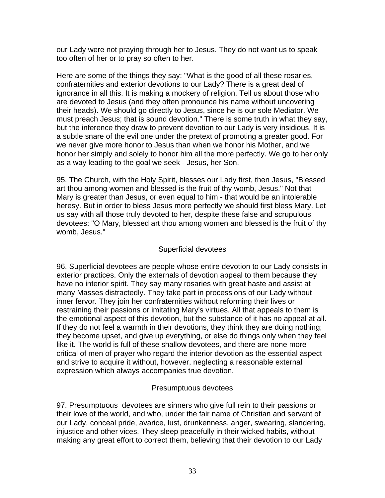<span id="page-32-0"></span>our Lady were not praying through her to Jesus. They do not want us to speak too often of her or to pray so often to her.

Here are some of the things they say: "What is the good of all these rosaries, confraternities and exterior devotions to our Lady? There is a great deal of ignorance in all this. It is making a mockery of religion. Tell us about those who are devoted to Jesus (and they often pronounce his name without uncovering their heads). We should go directly to Jesus, since he is our sole Mediator. We must preach Jesus; that is sound devotion." There is some truth in what they say, but the inference they draw to prevent devotion to our Lady is very insidious. It is a subtle snare of the evil one under the pretext of promoting a greater good. For we never give more honor to Jesus than when we honor his Mother, and we honor her simply and solely to honor him all the more perfectly. We go to her only as a way leading to the goal we seek - Jesus, her Son.

95. The Church, with the Holy Spirit, blesses our Lady first, then Jesus, "Blessed art thou among women and blessed is the fruit of thy womb, Jesus." Not that Mary is greater than Jesus, or even equal to him - that would be an intolerable heresy. But in order to bless Jesus more perfectly we should first bless Mary. Let us say with all those truly devoted to her, despite these false and scrupulous devotees: "O Mary, blessed art thou among women and blessed is the fruit of thy womb, Jesus."

# Superficial devotees

96. Superficial devotees are people whose entire devotion to our Lady consists in exterior practices. Only the externals of devotion appeal to them because they have no interior spirit. They say many rosaries with great haste and assist at many Masses distractedly. They take part in processions of our Lady without inner fervor. They join her confraternities without reforming their lives or restraining their passions or imitating Mary's virtues. All that appeals to them is the emotional aspect of this devotion, but the substance of it has no appeal at all. If they do not feel a warmth in their devotions, they think they are doing nothing; they become upset, and give up everything, or else do things only when they feel like it. The world is full of these shallow devotees, and there are none more critical of men of prayer who regard the interior devotion as the essential aspect and strive to acquire it without, however, neglecting a reasonable external expression which always accompanies true devotion.

#### Presumptuous devotees

97. Presumptuous devotees are sinners who give full rein to their passions or their love of the world, and who, under the fair name of Christian and servant of our Lady, conceal pride, avarice, lust, drunkenness, anger, swearing, slandering, injustice and other vices. They sleep peacefully in their wicked habits, without making any great effort to correct them, believing that their devotion to our Lady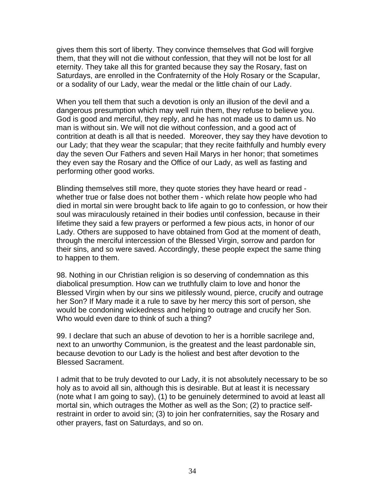gives them this sort of liberty. They convince themselves that God will forgive them, that they will not die without confession, that they will not be lost for all eternity. They take all this for granted because they say the Rosary, fast on Saturdays, are enrolled in the Confraternity of the Holy Rosary or the Scapular, or a sodality of our Lady, wear the medal or the little chain of our Lady.

When you tell them that such a devotion is only an illusion of the devil and a dangerous presumption which may well ruin them, they refuse to believe you. God is good and merciful, they reply, and he has not made us to damn us. No man is without sin. We will not die without confession, and a good act of contrition at death is all that is needed. Moreover, they say they have devotion to our Lady; that they wear the scapular; that they recite faithfully and humbly every day the seven Our Fathers and seven Hail Marys in her honor; that sometimes they even say the Rosary and the Office of our Lady, as well as fasting and performing other good works.

Blinding themselves still more, they quote stories they have heard or read whether true or false does not bother them - which relate how people who had died in mortal sin were brought back to life again to go to confession, or how their soul was miraculously retained in their bodies until confession, because in their lifetime they said a few prayers or performed a few pious acts, in honor of our Lady. Others are supposed to have obtained from God at the moment of death, through the merciful intercession of the Blessed Virgin, sorrow and pardon for their sins, and so were saved. Accordingly, these people expect the same thing to happen to them.

98. Nothing in our Christian religion is so deserving of condemnation as this diabolical presumption. How can we truthfully claim to love and honor the Blessed Virgin when by our sins we pitilessly wound, pierce, crucify and outrage her Son? If Mary made it a rule to save by her mercy this sort of person, she would be condoning wickedness and helping to outrage and crucify her Son. Who would even dare to think of such a thing?

99. I declare that such an abuse of devotion to her is a horrible sacrilege and, next to an unworthy Communion, is the greatest and the least pardonable sin, because devotion to our Lady is the holiest and best after devotion to the Blessed Sacrament.

I admit that to be truly devoted to our Lady, it is not absolutely necessary to be so holy as to avoid all sin, although this is desirable. But at least it is necessary (note what I am going to say), (1) to be genuinely determined to avoid at least all mortal sin, which outrages the Mother as well as the Son; (2) to practice selfrestraint in order to avoid sin; (3) to join her confraternities, say the Rosary and other prayers, fast on Saturdays, and so on.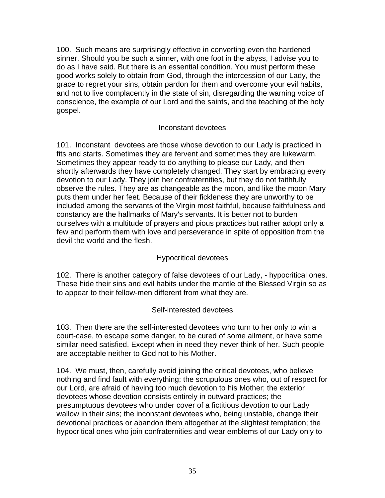<span id="page-34-0"></span>100. Such means are surprisingly effective in converting even the hardened sinner. Should you be such a sinner, with one foot in the abyss, I advise you to do as I have said. But there is an essential condition. You must perform these good works solely to obtain from God, through the intercession of our Lady, the grace to regret your sins, obtain pardon for them and overcome your evil habits, and not to live complacently in the state of sin, disregarding the warning voice of conscience, the example of our Lord and the saints, and the teaching of the holy gospel.

## Inconstant devotees

101. Inconstant devotees are those whose devotion to our Lady is practiced in fits and starts. Sometimes they are fervent and sometimes they are lukewarm. Sometimes they appear ready to do anything to please our Lady, and then shortly afterwards they have completely changed. They start by embracing every devotion to our Lady. They join her confraternities, but they do not faithfully observe the rules. They are as changeable as the moon, and like the moon Mary puts them under her feet. Because of their fickleness they are unworthy to be included among the servants of the Virgin most faithful, because faithfulness and constancy are the hallmarks of Mary's servants. It is better not to burden ourselves with a multitude of prayers and pious practices but rather adopt only a few and perform them with love and perseverance in spite of opposition from the devil the world and the flesh.

#### Hypocritical devotees

102. There is another category of false devotees of our Lady, - hypocritical ones. These hide their sins and evil habits under the mantle of the Blessed Virgin so as to appear to their fellow-men different from what they are.

#### Self-interested devotees

103. Then there are the self-interested devotees who turn to her only to win a court-case, to escape some danger, to be cured of some ailment, or have some similar need satisfied. Except when in need they never think of her. Such people are acceptable neither to God not to his Mother.

104. We must, then, carefully avoid joining the critical devotees, who believe nothing and find fault with everything; the scrupulous ones who, out of respect for our Lord, are afraid of having too much devotion to his Mother; the exterior devotees whose devotion consists entirely in outward practices; the presumptuous devotees who under cover of a fictitious devotion to our Lady wallow in their sins; the inconstant devotees who, being unstable, change their devotional practices or abandon them altogether at the slightest temptation; the hypocritical ones who join confraternities and wear emblems of our Lady only to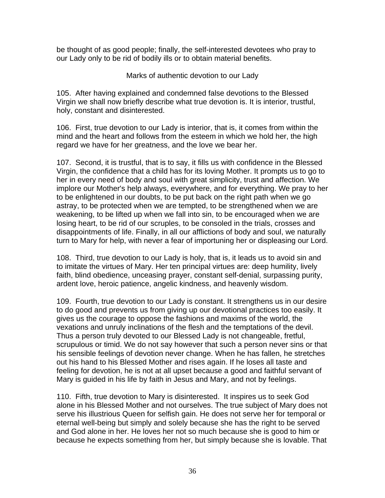<span id="page-35-0"></span>be thought of as good people; finally, the self-interested devotees who pray to our Lady only to be rid of bodily ills or to obtain material benefits.

Marks of authentic devotion to our Lady

105. After having explained and condemned false devotions to the Blessed Virgin we shall now briefly describe what true devotion is. It is interior, trustful, holy, constant and disinterested.

106. First, true devotion to our Lady is interior, that is, it comes from within the mind and the heart and follows from the esteem in which we hold her, the high regard we have for her greatness, and the love we bear her.

107. Second, it is trustful, that is to say, it fills us with confidence in the Blessed Virgin, the confidence that a child has for its loving Mother. It prompts us to go to her in every need of body and soul with great simplicity, trust and affection. We implore our Mother's help always, everywhere, and for everything. We pray to her to be enlightened in our doubts, to be put back on the right path when we go astray, to be protected when we are tempted, to be strengthened when we are weakening, to be lifted up when we fall into sin, to be encouraged when we are losing heart, to be rid of our scruples, to be consoled in the trials, crosses and disappointments of life. Finally, in all our afflictions of body and soul, we naturally turn to Mary for help, with never a fear of importuning her or displeasing our Lord.

108. Third, true devotion to our Lady is holy, that is, it leads us to avoid sin and to imitate the virtues of Mary. Her ten principal virtues are: deep humility, lively faith, blind obedience, unceasing prayer, constant self-denial, surpassing purity, ardent love, heroic patience, angelic kindness, and heavenly wisdom.

109. Fourth, true devotion to our Lady is constant. It strengthens us in our desire to do good and prevents us from giving up our devotional practices too easily. It gives us the courage to oppose the fashions and maxims of the world, the vexations and unruly inclinations of the flesh and the temptations of the devil. Thus a person truly devoted to our Blessed Lady is not changeable, fretful, scrupulous or timid. We do not say however that such a person never sins or that his sensible feelings of devotion never change. When he has fallen, he stretches out his hand to his Blessed Mother and rises again. If he loses all taste and feeling for devotion, he is not at all upset because a good and faithful servant of Mary is guided in his life by faith in Jesus and Mary, and not by feelings.

110. Fifth, true devotion to Mary is disinterested. It inspires us to seek God alone in his Blessed Mother and not ourselves. The true subject of Mary does not serve his illustrious Queen for selfish gain. He does not serve her for temporal or eternal well-being but simply and solely because she has the right to be served and God alone in her. He loves her not so much because she is good to him or because he expects something from her, but simply because she is lovable. That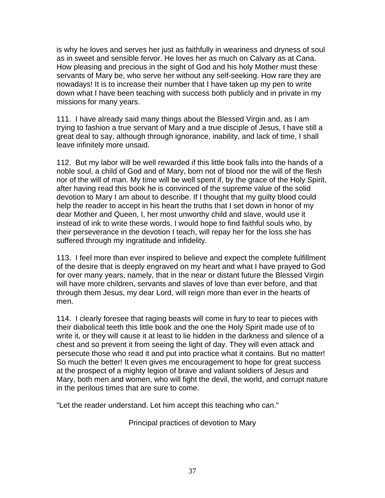is why he loves and serves her just as faithfully in weariness and dryness of soul as in sweet and sensible fervor. He loves her as much on Calvary as at Cana. How pleasing and precious in the sight of God and his holy Mother must these servants of Mary be, who serve her without any self-seeking. How rare they are nowadays! It is to increase their number that I have taken up my pen to write down what I have been teaching with success both publicly and in private in my missions for many years.

111. I have already said many things about the Blessed Virgin and, as I am trying to fashion a true servant of Mary and a true disciple of Jesus, I have still a great deal to say, although through ignorance, inability, and lack of time, I shall leave infinitely more unsaid.

112. But my labor will be well rewarded if this little book falls into the hands of a noble soul, a child of God and of Mary, born not of blood nor the will of the flesh nor of the will of man. My time will be well spent if, by the grace of the Holy Spirit, after having read this book he is convinced of the supreme value of the solid devotion to Mary I am about to describe. If I thought that my guilty blood could help the reader to accept in his heart the truths that I set down in honor of my dear Mother and Queen, I, her most unworthy child and slave, would use it instead of ink to write these words. I would hope to find faithful souls who, by their perseverance in the devotion I teach, will repay her for the loss she has suffered through my ingratitude and infidelity.

113. I feel more than ever inspired to believe and expect the complete fulfillment of the desire that is deeply engraved on my heart and what I have prayed to God for over many years, namely, that in the near or distant future the Blessed Virgin will have more children, servants and slaves of love than ever before, and that through them Jesus, my dear Lord, will reign more than ever in the hearts of men.

114. I clearly foresee that raging beasts will come in fury to tear to pieces with their diabolical teeth this little book and the one the Holy Spirit made use of to write it, or they will cause it at least to lie hidden in the darkness and silence of a chest and so prevent it from seeing the light of day. They will even attack and persecute those who read it and put into practice what it contains. But no matter! So much the better! It even gives me encouragement to hope for great success at the prospect of a mighty legion of brave and valiant soldiers of Jesus and Mary, both men and women, who will fight the devil, the world, and corrupt nature in the perilous times that are sure to come.

"Let the reader understand. Let him accept this teaching who can."

Principal practices of devotion to Mary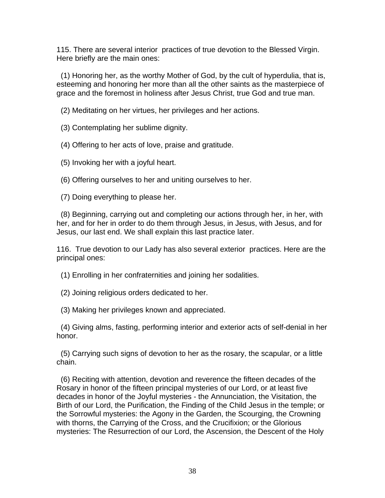115. There are several interior practices of true devotion to the Blessed Virgin. Here briefly are the main ones:

 (1) Honoring her, as the worthy Mother of God, by the cult of hyperdulia, that is, esteeming and honoring her more than all the other saints as the masterpiece of grace and the foremost in holiness after Jesus Christ, true God and true man.

(2) Meditating on her virtues, her privileges and her actions.

(3) Contemplating her sublime dignity.

(4) Offering to her acts of love, praise and gratitude.

(5) Invoking her with a joyful heart.

(6) Offering ourselves to her and uniting ourselves to her.

(7) Doing everything to please her.

 (8) Beginning, carrying out and completing our actions through her, in her, with her, and for her in order to do them through Jesus, in Jesus, with Jesus, and for Jesus, our last end. We shall explain this last practice later.

116. True devotion to our Lady has also several exterior practices. Here are the principal ones:

(1) Enrolling in her confraternities and joining her sodalities.

(2) Joining religious orders dedicated to her.

(3) Making her privileges known and appreciated.

 (4) Giving alms, fasting, performing interior and exterior acts of self-denial in her honor.

 (5) Carrying such signs of devotion to her as the rosary, the scapular, or a little chain.

 (6) Reciting with attention, devotion and reverence the fifteen decades of the Rosary in honor of the fifteen principal mysteries of our Lord, or at least five decades in honor of the Joyful mysteries - the Annunciation, the Visitation, the Birth of our Lord, the Purification, the Finding of the Child Jesus in the temple; or the Sorrowful mysteries: the Agony in the Garden, the Scourging, the Crowning with thorns, the Carrying of the Cross, and the Crucifixion; or the Glorious mysteries: The Resurrection of our Lord, the Ascension, the Descent of the Holy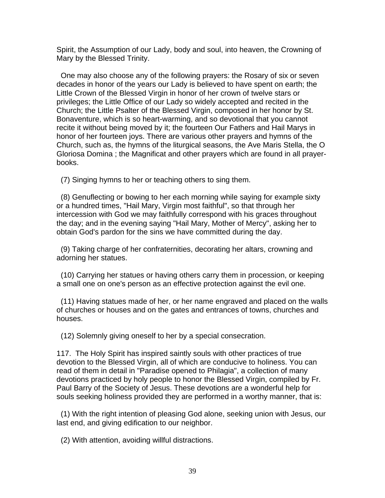Spirit, the Assumption of our Lady, body and soul, into heaven, the Crowning of Mary by the Blessed Trinity.

 One may also choose any of the following prayers: the Rosary of six or seven decades in honor of the years our Lady is believed to have spent on earth; the Little Crown of the Blessed Virgin in honor of her crown of twelve stars or privileges; the Little Office of our Lady so widely accepted and recited in the Church; the Little Psalter of the Blessed Virgin, composed in her honor by St. Bonaventure, which is so heart-warming, and so devotional that you cannot recite it without being moved by it; the fourteen Our Fathers and Hail Marys in honor of her fourteen joys. There are various other prayers and hymns of the Church, such as, the hymns of the liturgical seasons, the Ave Maris Stella, the O Gloriosa Domina ; the Magnificat and other prayers which are found in all prayerbooks.

(7) Singing hymns to her or teaching others to sing them.

 (8) Genuflecting or bowing to her each morning while saying for example sixty or a hundred times, "Hail Mary, Virgin most faithful", so that through her intercession with God we may faithfully correspond with his graces throughout the day; and in the evening saying "Hail Mary, Mother of Mercy", asking her to obtain God's pardon for the sins we have committed during the day.

 (9) Taking charge of her confraternities, decorating her altars, crowning and adorning her statues.

 (10) Carrying her statues or having others carry them in procession, or keeping a small one on one's person as an effective protection against the evil one.

 (11) Having statues made of her, or her name engraved and placed on the walls of churches or houses and on the gates and entrances of towns, churches and houses.

(12) Solemnly giving oneself to her by a special consecration.

117. The Holy Spirit has inspired saintly souls with other practices of true devotion to the Blessed Virgin, all of which are conducive to holiness. You can read of them in detail in "Paradise opened to Philagia", a collection of many devotions practiced by holy people to honor the Blessed Virgin, compiled by Fr. Paul Barry of the Society of Jesus. These devotions are a wonderful help for souls seeking holiness provided they are performed in a worthy manner, that is:

 (1) With the right intention of pleasing God alone, seeking union with Jesus, our last end, and giving edification to our neighbor.

(2) With attention, avoiding willful distractions.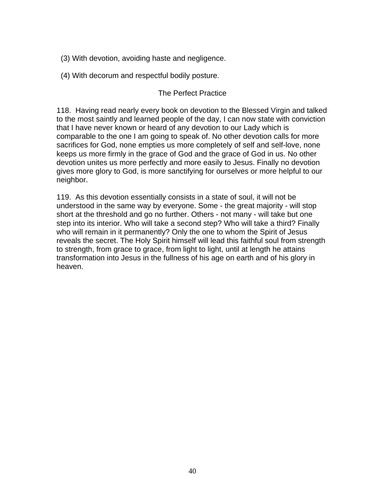- (3) With devotion, avoiding haste and negligence.
- (4) With decorum and respectful bodily posture.

# The Perfect Practice

118. Having read nearly every book on devotion to the Blessed Virgin and talked to the most saintly and learned people of the day, I can now state with conviction that I have never known or heard of any devotion to our Lady which is comparable to the one I am going to speak of. No other devotion calls for more sacrifices for God, none empties us more completely of self and self-love, none keeps us more firmly in the grace of God and the grace of God in us. No other devotion unites us more perfectly and more easily to Jesus. Finally no devotion gives more glory to God, is more sanctifying for ourselves or more helpful to our neighbor.

119. As this devotion essentially consists in a state of soul, it will not be understood in the same way by everyone. Some - the great majority - will stop short at the threshold and go no further. Others - not many - will take but one step into its interior. Who will take a second step? Who will take a third? Finally who will remain in it permanently? Only the one to whom the Spirit of Jesus reveals the secret. The Holy Spirit himself will lead this faithful soul from strength to strength, from grace to grace, from light to light, until at length he attains transformation into Jesus in the fullness of his age on earth and of his glory in heaven.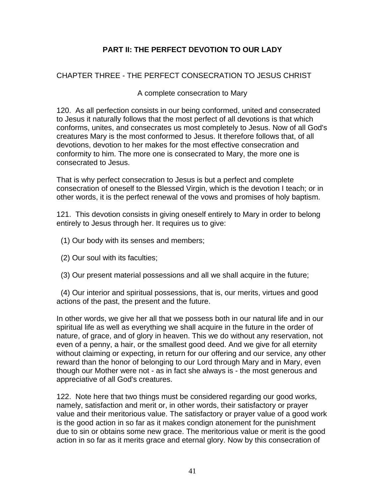# **PART II: THE PERFECT DEVOTION TO OUR LADY**

# CHAPTER THREE - THE PERFECT CONSECRATION TO JESUS CHRIST

A complete consecration to Mary

120. As all perfection consists in our being conformed, united and consecrated to Jesus it naturally follows that the most perfect of all devotions is that which conforms, unites, and consecrates us most completely to Jesus. Now of all God's creatures Mary is the most conformed to Jesus. It therefore follows that, of all devotions, devotion to her makes for the most effective consecration and conformity to him. The more one is consecrated to Mary, the more one is consecrated to Jesus.

That is why perfect consecration to Jesus is but a perfect and complete consecration of oneself to the Blessed Virgin, which is the devotion I teach; or in other words, it is the perfect renewal of the vows and promises of holy baptism.

121. This devotion consists in giving oneself entirely to Mary in order to belong entirely to Jesus through her. It requires us to give:

- (1) Our body with its senses and members;
- (2) Our soul with its faculties;
- (3) Our present material possessions and all we shall acquire in the future;

 (4) Our interior and spiritual possessions, that is, our merits, virtues and good actions of the past, the present and the future.

In other words, we give her all that we possess both in our natural life and in our spiritual life as well as everything we shall acquire in the future in the order of nature, of grace, and of glory in heaven. This we do without any reservation, not even of a penny, a hair, or the smallest good deed. And we give for all eternity without claiming or expecting, in return for our offering and our service, any other reward than the honor of belonging to our Lord through Mary and in Mary, even though our Mother were not - as in fact she always is - the most generous and appreciative of all God's creatures.

122. Note here that two things must be considered regarding our good works, namely, satisfaction and merit or, in other words, their satisfactory or prayer value and their meritorious value. The satisfactory or prayer value of a good work is the good action in so far as it makes condign atonement for the punishment due to sin or obtains some new grace. The meritorious value or merit is the good action in so far as it merits grace and eternal glory. Now by this consecration of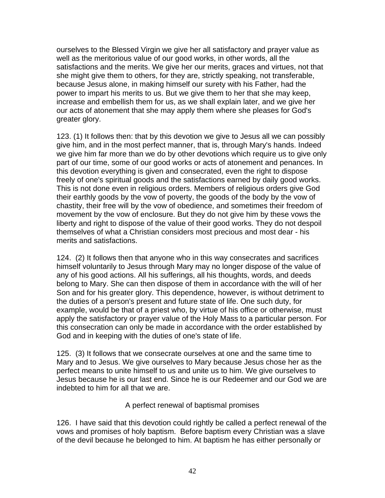ourselves to the Blessed Virgin we give her all satisfactory and prayer value as well as the meritorious value of our good works, in other words, all the satisfactions and the merits. We give her our merits, graces and virtues, not that she might give them to others, for they are, strictly speaking, not transferable, because Jesus alone, in making himself our surety with his Father, had the power to impart his merits to us. But we give them to her that she may keep, increase and embellish them for us, as we shall explain later, and we give her our acts of atonement that she may apply them where she pleases for God's greater glory.

123. (1) It follows then: that by this devotion we give to Jesus all we can possibly give him, and in the most perfect manner, that is, through Mary's hands. Indeed we give him far more than we do by other devotions which require us to give only part of our time, some of our good works or acts of atonement and penances. In this devotion everything is given and consecrated, even the right to dispose freely of one's spiritual goods and the satisfactions earned by daily good works. This is not done even in religious orders. Members of religious orders give God their earthly goods by the vow of poverty, the goods of the body by the vow of chastity, their free will by the vow of obedience, and sometimes their freedom of movement by the vow of enclosure. But they do not give him by these vows the liberty and right to dispose of the value of their good works. They do not despoil themselves of what a Christian considers most precious and most dear - his merits and satisfactions.

124. (2) It follows then that anyone who in this way consecrates and sacrifices himself voluntarily to Jesus through Mary may no longer dispose of the value of any of his good actions. All his sufferings, all his thoughts, words, and deeds belong to Mary. She can then dispose of them in accordance with the will of her Son and for his greater glory. This dependence, however, is without detriment to the duties of a person's present and future state of life. One such duty, for example, would be that of a priest who, by virtue of his office or otherwise, must apply the satisfactory or prayer value of the Holy Mass to a particular person. For this consecration can only be made in accordance with the order established by God and in keeping with the duties of one's state of life.

125. (3) It follows that we consecrate ourselves at one and the same time to Mary and to Jesus. We give ourselves to Mary because Jesus chose her as the perfect means to unite himself to us and unite us to him. We give ourselves to Jesus because he is our last end. Since he is our Redeemer and our God we are indebted to him for all that we are.

### A perfect renewal of baptismal promises

126. I have said that this devotion could rightly be called a perfect renewal of the vows and promises of holy baptism. Before baptism every Christian was a slave of the devil because he belonged to him. At baptism he has either personally or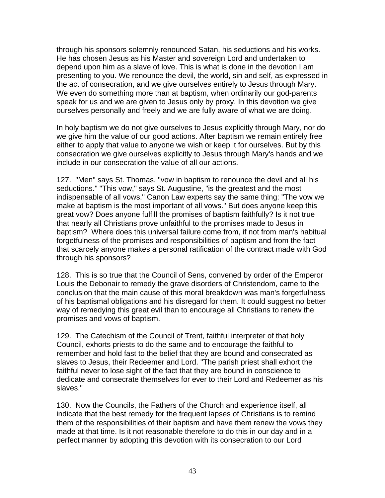through his sponsors solemnly renounced Satan, his seductions and his works. He has chosen Jesus as his Master and sovereign Lord and undertaken to depend upon him as a slave of love. This is what is done in the devotion I am presenting to you. We renounce the devil, the world, sin and self, as expressed in the act of consecration, and we give ourselves entirely to Jesus through Mary. We even do something more than at baptism, when ordinarily our god-parents speak for us and we are given to Jesus only by proxy. In this devotion we give ourselves personally and freely and we are fully aware of what we are doing.

In holy baptism we do not give ourselves to Jesus explicitly through Mary, nor do we give him the value of our good actions. After baptism we remain entirely free either to apply that value to anyone we wish or keep it for ourselves. But by this consecration we give ourselves explicitly to Jesus through Mary's hands and we include in our consecration the value of all our actions.

127. "Men" says St. Thomas, "vow in baptism to renounce the devil and all his seductions." "This vow," says St. Augustine, "is the greatest and the most indispensable of all vows." Canon Law experts say the same thing: "The vow we make at baptism is the most important of all vows." But does anyone keep this great vow? Does anyone fulfill the promises of baptism faithfully? Is it not true that nearly all Christians prove unfaithful to the promises made to Jesus in baptism? Where does this universal failure come from, if not from man's habitual forgetfulness of the promises and responsibilities of baptism and from the fact that scarcely anyone makes a personal ratification of the contract made with God through his sponsors?

128. This is so true that the Council of Sens, convened by order of the Emperor Louis the Debonair to remedy the grave disorders of Christendom, came to the conclusion that the main cause of this moral breakdown was man's forgetfulness of his baptismal obligations and his disregard for them. It could suggest no better way of remedying this great evil than to encourage all Christians to renew the promises and vows of baptism.

129. The Catechism of the Council of Trent, faithful interpreter of that holy Council, exhorts priests to do the same and to encourage the faithful to remember and hold fast to the belief that they are bound and consecrated as slaves to Jesus, their Redeemer and Lord. "The parish priest shall exhort the faithful never to lose sight of the fact that they are bound in conscience to dedicate and consecrate themselves for ever to their Lord and Redeemer as his slaves."

130. Now the Councils, the Fathers of the Church and experience itself, all indicate that the best remedy for the frequent lapses of Christians is to remind them of the responsibilities of their baptism and have them renew the vows they made at that time. Is it not reasonable therefore to do this in our day and in a perfect manner by adopting this devotion with its consecration to our Lord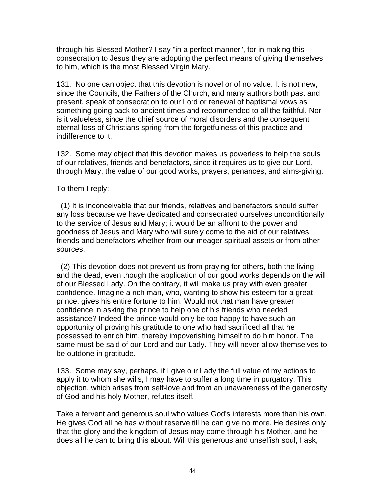through his Blessed Mother? I say "in a perfect manner", for in making this consecration to Jesus they are adopting the perfect means of giving themselves to him, which is the most Blessed Virgin Mary.

131. No one can object that this devotion is novel or of no value. It is not new, since the Councils, the Fathers of the Church, and many authors both past and present, speak of consecration to our Lord or renewal of baptismal vows as something going back to ancient times and recommended to all the faithful. Nor is it valueless, since the chief source of moral disorders and the consequent eternal loss of Christians spring from the forgetfulness of this practice and indifference to it.

132. Some may object that this devotion makes us powerless to help the souls of our relatives, friends and benefactors, since it requires us to give our Lord, through Mary, the value of our good works, prayers, penances, and alms-giving.

To them I reply:

 (1) It is inconceivable that our friends, relatives and benefactors should suffer any loss because we have dedicated and consecrated ourselves unconditionally to the service of Jesus and Mary; it would be an affront to the power and goodness of Jesus and Mary who will surely come to the aid of our relatives, friends and benefactors whether from our meager spiritual assets or from other sources.

 (2) This devotion does not prevent us from praying for others, both the living and the dead, even though the application of our good works depends on the will of our Blessed Lady. On the contrary, it will make us pray with even greater confidence. Imagine a rich man, who, wanting to show his esteem for a great prince, gives his entire fortune to him. Would not that man have greater confidence in asking the prince to help one of his friends who needed assistance? Indeed the prince would only be too happy to have such an opportunity of proving his gratitude to one who had sacrificed all that he possessed to enrich him, thereby impoverishing himself to do him honor. The same must be said of our Lord and our Lady. They will never allow themselves to be outdone in gratitude.

133. Some may say, perhaps, if I give our Lady the full value of my actions to apply it to whom she wills, I may have to suffer a long time in purgatory. This objection, which arises from self-love and from an unawareness of the generosity of God and his holy Mother, refutes itself.

Take a fervent and generous soul who values God's interests more than his own. He gives God all he has without reserve till he can give no more. He desires only that the glory and the kingdom of Jesus may come through his Mother, and he does all he can to bring this about. Will this generous and unselfish soul, I ask,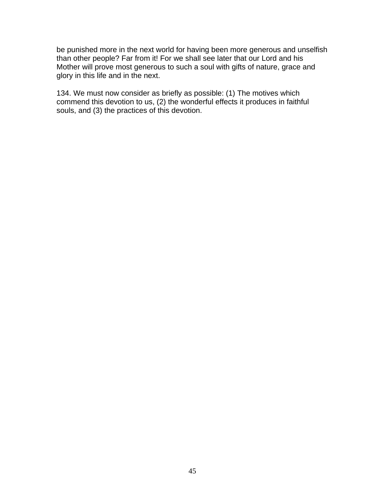be punished more in the next world for having been more generous and unselfish than other people? Far from it! For we shall see later that our Lord and his Mother will prove most generous to such a soul with gifts of nature, grace and glory in this life and in the next.

134. We must now consider as briefly as possible: (1) The motives which commend this devotion to us, (2) the wonderful effects it produces in faithful souls, and (3) the practices of this devotion.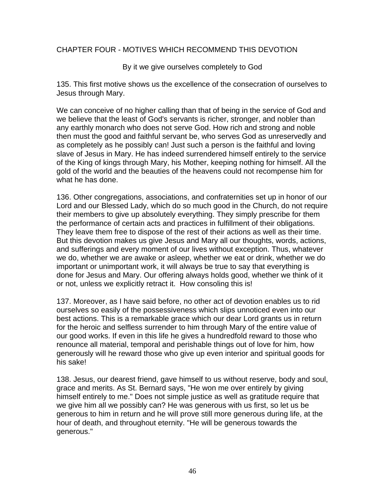# CHAPTER FOUR - MOTIVES WHICH RECOMMEND THIS DEVOTION

By it we give ourselves completely to God

135. This first motive shows us the excellence of the consecration of ourselves to Jesus through Mary.

We can conceive of no higher calling than that of being in the service of God and we believe that the least of God's servants is richer, stronger, and nobler than any earthly monarch who does not serve God. How rich and strong and noble then must the good and faithful servant be, who serves God as unreservedly and as completely as he possibly can! Just such a person is the faithful and loving slave of Jesus in Mary. He has indeed surrendered himself entirely to the service of the King of kings through Mary, his Mother, keeping nothing for himself. All the gold of the world and the beauties of the heavens could not recompense him for what he has done.

136. Other congregations, associations, and confraternities set up in honor of our Lord and our Blessed Lady, which do so much good in the Church, do not require their members to give up absolutely everything. They simply prescribe for them the performance of certain acts and practices in fulfillment of their obligations. They leave them free to dispose of the rest of their actions as well as their time. But this devotion makes us give Jesus and Mary all our thoughts, words, actions, and sufferings and every moment of our lives without exception. Thus, whatever we do, whether we are awake or asleep, whether we eat or drink, whether we do important or unimportant work, it will always be true to say that everything is done for Jesus and Mary. Our offering always holds good, whether we think of it or not, unless we explicitly retract it. How consoling this is!

137. Moreover, as I have said before, no other act of devotion enables us to rid ourselves so easily of the possessiveness which slips unnoticed even into our best actions. This is a remarkable grace which our dear Lord grants us in return for the heroic and selfless surrender to him through Mary of the entire value of our good works. If even in this life he gives a hundredfold reward to those who renounce all material, temporal and perishable things out of love for him, how generously will he reward those who give up even interior and spiritual goods for his sake!

138. Jesus, our dearest friend, gave himself to us without reserve, body and soul, grace and merits. As St. Bernard says, "He won me over entirely by giving himself entirely to me." Does not simple justice as well as gratitude require that we give him all we possibly can? He was generous with us first, so let us be generous to him in return and he will prove still more generous during life, at the hour of death, and throughout eternity. "He will be generous towards the generous."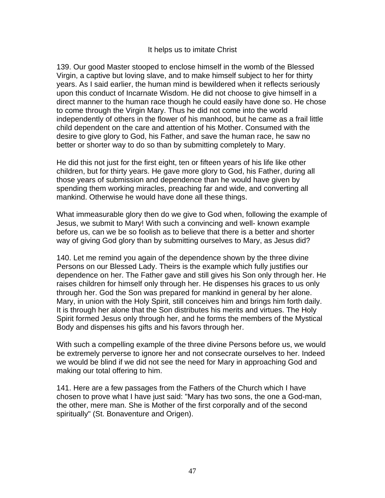#### It helps us to imitate Christ

139. Our good Master stooped to enclose himself in the womb of the Blessed Virgin, a captive but loving slave, and to make himself subject to her for thirty years. As I said earlier, the human mind is bewildered when it reflects seriously upon this conduct of Incarnate Wisdom. He did not choose to give himself in a direct manner to the human race though he could easily have done so. He chose to come through the Virgin Mary. Thus he did not come into the world independently of others in the flower of his manhood, but he came as a frail little child dependent on the care and attention of his Mother. Consumed with the desire to give glory to God, his Father, and save the human race, he saw no better or shorter way to do so than by submitting completely to Mary.

He did this not just for the first eight, ten or fifteen years of his life like other children, but for thirty years. He gave more glory to God, his Father, during all those years of submission and dependence than he would have given by spending them working miracles, preaching far and wide, and converting all mankind. Otherwise he would have done all these things.

What immeasurable glory then do we give to God when, following the example of Jesus, we submit to Mary! With such a convincing and well- known example before us, can we be so foolish as to believe that there is a better and shorter way of giving God glory than by submitting ourselves to Mary, as Jesus did?

140. Let me remind you again of the dependence shown by the three divine Persons on our Blessed Lady. Theirs is the example which fully justifies our dependence on her. The Father gave and still gives his Son only through her. He raises children for himself only through her. He dispenses his graces to us only through her. God the Son was prepared for mankind in general by her alone. Mary, in union with the Holy Spirit, still conceives him and brings him forth daily. It is through her alone that the Son distributes his merits and virtues. The Holy Spirit formed Jesus only through her, and he forms the members of the Mystical Body and dispenses his gifts and his favors through her.

With such a compelling example of the three divine Persons before us, we would be extremely perverse to ignore her and not consecrate ourselves to her. Indeed we would be blind if we did not see the need for Mary in approaching God and making our total offering to him.

141. Here are a few passages from the Fathers of the Church which I have chosen to prove what I have just said: "Mary has two sons, the one a God-man, the other, mere man. She is Mother of the first corporally and of the second spiritually" (St. Bonaventure and Origen).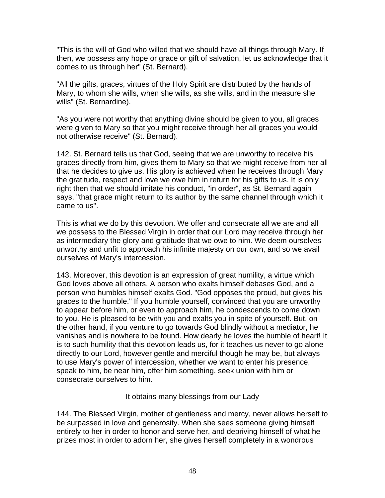"This is the will of God who willed that we should have all things through Mary. If then, we possess any hope or grace or gift of salvation, let us acknowledge that it comes to us through her" (St. Bernard).

"All the gifts, graces, virtues of the Holy Spirit are distributed by the hands of Mary, to whom she wills, when she wills, as she wills, and in the measure she wills" (St. Bernardine).

"As you were not worthy that anything divine should be given to you, all graces were given to Mary so that you might receive through her all graces you would not otherwise receive" (St. Bernard).

142. St. Bernard tells us that God, seeing that we are unworthy to receive his graces directly from him, gives them to Mary so that we might receive from her all that he decides to give us. His glory is achieved when he receives through Mary the gratitude, respect and love we owe him in return for his gifts to us. It is only right then that we should imitate his conduct, "in order", as St. Bernard again says, "that grace might return to its author by the same channel through which it came to us".

This is what we do by this devotion. We offer and consecrate all we are and all we possess to the Blessed Virgin in order that our Lord may receive through her as intermediary the glory and gratitude that we owe to him. We deem ourselves unworthy and unfit to approach his infinite majesty on our own, and so we avail ourselves of Mary's intercession.

143. Moreover, this devotion is an expression of great humility, a virtue which God loves above all others. A person who exalts himself debases God, and a person who humbles himself exalts God. "God opposes the proud, but gives his graces to the humble." If you humble yourself, convinced that you are unworthy to appear before him, or even to approach him, he condescends to come down to you. He is pleased to be with you and exalts you in spite of yourself. But, on the other hand, if you venture to go towards God blindly without a mediator, he vanishes and is nowhere to be found. How dearly he loves the humble of heart! It is to such humility that this devotion leads us, for it teaches us never to go alone directly to our Lord, however gentle and merciful though he may be, but always to use Mary's power of intercession, whether we want to enter his presence, speak to him, be near him, offer him something, seek union with him or consecrate ourselves to him.

It obtains many blessings from our Lady

144. The Blessed Virgin, mother of gentleness and mercy, never allows herself to be surpassed in love and generosity. When she sees someone giving himself entirely to her in order to honor and serve her, and depriving himself of what he prizes most in order to adorn her, she gives herself completely in a wondrous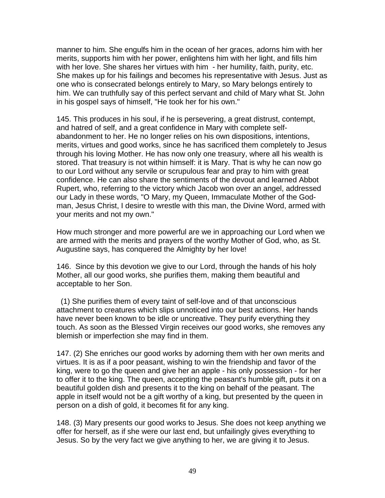manner to him. She engulfs him in the ocean of her graces, adorns him with her merits, supports him with her power, enlightens him with her light, and fills him with her love. She shares her virtues with him - her humility, faith, purity, etc. She makes up for his failings and becomes his representative with Jesus. Just as one who is consecrated belongs entirely to Mary, so Mary belongs entirely to him. We can truthfully say of this perfect servant and child of Mary what St. John in his gospel says of himself, "He took her for his own."

145. This produces in his soul, if he is persevering, a great distrust, contempt, and hatred of self, and a great confidence in Mary with complete selfabandonment to her. He no longer relies on his own dispositions, intentions, merits, virtues and good works, since he has sacrificed them completely to Jesus through his loving Mother. He has now only one treasury, where all his wealth is stored. That treasury is not within himself: it is Mary. That is why he can now go to our Lord without any servile or scrupulous fear and pray to him with great confidence. He can also share the sentiments of the devout and learned Abbot Rupert, who, referring to the victory which Jacob won over an angel, addressed our Lady in these words, "O Mary, my Queen, Immaculate Mother of the Godman, Jesus Christ, I desire to wrestle with this man, the Divine Word, armed with your merits and not my own."

How much stronger and more powerful are we in approaching our Lord when we are armed with the merits and prayers of the worthy Mother of God, who, as St. Augustine says, has conquered the Almighty by her love!

146. Since by this devotion we give to our Lord, through the hands of his holy Mother, all our good works, she purifies them, making them beautiful and acceptable to her Son.

 (1) She purifies them of every taint of self-love and of that unconscious attachment to creatures which slips unnoticed into our best actions. Her hands have never been known to be idle or uncreative. They purify everything they touch. As soon as the Blessed Virgin receives our good works, she removes any blemish or imperfection she may find in them.

147. (2) She enriches our good works by adorning them with her own merits and virtues. It is as if a poor peasant, wishing to win the friendship and favor of the king, were to go the queen and give her an apple - his only possession - for her to offer it to the king. The queen, accepting the peasant's humble gift, puts it on a beautiful golden dish and presents it to the king on behalf of the peasant. The apple in itself would not be a gift worthy of a king, but presented by the queen in person on a dish of gold, it becomes fit for any king.

148. (3) Mary presents our good works to Jesus. She does not keep anything we offer for herself, as if she were our last end, but unfailingly gives everything to Jesus. So by the very fact we give anything to her, we are giving it to Jesus.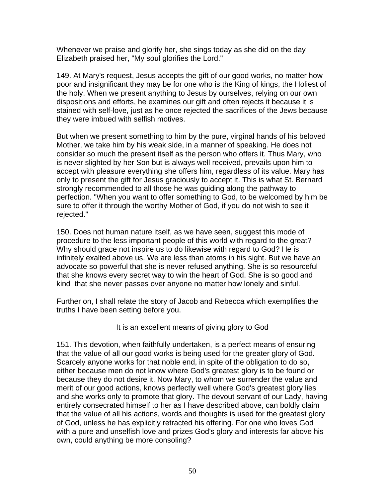Whenever we praise and glorify her, she sings today as she did on the day Elizabeth praised her, "My soul glorifies the Lord."

149. At Mary's request, Jesus accepts the gift of our good works, no matter how poor and insignificant they may be for one who is the King of kings, the Holiest of the holy. When we present anything to Jesus by ourselves, relying on our own dispositions and efforts, he examines our gift and often rejects it because it is stained with self-love, just as he once rejected the sacrifices of the Jews because they were imbued with selfish motives.

But when we present something to him by the pure, virginal hands of his beloved Mother, we take him by his weak side, in a manner of speaking. He does not consider so much the present itself as the person who offers it. Thus Mary, who is never slighted by her Son but is always well received, prevails upon him to accept with pleasure everything she offers him, regardless of its value. Mary has only to present the gift for Jesus graciously to accept it. This is what St. Bernard strongly recommended to all those he was guiding along the pathway to perfection. "When you want to offer something to God, to be welcomed by him be sure to offer it through the worthy Mother of God, if you do not wish to see it rejected."

150. Does not human nature itself, as we have seen, suggest this mode of procedure to the less important people of this world with regard to the great? Why should grace not inspire us to do likewise with regard to God? He is infinitely exalted above us. We are less than atoms in his sight. But we have an advocate so powerful that she is never refused anything. She is so resourceful that she knows every secret way to win the heart of God. She is so good and kind that she never passes over anyone no matter how lonely and sinful.

Further on, I shall relate the story of Jacob and Rebecca which exemplifies the truths I have been setting before you.

It is an excellent means of giving glory to God

151. This devotion, when faithfully undertaken, is a perfect means of ensuring that the value of all our good works is being used for the greater glory of God. Scarcely anyone works for that noble end, in spite of the obligation to do so, either because men do not know where God's greatest glory is to be found or because they do not desire it. Now Mary, to whom we surrender the value and merit of our good actions, knows perfectly well where God's greatest glory lies and she works only to promote that glory. The devout servant of our Lady, having entirely consecrated himself to her as I have described above, can boldly claim that the value of all his actions, words and thoughts is used for the greatest glory of God, unless he has explicitly retracted his offering. For one who loves God with a pure and unselfish love and prizes God's glory and interests far above his own, could anything be more consoling?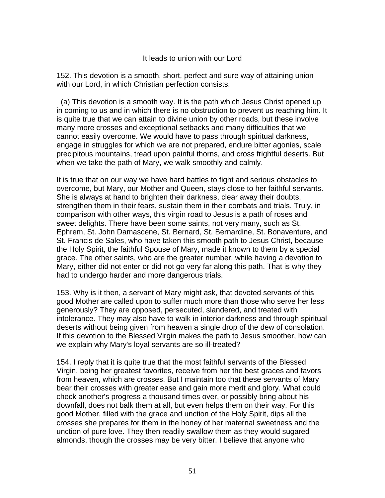#### It leads to union with our Lord

152. This devotion is a smooth, short, perfect and sure way of attaining union with our Lord, in which Christian perfection consists.

 (a) This devotion is a smooth way. It is the path which Jesus Christ opened up in coming to us and in which there is no obstruction to prevent us reaching him. It is quite true that we can attain to divine union by other roads, but these involve many more crosses and exceptional setbacks and many difficulties that we cannot easily overcome. We would have to pass through spiritual darkness, engage in struggles for which we are not prepared, endure bitter agonies, scale precipitous mountains, tread upon painful thorns, and cross frightful deserts. But when we take the path of Mary, we walk smoothly and calmly.

It is true that on our way we have hard battles to fight and serious obstacles to overcome, but Mary, our Mother and Queen, stays close to her faithful servants. She is always at hand to brighten their darkness, clear away their doubts, strengthen them in their fears, sustain them in their combats and trials. Truly, in comparison with other ways, this virgin road to Jesus is a path of roses and sweet delights. There have been some saints, not very many, such as St. Ephrem, St. John Damascene, St. Bernard, St. Bernardine, St. Bonaventure, and St. Francis de Sales, who have taken this smooth path to Jesus Christ, because the Holy Spirit, the faithful Spouse of Mary, made it known to them by a special grace. The other saints, who are the greater number, while having a devotion to Mary, either did not enter or did not go very far along this path. That is why they had to undergo harder and more dangerous trials.

153. Why is it then, a servant of Mary might ask, that devoted servants of this good Mother are called upon to suffer much more than those who serve her less generously? They are opposed, persecuted, slandered, and treated with intolerance. They may also have to walk in interior darkness and through spiritual deserts without being given from heaven a single drop of the dew of consolation. If this devotion to the Blessed Virgin makes the path to Jesus smoother, how can we explain why Mary's loyal servants are so ill-treated?

154. I reply that it is quite true that the most faithful servants of the Blessed Virgin, being her greatest favorites, receive from her the best graces and favors from heaven, which are crosses. But I maintain too that these servants of Mary bear their crosses with greater ease and gain more merit and glory. What could check another's progress a thousand times over, or possibly bring about his downfall, does not balk them at all, but even helps them on their way. For this good Mother, filled with the grace and unction of the Holy Spirit, dips all the crosses she prepares for them in the honey of her maternal sweetness and the unction of pure love. They then readily swallow them as they would sugared almonds, though the crosses may be very bitter. I believe that anyone who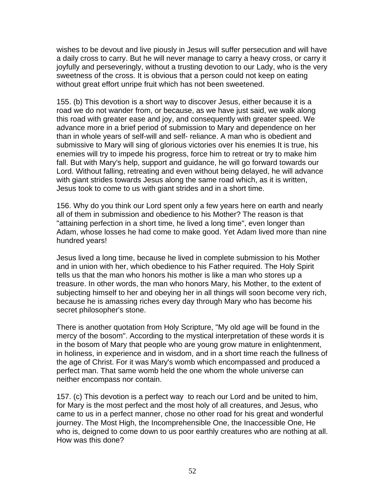wishes to be devout and live piously in Jesus will suffer persecution and will have a daily cross to carry. But he will never manage to carry a heavy cross, or carry it joyfully and perseveringly, without a trusting devotion to our Lady, who is the very sweetness of the cross. It is obvious that a person could not keep on eating without great effort unripe fruit which has not been sweetened.

155. (b) This devotion is a short way to discover Jesus, either because it is a road we do not wander from, or because, as we have just said, we walk along this road with greater ease and joy, and consequently with greater speed. We advance more in a brief period of submission to Mary and dependence on her than in whole years of self-will and self- reliance. A man who is obedient and submissive to Mary will sing of glorious victories over his enemies It is true, his enemies will try to impede his progress, force him to retreat or try to make him fall. But with Mary's help, support and guidance, he will go forward towards our Lord. Without falling, retreating and even without being delayed, he will advance with giant strides towards Jesus along the same road which, as it is written, Jesus took to come to us with giant strides and in a short time.

156. Why do you think our Lord spent only a few years here on earth and nearly all of them in submission and obedience to his Mother? The reason is that "attaining perfection in a short time, he lived a long time", even longer than Adam, whose losses he had come to make good. Yet Adam lived more than nine hundred years!

Jesus lived a long time, because he lived in complete submission to his Mother and in union with her, which obedience to his Father required. The Holy Spirit tells us that the man who honors his mother is like a man who stores up a treasure. In other words, the man who honors Mary, his Mother, to the extent of subjecting himself to her and obeying her in all things will soon become very rich, because he is amassing riches every day through Mary who has become his secret philosopher's stone.

There is another quotation from Holy Scripture, "My old age will be found in the mercy of the bosom". According to the mystical interpretation of these words it is in the bosom of Mary that people who are young grow mature in enlightenment, in holiness, in experience and in wisdom, and in a short time reach the fullness of the age of Christ. For it was Mary's womb which encompassed and produced a perfect man. That same womb held the one whom the whole universe can neither encompass nor contain.

157. (c) This devotion is a perfect way to reach our Lord and be united to him, for Mary is the most perfect and the most holy of all creatures, and Jesus, who came to us in a perfect manner, chose no other road for his great and wonderful journey. The Most High, the Incomprehensible One, the Inaccessible One, He who is, deigned to come down to us poor earthly creatures who are nothing at all. How was this done?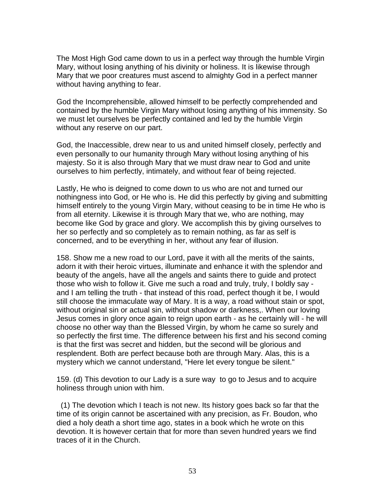The Most High God came down to us in a perfect way through the humble Virgin Mary, without losing anything of his divinity or holiness. It is likewise through Mary that we poor creatures must ascend to almighty God in a perfect manner without having anything to fear.

God the Incomprehensible, allowed himself to be perfectly comprehended and contained by the humble Virgin Mary without losing anything of his immensity. So we must let ourselves be perfectly contained and led by the humble Virgin without any reserve on our part.

God, the Inaccessible, drew near to us and united himself closely, perfectly and even personally to our humanity through Mary without losing anything of his majesty. So it is also through Mary that we must draw near to God and unite ourselves to him perfectly, intimately, and without fear of being rejected.

Lastly, He who is deigned to come down to us who are not and turned our nothingness into God, or He who is. He did this perfectly by giving and submitting himself entirely to the young Virgin Mary, without ceasing to be in time He who is from all eternity. Likewise it is through Mary that we, who are nothing, may become like God by grace and glory. We accomplish this by giving ourselves to her so perfectly and so completely as to remain nothing, as far as self is concerned, and to be everything in her, without any fear of illusion.

158. Show me a new road to our Lord, pave it with all the merits of the saints, adorn it with their heroic virtues, illuminate and enhance it with the splendor and beauty of the angels, have all the angels and saints there to guide and protect those who wish to follow it. Give me such a road and truly, truly, I boldly say and I am telling the truth - that instead of this road, perfect though it be, I would still choose the immaculate way of Mary. It is a way, a road without stain or spot, without original sin or actual sin, without shadow or darkness,. When our loving Jesus comes in glory once again to reign upon earth - as he certainly will - he will choose no other way than the Blessed Virgin, by whom he came so surely and so perfectly the first time. The difference between his first and his second coming is that the first was secret and hidden, but the second will be glorious and resplendent. Both are perfect because both are through Mary. Alas, this is a mystery which we cannot understand, "Here let every tongue be silent."

159. (d) This devotion to our Lady is a sure way to go to Jesus and to acquire holiness through union with him.

 (1) The devotion which I teach is not new. Its history goes back so far that the time of its origin cannot be ascertained with any precision, as Fr. Boudon, who died a holy death a short time ago, states in a book which he wrote on this devotion. It is however certain that for more than seven hundred years we find traces of it in the Church.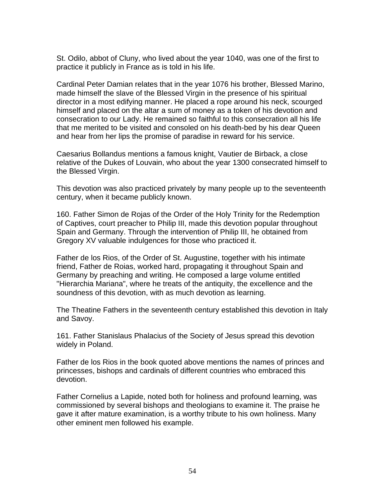St. Odilo, abbot of Cluny, who lived about the year 1040, was one of the first to practice it publicly in France as is told in his life.

Cardinal Peter Damian relates that in the year 1076 his brother, Blessed Marino, made himself the slave of the Blessed Virgin in the presence of his spiritual director in a most edifying manner. He placed a rope around his neck, scourged himself and placed on the altar a sum of money as a token of his devotion and consecration to our Lady. He remained so faithful to this consecration all his life that me merited to be visited and consoled on his death-bed by his dear Queen and hear from her lips the promise of paradise in reward for his service.

Caesarius Bollandus mentions a famous knight, Vautier de Birback, a close relative of the Dukes of Louvain, who about the year 1300 consecrated himself to the Blessed Virgin.

This devotion was also practiced privately by many people up to the seventeenth century, when it became publicly known.

160. Father Simon de Rojas of the Order of the Holy Trinity for the Redemption of Captives, court preacher to Philip III, made this devotion popular throughout Spain and Germany. Through the intervention of Philip III, he obtained from Gregory XV valuable indulgences for those who practiced it.

Father de los Rios, of the Order of St. Augustine, together with his intimate friend, Father de Roias, worked hard, propagating it throughout Spain and Germany by preaching and writing. He composed a large volume entitled "Hierarchia Mariana", where he treats of the antiquity, the excellence and the soundness of this devotion, with as much devotion as learning.

The Theatine Fathers in the seventeenth century established this devotion in Italy and Savoy.

161. Father Stanislaus Phalacius of the Society of Jesus spread this devotion widely in Poland.

Father de los Rios in the book quoted above mentions the names of princes and princesses, bishops and cardinals of different countries who embraced this devotion.

Father Cornelius a Lapide, noted both for holiness and profound learning, was commissioned by several bishops and theologians to examine it. The praise he gave it after mature examination, is a worthy tribute to his own holiness. Many other eminent men followed his example.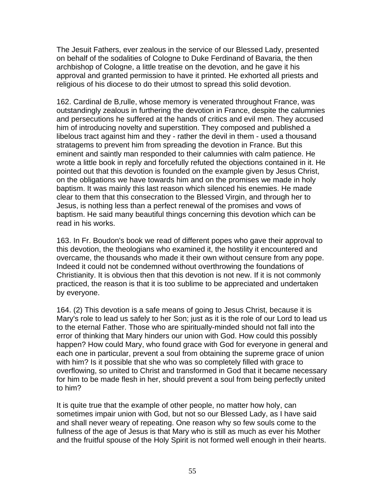The Jesuit Fathers, ever zealous in the service of our Blessed Lady, presented on behalf of the sodalities of Cologne to Duke Ferdinand of Bavaria, the then archbishop of Cologne, a little treatise on the devotion, and he gave it his approval and granted permission to have it printed. He exhorted all priests and religious of his diocese to do their utmost to spread this solid devotion.

162. Cardinal de B, rulle, whose memory is venerated throughout France, was outstandingly zealous in furthering the devotion in France, despite the calumnies and persecutions he suffered at the hands of critics and evil men. They accused him of introducing novelty and superstition. They composed and published a libelous tract against him and they - rather the devil in them - used a thousand stratagems to prevent him from spreading the devotion in France. But this eminent and saintly man responded to their calumnies with calm patience. He wrote a little book in reply and forcefully refuted the objections contained in it. He pointed out that this devotion is founded on the example given by Jesus Christ, on the obligations we have towards him and on the promises we made in holy baptism. It was mainly this last reason which silenced his enemies. He made clear to them that this consecration to the Blessed Virgin, and through her to Jesus, is nothing less than a perfect renewal of the promises and vows of baptism. He said many beautiful things concerning this devotion which can be read in his works.

163. In Fr. Boudon's book we read of different popes who gave their approval to this devotion, the theologians who examined it, the hostility it encountered and overcame, the thousands who made it their own without censure from any pope. Indeed it could not be condemned without overthrowing the foundations of Christianity. It is obvious then that this devotion is not new. If it is not commonly practiced, the reason is that it is too sublime to be appreciated and undertaken by everyone.

164. (2) This devotion is a safe means of going to Jesus Christ, because it is Mary's role to lead us safely to her Son; just as it is the role of our Lord to lead us to the eternal Father. Those who are spiritually-minded should not fall into the error of thinking that Mary hinders our union with God. How could this possibly happen? How could Mary, who found grace with God for everyone in general and each one in particular, prevent a soul from obtaining the supreme grace of union with him? Is it possible that she who was so completely filled with grace to overflowing, so united to Christ and transformed in God that it became necessary for him to be made flesh in her, should prevent a soul from being perfectly united to him?

It is quite true that the example of other people, no matter how holy, can sometimes impair union with God, but not so our Blessed Lady, as I have said and shall never weary of repeating. One reason why so few souls come to the fullness of the age of Jesus is that Mary who is still as much as ever his Mother and the fruitful spouse of the Holy Spirit is not formed well enough in their hearts.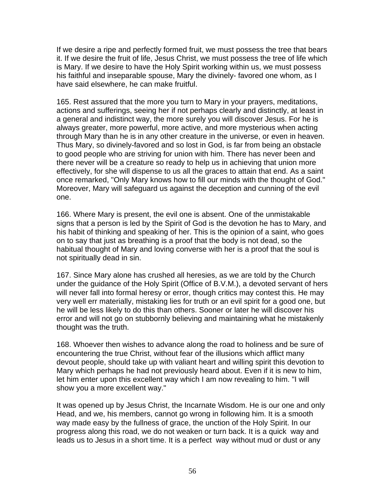If we desire a ripe and perfectly formed fruit, we must possess the tree that bears it. If we desire the fruit of life, Jesus Christ, we must possess the tree of life which is Mary. If we desire to have the Holy Spirit working within us, we must possess his faithful and inseparable spouse, Mary the divinely- favored one whom, as I have said elsewhere, he can make fruitful.

165. Rest assured that the more you turn to Mary in your prayers, meditations, actions and sufferings, seeing her if not perhaps clearly and distinctly, at least in a general and indistinct way, the more surely you will discover Jesus. For he is always greater, more powerful, more active, and more mysterious when acting through Mary than he is in any other creature in the universe, or even in heaven. Thus Mary, so divinely-favored and so lost in God, is far from being an obstacle to good people who are striving for union with him. There has never been and there never will be a creature so ready to help us in achieving that union more effectively, for she will dispense to us all the graces to attain that end. As a saint once remarked, "Only Mary knows how to fill our minds with the thought of God." Moreover, Mary will safeguard us against the deception and cunning of the evil one.

166. Where Mary is present, the evil one is absent. One of the unmistakable signs that a person is led by the Spirit of God is the devotion he has to Mary, and his habit of thinking and speaking of her. This is the opinion of a saint, who goes on to say that just as breathing is a proof that the body is not dead, so the habitual thought of Mary and loving converse with her is a proof that the soul is not spiritually dead in sin.

167. Since Mary alone has crushed all heresies, as we are told by the Church under the guidance of the Holy Spirit (Office of B.V.M.), a devoted servant of hers will never fall into formal heresy or error, though critics may contest this. He may very well err materially, mistaking lies for truth or an evil spirit for a good one, but he will be less likely to do this than others. Sooner or later he will discover his error and will not go on stubbornly believing and maintaining what he mistakenly thought was the truth.

168. Whoever then wishes to advance along the road to holiness and be sure of encountering the true Christ, without fear of the illusions which afflict many devout people, should take up with valiant heart and willing spirit this devotion to Mary which perhaps he had not previously heard about. Even if it is new to him, let him enter upon this excellent way which I am now revealing to him. "I will show you a more excellent way."

It was opened up by Jesus Christ, the Incarnate Wisdom. He is our one and only Head, and we, his members, cannot go wrong in following him. It is a smooth way made easy by the fullness of grace, the unction of the Holy Spirit. In our progress along this road, we do not weaken or turn back. It is a quick way and leads us to Jesus in a short time. It is a perfect way without mud or dust or any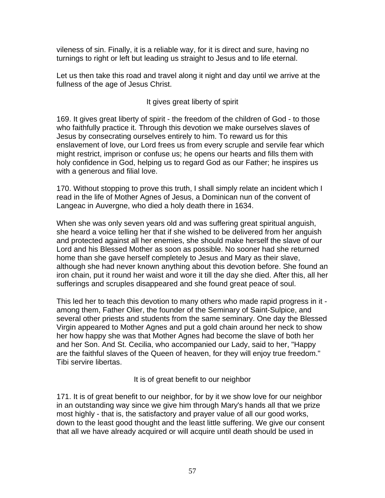vileness of sin. Finally, it is a reliable way, for it is direct and sure, having no turnings to right or left but leading us straight to Jesus and to life eternal.

Let us then take this road and travel along it night and day until we arrive at the fullness of the age of Jesus Christ.

It gives great liberty of spirit

169. It gives great liberty of spirit - the freedom of the children of God - to those who faithfully practice it. Through this devotion we make ourselves slaves of Jesus by consecrating ourselves entirely to him. To reward us for this enslavement of love, our Lord frees us from every scruple and servile fear which might restrict, imprison or confuse us; he opens our hearts and fills them with holy confidence in God, helping us to regard God as our Father; he inspires us with a generous and filial love.

170. Without stopping to prove this truth, I shall simply relate an incident which I read in the life of Mother Agnes of Jesus, a Dominican nun of the convent of Langeac in Auvergne, who died a holy death there in 1634.

When she was only seven years old and was suffering great spiritual anguish, she heard a voice telling her that if she wished to be delivered from her anguish and protected against all her enemies, she should make herself the slave of our Lord and his Blessed Mother as soon as possible. No sooner had she returned home than she gave herself completely to Jesus and Mary as their slave, although she had never known anything about this devotion before. She found an iron chain, put it round her waist and wore it till the day she died. After this, all her sufferings and scruples disappeared and she found great peace of soul.

This led her to teach this devotion to many others who made rapid progress in it among them, Father Olier, the founder of the Seminary of Saint-Sulpice, and several other priests and students from the same seminary. One day the Blessed Virgin appeared to Mother Agnes and put a gold chain around her neck to show her how happy she was that Mother Agnes had become the slave of both her and her Son. And St. Cecilia, who accompanied our Lady, said to her, "Happy are the faithful slaves of the Queen of heaven, for they will enjoy true freedom." Tibi servire libertas.

It is of great benefit to our neighbor

171. It is of great benefit to our neighbor, for by it we show love for our neighbor in an outstanding way since we give him through Mary's hands all that we prize most highly - that is, the satisfactory and prayer value of all our good works, down to the least good thought and the least little suffering. We give our consent that all we have already acquired or will acquire until death should be used in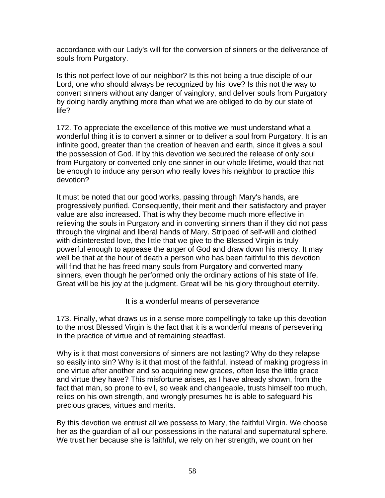accordance with our Lady's will for the conversion of sinners or the deliverance of souls from Purgatory.

Is this not perfect love of our neighbor? Is this not being a true disciple of our Lord, one who should always be recognized by his love? Is this not the way to convert sinners without any danger of vainglory, and deliver souls from Purgatory by doing hardly anything more than what we are obliged to do by our state of life?

172. To appreciate the excellence of this motive we must understand what a wonderful thing it is to convert a sinner or to deliver a soul from Purgatory. It is an infinite good, greater than the creation of heaven and earth, since it gives a soul the possession of God. If by this devotion we secured the release of only soul from Purgatory or converted only one sinner in our whole lifetime, would that not be enough to induce any person who really loves his neighbor to practice this devotion?

It must be noted that our good works, passing through Mary's hands, are progressively purified. Consequently, their merit and their satisfactory and prayer value are also increased. That is why they become much more effective in relieving the souls in Purgatory and in converting sinners than if they did not pass through the virginal and liberal hands of Mary. Stripped of self-will and clothed with disinterested love, the little that we give to the Blessed Virgin is truly powerful enough to appease the anger of God and draw down his mercy. It may well be that at the hour of death a person who has been faithful to this devotion will find that he has freed many souls from Purgatory and converted many sinners, even though he performed only the ordinary actions of his state of life. Great will be his joy at the judgment. Great will be his glory throughout eternity.

It is a wonderful means of perseverance

173. Finally, what draws us in a sense more compellingly to take up this devotion to the most Blessed Virgin is the fact that it is a wonderful means of persevering in the practice of virtue and of remaining steadfast.

Why is it that most conversions of sinners are not lasting? Why do they relapse so easily into sin? Why is it that most of the faithful, instead of making progress in one virtue after another and so acquiring new graces, often lose the little grace and virtue they have? This misfortune arises, as I have already shown, from the fact that man, so prone to evil, so weak and changeable, trusts himself too much, relies on his own strength, and wrongly presumes he is able to safeguard his precious graces, virtues and merits.

By this devotion we entrust all we possess to Mary, the faithful Virgin. We choose her as the guardian of all our possessions in the natural and supernatural sphere. We trust her because she is faithful, we rely on her strength, we count on her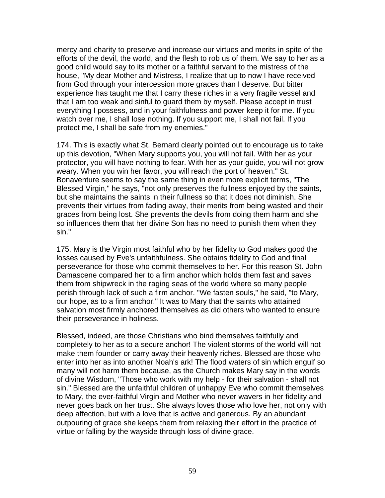mercy and charity to preserve and increase our virtues and merits in spite of the efforts of the devil, the world, and the flesh to rob us of them. We say to her as a good child would say to its mother or a faithful servant to the mistress of the house, "My dear Mother and Mistress, I realize that up to now I have received from God through your intercession more graces than I deserve. But bitter experience has taught me that I carry these riches in a very fragile vessel and that I am too weak and sinful to guard them by myself. Please accept in trust everything I possess, and in your faithfulness and power keep it for me. If you watch over me, I shall lose nothing. If you support me, I shall not fail. If you protect me, I shall be safe from my enemies."

174. This is exactly what St. Bernard clearly pointed out to encourage us to take up this devotion, "When Mary supports you, you will not fail. With her as your protector, you will have nothing to fear. With her as your guide, you will not grow weary. When you win her favor, you will reach the port of heaven." St. Bonaventure seems to say the same thing in even more explicit terms, "The Blessed Virgin," he says, "not only preserves the fullness enjoyed by the saints, but she maintains the saints in their fullness so that it does not diminish. She prevents their virtues from fading away, their merits from being wasted and their graces from being lost. She prevents the devils from doing them harm and she so influences them that her divine Son has no need to punish them when they sin."

175. Mary is the Virgin most faithful who by her fidelity to God makes good the losses caused by Eve's unfaithfulness. She obtains fidelity to God and final perseverance for those who commit themselves to her. For this reason St. John Damascene compared her to a firm anchor which holds them fast and saves them from shipwreck in the raging seas of the world where so many people perish through lack of such a firm anchor. "We fasten souls," he said, "to Mary, our hope, as to a firm anchor." It was to Mary that the saints who attained salvation most firmly anchored themselves as did others who wanted to ensure their perseverance in holiness.

Blessed, indeed, are those Christians who bind themselves faithfully and completely to her as to a secure anchor! The violent storms of the world will not make them founder or carry away their heavenly riches. Blessed are those who enter into her as into another Noah's ark! The flood waters of sin which engulf so many will not harm them because, as the Church makes Mary say in the words of divine Wisdom, "Those who work with my help - for their salvation - shall not sin." Blessed are the unfaithful children of unhappy Eve who commit themselves to Mary, the ever-faithful Virgin and Mother who never wavers in her fidelity and never goes back on her trust. She always loves those who love her, not only with deep affection, but with a love that is active and generous. By an abundant outpouring of grace she keeps them from relaxing their effort in the practice of virtue or falling by the wayside through loss of divine grace.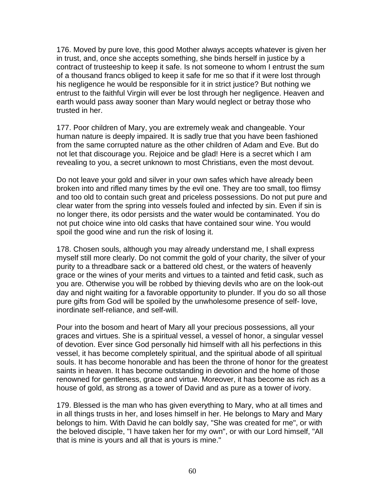176. Moved by pure love, this good Mother always accepts whatever is given her in trust, and, once she accepts something, she binds herself in justice by a contract of trusteeship to keep it safe. Is not someone to whom I entrust the sum of a thousand francs obliged to keep it safe for me so that if it were lost through his negligence he would be responsible for it in strict justice? But nothing we entrust to the faithful Virgin will ever be lost through her negligence. Heaven and earth would pass away sooner than Mary would neglect or betray those who trusted in her.

177. Poor children of Mary, you are extremely weak and changeable. Your human nature is deeply impaired. It is sadly true that you have been fashioned from the same corrupted nature as the other children of Adam and Eve. But do not let that discourage you. Rejoice and be glad! Here is a secret which I am revealing to you, a secret unknown to most Christians, even the most devout.

Do not leave your gold and silver in your own safes which have already been broken into and rifled many times by the evil one. They are too small, too flimsy and too old to contain such great and priceless possessions. Do not put pure and clear water from the spring into vessels fouled and infected by sin. Even if sin is no longer there, its odor persists and the water would be contaminated. You do not put choice wine into old casks that have contained sour wine. You would spoil the good wine and run the risk of losing it.

178. Chosen souls, although you may already understand me, I shall express myself still more clearly. Do not commit the gold of your charity, the silver of your purity to a threadbare sack or a battered old chest, or the waters of heavenly grace or the wines of your merits and virtues to a tainted and fetid cask, such as you are. Otherwise you will be robbed by thieving devils who are on the look-out day and night waiting for a favorable opportunity to plunder. If you do so all those pure gifts from God will be spoiled by the unwholesome presence of self- love, inordinate self-reliance, and self-will.

Pour into the bosom and heart of Mary all your precious possessions, all your graces and virtues. She is a spiritual vessel, a vessel of honor, a singular vessel of devotion. Ever since God personally hid himself with all his perfections in this vessel, it has become completely spiritual, and the spiritual abode of all spiritual souls. It has become honorable and has been the throne of honor for the greatest saints in heaven. It has become outstanding in devotion and the home of those renowned for gentleness, grace and virtue. Moreover, it has become as rich as a house of gold, as strong as a tower of David and as pure as a tower of ivory.

179. Blessed is the man who has given everything to Mary, who at all times and in all things trusts in her, and loses himself in her. He belongs to Mary and Mary belongs to him. With David he can boldly say, "She was created for me", or with the beloved disciple, "I have taken her for my own", or with our Lord himself, "All that is mine is yours and all that is yours is mine."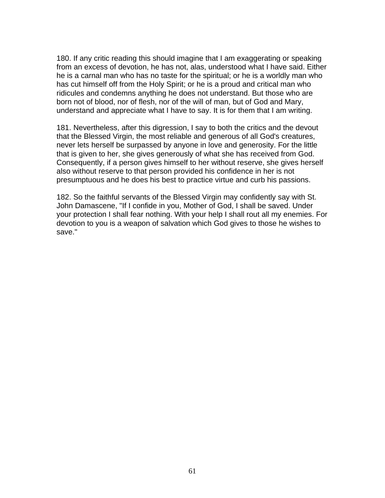180. If any critic reading this should imagine that I am exaggerating or speaking from an excess of devotion, he has not, alas, understood what I have said. Either he is a carnal man who has no taste for the spiritual; or he is a worldly man who has cut himself off from the Holy Spirit; or he is a proud and critical man who ridicules and condemns anything he does not understand. But those who are born not of blood, nor of flesh, nor of the will of man, but of God and Mary, understand and appreciate what I have to say. It is for them that I am writing.

181. Nevertheless, after this digression, I say to both the critics and the devout that the Blessed Virgin, the most reliable and generous of all God's creatures, never lets herself be surpassed by anyone in love and generosity. For the little that is given to her, she gives generously of what she has received from God. Consequently, if a person gives himself to her without reserve, she gives herself also without reserve to that person provided his confidence in her is not presumptuous and he does his best to practice virtue and curb his passions.

182. So the faithful servants of the Blessed Virgin may confidently say with St. John Damascene, "If I confide in you, Mother of God, I shall be saved. Under your protection I shall fear nothing. With your help I shall rout all my enemies. For devotion to you is a weapon of salvation which God gives to those he wishes to save."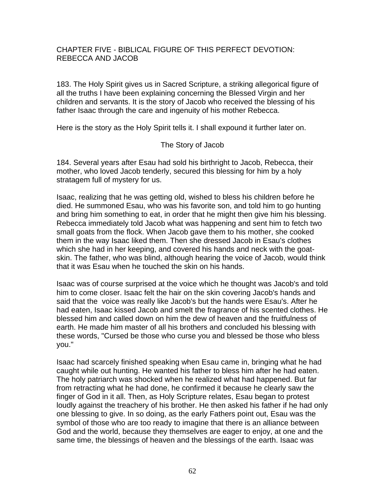## CHAPTER FIVE - BIBLICAL FIGURE OF THIS PERFECT DEVOTION: REBECCA AND JACOB

183. The Holy Spirit gives us in Sacred Scripture, a striking allegorical figure of all the truths I have been explaining concerning the Blessed Virgin and her children and servants. It is the story of Jacob who received the blessing of his father Isaac through the care and ingenuity of his mother Rebecca.

Here is the story as the Holy Spirit tells it. I shall expound it further later on.

### The Story of Jacob

184. Several years after Esau had sold his birthright to Jacob, Rebecca, their mother, who loved Jacob tenderly, secured this blessing for him by a holy stratagem full of mystery for us.

Isaac, realizing that he was getting old, wished to bless his children before he died. He summoned Esau, who was his favorite son, and told him to go hunting and bring him something to eat, in order that he might then give him his blessing. Rebecca immediately told Jacob what was happening and sent him to fetch two small goats from the flock. When Jacob gave them to his mother, she cooked them in the way Isaac liked them. Then she dressed Jacob in Esau's clothes which she had in her keeping, and covered his hands and neck with the goatskin. The father, who was blind, although hearing the voice of Jacob, would think that it was Esau when he touched the skin on his hands.

Isaac was of course surprised at the voice which he thought was Jacob's and told him to come closer. Isaac felt the hair on the skin covering Jacob's hands and said that the voice was really like Jacob's but the hands were Esau's. After he had eaten, Isaac kissed Jacob and smelt the fragrance of his scented clothes. He blessed him and called down on him the dew of heaven and the fruitfulness of earth. He made him master of all his brothers and concluded his blessing with these words, "Cursed be those who curse you and blessed be those who bless you."

Isaac had scarcely finished speaking when Esau came in, bringing what he had caught while out hunting. He wanted his father to bless him after he had eaten. The holy patriarch was shocked when he realized what had happened. But far from retracting what he had done, he confirmed it because he clearly saw the finger of God in it all. Then, as Holy Scripture relates, Esau began to protest loudly against the treachery of his brother. He then asked his father if he had only one blessing to give. In so doing, as the early Fathers point out, Esau was the symbol of those who are too ready to imagine that there is an alliance between God and the world, because they themselves are eager to enjoy, at one and the same time, the blessings of heaven and the blessings of the earth. Isaac was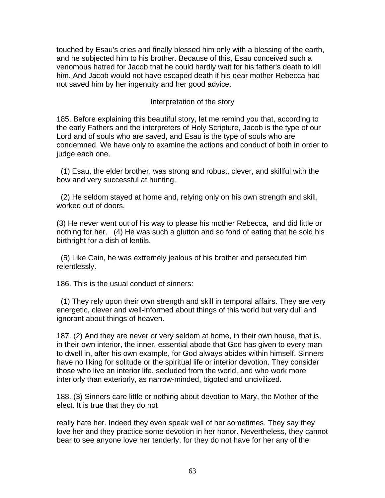touched by Esau's cries and finally blessed him only with a blessing of the earth, and he subjected him to his brother. Because of this, Esau conceived such a venomous hatred for Jacob that he could hardly wait for his father's death to kill him. And Jacob would not have escaped death if his dear mother Rebecca had not saved him by her ingenuity and her good advice.

### Interpretation of the story

185. Before explaining this beautiful story, let me remind you that, according to the early Fathers and the interpreters of Holy Scripture, Jacob is the type of our Lord and of souls who are saved, and Esau is the type of souls who are condemned. We have only to examine the actions and conduct of both in order to judge each one.

 (1) Esau, the elder brother, was strong and robust, clever, and skillful with the bow and very successful at hunting.

 (2) He seldom stayed at home and, relying only on his own strength and skill, worked out of doors.

(3) He never went out of his way to please his mother Rebecca, and did little or nothing for her. (4) He was such a glutton and so fond of eating that he sold his birthright for a dish of lentils.

 (5) Like Cain, he was extremely jealous of his brother and persecuted him relentlessly.

186. This is the usual conduct of sinners:

 (1) They rely upon their own strength and skill in temporal affairs. They are very energetic, clever and well-informed about things of this world but very dull and ignorant about things of heaven.

187. (2) And they are never or very seldom at home, in their own house, that is, in their own interior, the inner, essential abode that God has given to every man to dwell in, after his own example, for God always abides within himself. Sinners have no liking for solitude or the spiritual life or interior devotion. They consider those who live an interior life, secluded from the world, and who work more interiorly than exteriorly, as narrow-minded, bigoted and uncivilized.

188. (3) Sinners care little or nothing about devotion to Mary, the Mother of the elect. It is true that they do not

really hate her. Indeed they even speak well of her sometimes. They say they love her and they practice some devotion in her honor. Nevertheless, they cannot bear to see anyone love her tenderly, for they do not have for her any of the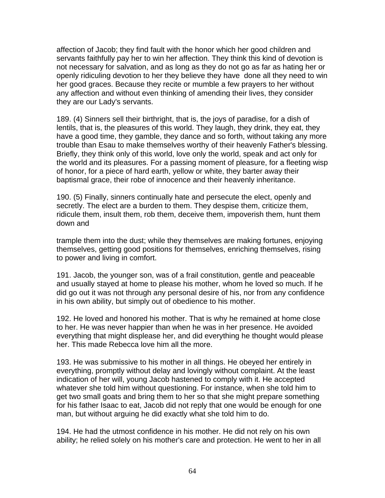affection of Jacob; they find fault with the honor which her good children and servants faithfully pay her to win her affection. They think this kind of devotion is not necessary for salvation, and as long as they do not go as far as hating her or openly ridiculing devotion to her they believe they have done all they need to win her good graces. Because they recite or mumble a few prayers to her without any affection and without even thinking of amending their lives, they consider they are our Lady's servants.

189. (4) Sinners sell their birthright, that is, the joys of paradise, for a dish of lentils, that is, the pleasures of this world. They laugh, they drink, they eat, they have a good time, they gamble, they dance and so forth, without taking any more trouble than Esau to make themselves worthy of their heavenly Father's blessing. Briefly, they think only of this world, love only the world, speak and act only for the world and its pleasures. For a passing moment of pleasure, for a fleeting wisp of honor, for a piece of hard earth, yellow or white, they barter away their baptismal grace, their robe of innocence and their heavenly inheritance.

190. (5) Finally, sinners continually hate and persecute the elect, openly and secretly. The elect are a burden to them. They despise them, criticize them, ridicule them, insult them, rob them, deceive them, impoverish them, hunt them down and

trample them into the dust; while they themselves are making fortunes, enjoying themselves, getting good positions for themselves, enriching themselves, rising to power and living in comfort.

191. Jacob, the younger son, was of a frail constitution, gentle and peaceable and usually stayed at home to please his mother, whom he loved so much. If he did go out it was not through any personal desire of his, nor from any confidence in his own ability, but simply out of obedience to his mother.

192. He loved and honored his mother. That is why he remained at home close to her. He was never happier than when he was in her presence. He avoided everything that might displease her, and did everything he thought would please her. This made Rebecca love him all the more.

193. He was submissive to his mother in all things. He obeyed her entirely in everything, promptly without delay and lovingly without complaint. At the least indication of her will, young Jacob hastened to comply with it. He accepted whatever she told him without questioning. For instance, when she told him to get two small goats and bring them to her so that she might prepare something for his father Isaac to eat, Jacob did not reply that one would be enough for one man, but without arguing he did exactly what she told him to do.

194. He had the utmost confidence in his mother. He did not rely on his own ability; he relied solely on his mother's care and protection. He went to her in all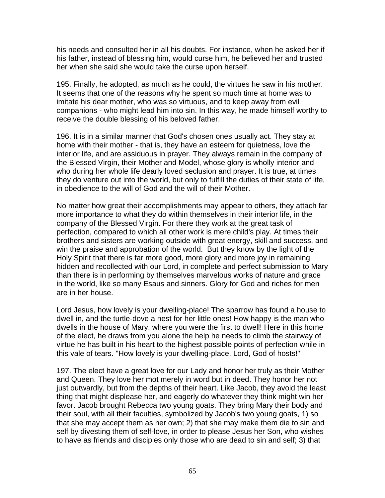his needs and consulted her in all his doubts. For instance, when he asked her if his father, instead of blessing him, would curse him, he believed her and trusted her when she said she would take the curse upon herself.

195. Finally, he adopted, as much as he could, the virtues he saw in his mother. It seems that one of the reasons why he spent so much time at home was to imitate his dear mother, who was so virtuous, and to keep away from evil companions - who might lead him into sin. In this way, he made himself worthy to receive the double blessing of his beloved father.

196. It is in a similar manner that God's chosen ones usually act. They stay at home with their mother - that is, they have an esteem for quietness, love the interior life, and are assiduous in prayer. They always remain in the company of the Blessed Virgin, their Mother and Model, whose glory is wholly interior and who during her whole life dearly loved seclusion and prayer. It is true, at times they do venture out into the world, but only to fulfill the duties of their state of life, in obedience to the will of God and the will of their Mother.

No matter how great their accomplishments may appear to others, they attach far more importance to what they do within themselves in their interior life, in the company of the Blessed Virgin. For there they work at the great task of perfection, compared to which all other work is mere child's play. At times their brothers and sisters are working outside with great energy, skill and success, and win the praise and approbation of the world. But they know by the light of the Holy Spirit that there is far more good, more glory and more joy in remaining hidden and recollected with our Lord, in complete and perfect submission to Mary than there is in performing by themselves marvelous works of nature and grace in the world, like so many Esaus and sinners. Glory for God and riches for men are in her house.

Lord Jesus, how lovely is your dwelling-place! The sparrow has found a house to dwell in, and the turtle-dove a nest for her little ones! How happy is the man who dwells in the house of Mary, where you were the first to dwell! Here in this home of the elect, he draws from you alone the help he needs to climb the stairway of virtue he has built in his heart to the highest possible points of perfection while in this vale of tears. "How lovely is your dwelling-place, Lord, God of hosts!"

197. The elect have a great love for our Lady and honor her truly as their Mother and Queen. They love her mot merely in word but in deed. They honor her not just outwardly, but from the depths of their heart. Like Jacob, they avoid the least thing that might displease her, and eagerly do whatever they think might win her favor. Jacob brought Rebecca two young goats. They bring Mary their body and their soul, with all their faculties, symbolized by Jacob's two young goats, 1) so that she may accept them as her own; 2) that she may make them die to sin and self by divesting them of self-love, in order to please Jesus her Son, who wishes to have as friends and disciples only those who are dead to sin and self; 3) that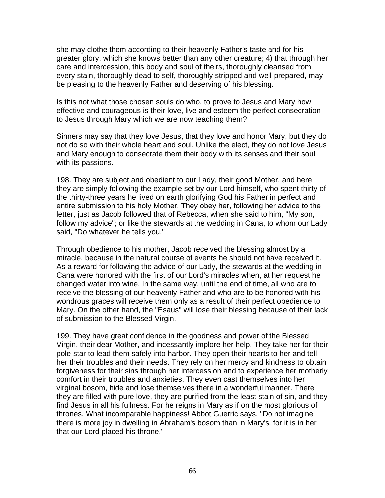she may clothe them according to their heavenly Father's taste and for his greater glory, which she knows better than any other creature; 4) that through her care and intercession, this body and soul of theirs, thoroughly cleansed from every stain, thoroughly dead to self, thoroughly stripped and well-prepared, may be pleasing to the heavenly Father and deserving of his blessing.

Is this not what those chosen souls do who, to prove to Jesus and Mary how effective and courageous is their love, live and esteem the perfect consecration to Jesus through Mary which we are now teaching them?

Sinners may say that they love Jesus, that they love and honor Mary, but they do not do so with their whole heart and soul. Unlike the elect, they do not love Jesus and Mary enough to consecrate them their body with its senses and their soul with its passions.

198. They are subject and obedient to our Lady, their good Mother, and here they are simply following the example set by our Lord himself, who spent thirty of the thirty-three years he lived on earth glorifying God his Father in perfect and entire submission to his holy Mother. They obey her, following her advice to the letter, just as Jacob followed that of Rebecca, when she said to him, "My son, follow my advice"; or like the stewards at the wedding in Cana, to whom our Lady said, "Do whatever he tells you."

Through obedience to his mother, Jacob received the blessing almost by a miracle, because in the natural course of events he should not have received it. As a reward for following the advice of our Lady, the stewards at the wedding in Cana were honored with the first of our Lord's miracles when, at her request he changed water into wine. In the same way, until the end of time, all who are to receive the blessing of our heavenly Father and who are to be honored with his wondrous graces will receive them only as a result of their perfect obedience to Mary. On the other hand, the "Esaus" will lose their blessing because of their lack of submission to the Blessed Virgin.

199. They have great confidence in the goodness and power of the Blessed Virgin, their dear Mother, and incessantly implore her help. They take her for their pole-star to lead them safely into harbor. They open their hearts to her and tell her their troubles and their needs. They rely on her mercy and kindness to obtain forgiveness for their sins through her intercession and to experience her motherly comfort in their troubles and anxieties. They even cast themselves into her virginal bosom, hide and lose themselves there in a wonderful manner. There they are filled with pure love, they are purified from the least stain of sin, and they find Jesus in all his fullness. For he reigns in Mary as if on the most glorious of thrones. What incomparable happiness! Abbot Guerric says, "Do not imagine there is more joy in dwelling in Abraham's bosom than in Mary's, for it is in her that our Lord placed his throne."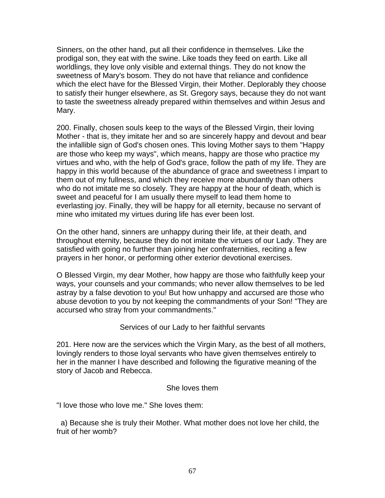Sinners, on the other hand, put all their confidence in themselves. Like the prodigal son, they eat with the swine. Like toads they feed on earth. Like all worldlings, they love only visible and external things. They do not know the sweetness of Mary's bosom. They do not have that reliance and confidence which the elect have for the Blessed Virgin, their Mother. Deplorably they choose to satisfy their hunger elsewhere, as St. Gregory says, because they do not want to taste the sweetness already prepared within themselves and within Jesus and Mary.

200. Finally, chosen souls keep to the ways of the Blessed Virgin, their loving Mother - that is, they imitate her and so are sincerely happy and devout and bear the infallible sign of God's chosen ones. This loving Mother says to them "Happy are those who keep my ways", which means, happy are those who practice my virtues and who, with the help of God's grace, follow the path of my life. They are happy in this world because of the abundance of grace and sweetness I impart to them out of my fullness, and which they receive more abundantly than others who do not imitate me so closely. They are happy at the hour of death, which is sweet and peaceful for I am usually there myself to lead them home to everlasting joy. Finally, they will be happy for all eternity, because no servant of mine who imitated my virtues during life has ever been lost.

On the other hand, sinners are unhappy during their life, at their death, and throughout eternity, because they do not imitate the virtues of our Lady. They are satisfied with going no further than joining her confraternities, reciting a few prayers in her honor, or performing other exterior devotional exercises.

O Blessed Virgin, my dear Mother, how happy are those who faithfully keep your ways, your counsels and your commands; who never allow themselves to be led astray by a false devotion to you! But how unhappy and accursed are those who abuse devotion to you by not keeping the commandments of your Son! "They are accursed who stray from your commandments."

### Services of our Lady to her faithful servants

201. Here now are the services which the Virgin Mary, as the best of all mothers, lovingly renders to those loyal servants who have given themselves entirely to her in the manner I have described and following the figurative meaning of the story of Jacob and Rebecca.

#### She loves them

"I love those who love me." She loves them:

 a) Because she is truly their Mother. What mother does not love her child, the fruit of her womb?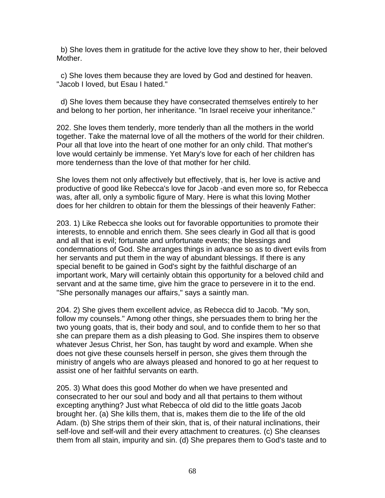b) She loves them in gratitude for the active love they show to her, their beloved Mother.

 c) She loves them because they are loved by God and destined for heaven. "Jacob I loved, but Esau I hated."

 d) She loves them because they have consecrated themselves entirely to her and belong to her portion, her inheritance. "In Israel receive your inheritance."

202. She loves them tenderly, more tenderly than all the mothers in the world together. Take the maternal love of all the mothers of the world for their children. Pour all that love into the heart of one mother for an only child. That mother's love would certainly be immense. Yet Mary's love for each of her children has more tenderness than the love of that mother for her child.

She loves them not only affectively but effectively, that is, her love is active and productive of good like Rebecca's love for Jacob -and even more so, for Rebecca was, after all, only a symbolic figure of Mary. Here is what this loving Mother does for her children to obtain for them the blessings of their heavenly Father:

203. 1) Like Rebecca she looks out for favorable opportunities to promote their interests, to ennoble and enrich them. She sees clearly in God all that is good and all that is evil; fortunate and unfortunate events; the blessings and condemnations of God. She arranges things in advance so as to divert evils from her servants and put them in the way of abundant blessings. If there is any special benefit to be gained in God's sight by the faithful discharge of an important work, Mary will certainly obtain this opportunity for a beloved child and servant and at the same time, give him the grace to persevere in it to the end. "She personally manages our affairs," says a saintly man.

204. 2) She gives them excellent advice, as Rebecca did to Jacob. "My son, follow my counsels." Among other things, she persuades them to bring her the two young goats, that is, their body and soul, and to confide them to her so that she can prepare them as a dish pleasing to God. She inspires them to observe whatever Jesus Christ, her Son, has taught by word and example. When she does not give these counsels herself in person, she gives them through the ministry of angels who are always pleased and honored to go at her request to assist one of her faithful servants on earth.

205. 3) What does this good Mother do when we have presented and consecrated to her our soul and body and all that pertains to them without excepting anything? Just what Rebecca of old did to the little goats Jacob brought her. (a) She kills them, that is, makes them die to the life of the old Adam. (b) She strips them of their skin, that is, of their natural inclinations, their self-love and self-will and their every attachment to creatures. (c) She cleanses them from all stain, impurity and sin. (d) She prepares them to God's taste and to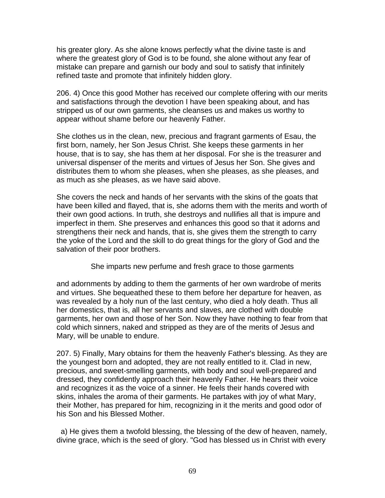his greater glory. As she alone knows perfectly what the divine taste is and where the greatest glory of God is to be found, she alone without any fear of mistake can prepare and garnish our body and soul to satisfy that infinitely refined taste and promote that infinitely hidden glory.

206. 4) Once this good Mother has received our complete offering with our merits and satisfactions through the devotion I have been speaking about, and has stripped us of our own garments, she cleanses us and makes us worthy to appear without shame before our heavenly Father.

She clothes us in the clean, new, precious and fragrant garments of Esau, the first born, namely, her Son Jesus Christ. She keeps these garments in her house, that is to say, she has them at her disposal. For she is the treasurer and universal dispenser of the merits and virtues of Jesus her Son. She gives and distributes them to whom she pleases, when she pleases, as she pleases, and as much as she pleases, as we have said above.

She covers the neck and hands of her servants with the skins of the goats that have been killed and flayed, that is, she adorns them with the merits and worth of their own good actions. In truth, she destroys and nullifies all that is impure and imperfect in them. She preserves and enhances this good so that it adorns and strengthens their neck and hands, that is, she gives them the strength to carry the yoke of the Lord and the skill to do great things for the glory of God and the salvation of their poor brothers.

She imparts new perfume and fresh grace to those garments

and adornments by adding to them the garments of her own wardrobe of merits and virtues. She bequeathed these to them before her departure for heaven, as was revealed by a holy nun of the last century, who died a holy death. Thus all her domestics, that is, all her servants and slaves, are clothed with double garments, her own and those of her Son. Now they have nothing to fear from that cold which sinners, naked and stripped as they are of the merits of Jesus and Mary, will be unable to endure.

207. 5) Finally, Mary obtains for them the heavenly Father's blessing. As they are the youngest born and adopted, they are not really entitled to it. Clad in new, precious, and sweet-smelling garments, with body and soul well-prepared and dressed, they confidently approach their heavenly Father. He hears their voice and recognizes it as the voice of a sinner. He feels their hands covered with skins, inhales the aroma of their garments. He partakes with joy of what Mary, their Mother, has prepared for him, recognizing in it the merits and good odor of his Son and his Blessed Mother.

 a) He gives them a twofold blessing, the blessing of the dew of heaven, namely, divine grace, which is the seed of glory. "God has blessed us in Christ with every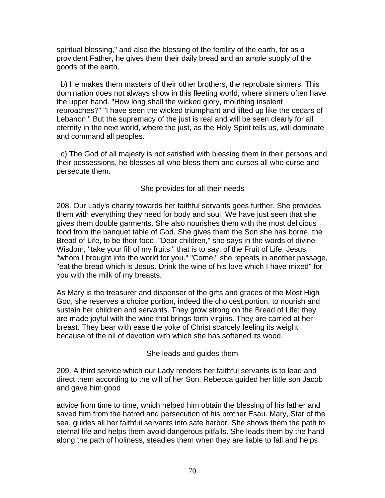spiritual blessing," and also the blessing of the fertility of the earth, for as a provident Father, he gives them their daily bread and an ample supply of the goods of the earth.

 b) He makes them masters of their other brothers, the reprobate sinners. This domination does not always show in this fleeting world, where sinners often have the upper hand. "How long shall the wicked glory, mouthing insolent reproaches?" "I have seen the wicked triumphant and lifted up like the cedars of Lebanon." But the supremacy of the just is real and will be seen clearly for all eternity in the next world, where the just, as the Holy Spirit tells us, will dominate and command all peoples.

 c) The God of all majesty is not satisfied with blessing them in their persons and their possessions, he blesses all who bless them and curses all who curse and persecute them.

### She provides for all their needs

208. Our Lady's charity towards her faithful servants goes further. She provides them with everything they need for body and soul. We have just seen that she gives them double garments. She also nourishes them with the most delicious food from the banquet table of God. She gives them the Son she has borne, the Bread of Life, to be their food. "Dear children," she says in the words of divine Wisdom, "take your fill of my fruits," that is to say, of the Fruit of Life, Jesus, "whom I brought into the world for you." "Come," she repeats in another passage, "eat the bread which is Jesus. Drink the wine of his love which I have mixed" for you with the milk of my breasts.

As Mary is the treasurer and dispenser of the gifts and graces of the Most High God, she reserves a choice portion, indeed the choicest portion, to nourish and sustain her children and servants. They grow strong on the Bread of Life; they are made joyful with the wine that brings forth virgins. They are carried at her breast. They bear with ease the yoke of Christ scarcely feeling its weight because of the oil of devotion with which she has softened its wood.

### She leads and guides them

209. A third service which our Lady renders her faithful servants is to lead and direct them according to the will of her Son. Rebecca guided her little son Jacob and gave him good

advice from time to time, which helped him obtain the blessing of his father and saved him from the hatred and persecution of his brother Esau. Mary, Star of the sea, guides all her faithful servants into safe harbor. She shows them the path to eternal life and helps them avoid dangerous pitfalls. She leads them by the hand along the path of holiness, steadies them when they are liable to fall and helps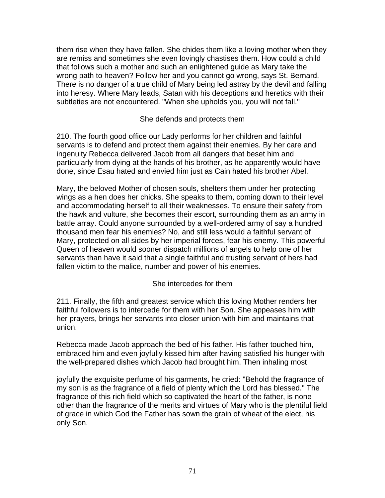them rise when they have fallen. She chides them like a loving mother when they are remiss and sometimes she even lovingly chastises them. How could a child that follows such a mother and such an enlightened guide as Mary take the wrong path to heaven? Follow her and you cannot go wrong, says St. Bernard. There is no danger of a true child of Mary being led astray by the devil and falling into heresy. Where Mary leads, Satan with his deceptions and heretics with their subtleties are not encountered. "When she upholds you, you will not fall."

# She defends and protects them

210. The fourth good office our Lady performs for her children and faithful servants is to defend and protect them against their enemies. By her care and ingenuity Rebecca delivered Jacob from all dangers that beset him and particularly from dying at the hands of his brother, as he apparently would have done, since Esau hated and envied him just as Cain hated his brother Abel.

Mary, the beloved Mother of chosen souls, shelters them under her protecting wings as a hen does her chicks. She speaks to them, coming down to their level and accommodating herself to all their weaknesses. To ensure their safety from the hawk and vulture, she becomes their escort, surrounding them as an army in battle array. Could anyone surrounded by a well-ordered army of say a hundred thousand men fear his enemies? No, and still less would a faithful servant of Mary, protected on all sides by her imperial forces, fear his enemy. This powerful Queen of heaven would sooner dispatch millions of angels to help one of her servants than have it said that a single faithful and trusting servant of hers had fallen victim to the malice, number and power of his enemies.

### She intercedes for them

211. Finally, the fifth and greatest service which this loving Mother renders her faithful followers is to intercede for them with her Son. She appeases him with her prayers, brings her servants into closer union with him and maintains that union.

Rebecca made Jacob approach the bed of his father. His father touched him, embraced him and even joyfully kissed him after having satisfied his hunger with the well-prepared dishes which Jacob had brought him. Then inhaling most

joyfully the exquisite perfume of his garments, he cried: "Behold the fragrance of my son is as the fragrance of a field of plenty which the Lord has blessed." The fragrance of this rich field which so captivated the heart of the father, is none other than the fragrance of the merits and virtues of Mary who is the plentiful field of grace in which God the Father has sown the grain of wheat of the elect, his only Son.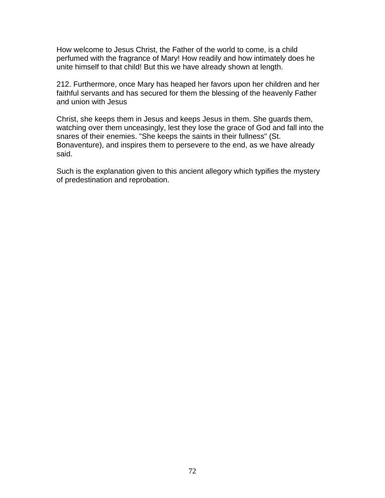How welcome to Jesus Christ, the Father of the world to come, is a child perfumed with the fragrance of Mary! How readily and how intimately does he unite himself to that child! But this we have already shown at length.

212. Furthermore, once Mary has heaped her favors upon her children and her faithful servants and has secured for them the blessing of the heavenly Father and union with Jesus

Christ, she keeps them in Jesus and keeps Jesus in them. She guards them, watching over them unceasingly, lest they lose the grace of God and fall into the snares of their enemies. "She keeps the saints in their fullness" (St. Bonaventure), and inspires them to persevere to the end, as we have already said.

Such is the explanation given to this ancient allegory which typifies the mystery of predestination and reprobation.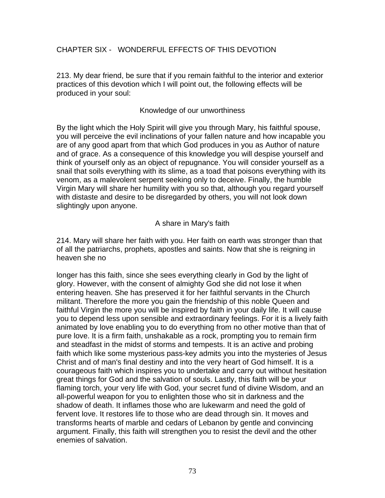### CHAPTER SIX - WONDERFUL EFFECTS OF THIS DEVOTION

213. My dear friend, be sure that if you remain faithful to the interior and exterior practices of this devotion which I will point out, the following effects will be produced in your soul:

#### Knowledge of our unworthiness

By the light which the Holy Spirit will give you through Mary, his faithful spouse, you will perceive the evil inclinations of your fallen nature and how incapable you are of any good apart from that which God produces in you as Author of nature and of grace. As a consequence of this knowledge you will despise yourself and think of yourself only as an object of repugnance. You will consider yourself as a snail that soils everything with its slime, as a toad that poisons everything with its venom, as a malevolent serpent seeking only to deceive. Finally, the humble Virgin Mary will share her humility with you so that, although you regard yourself with distaste and desire to be disregarded by others, you will not look down slightingly upon anyone.

#### A share in Mary's faith

214. Mary will share her faith with you. Her faith on earth was stronger than that of all the patriarchs, prophets, apostles and saints. Now that she is reigning in heaven she no

longer has this faith, since she sees everything clearly in God by the light of glory. However, with the consent of almighty God she did not lose it when entering heaven. She has preserved it for her faithful servants in the Church militant. Therefore the more you gain the friendship of this noble Queen and faithful Virgin the more you will be inspired by faith in your daily life. It will cause you to depend less upon sensible and extraordinary feelings. For it is a lively faith animated by love enabling you to do everything from no other motive than that of pure love. It is a firm faith, unshakable as a rock, prompting you to remain firm and steadfast in the midst of storms and tempests. It is an active and probing faith which like some mysterious pass-key admits you into the mysteries of Jesus Christ and of man's final destiny and into the very heart of God himself. It is a courageous faith which inspires you to undertake and carry out without hesitation great things for God and the salvation of souls. Lastly, this faith will be your flaming torch, your very life with God, your secret fund of divine Wisdom, and an all-powerful weapon for you to enlighten those who sit in darkness and the shadow of death. It inflames those who are lukewarm and need the gold of fervent love. It restores life to those who are dead through sin. It moves and transforms hearts of marble and cedars of Lebanon by gentle and convincing argument. Finally, this faith will strengthen you to resist the devil and the other enemies of salvation.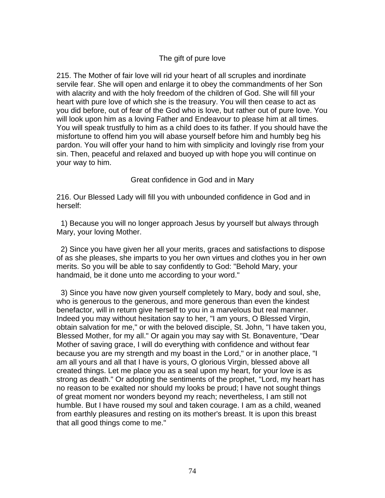### The gift of pure love

215. The Mother of fair love will rid your heart of all scruples and inordinate servile fear. She will open and enlarge it to obey the commandments of her Son with alacrity and with the holy freedom of the children of God. She will fill your heart with pure love of which she is the treasury. You will then cease to act as you did before, out of fear of the God who is love, but rather out of pure love. You will look upon him as a loving Father and Endeavour to please him at all times. You will speak trustfully to him as a child does to its father. If you should have the misfortune to offend him you will abase yourself before him and humbly beg his pardon. You will offer your hand to him with simplicity and lovingly rise from your sin. Then, peaceful and relaxed and buoyed up with hope you will continue on your way to him.

Great confidence in God and in Mary

216. Our Blessed Lady will fill you with unbounded confidence in God and in herself:

 1) Because you will no longer approach Jesus by yourself but always through Mary, your loving Mother.

 2) Since you have given her all your merits, graces and satisfactions to dispose of as she pleases, she imparts to you her own virtues and clothes you in her own merits. So you will be able to say confidently to God: "Behold Mary, your handmaid, be it done unto me according to your word."

 3) Since you have now given yourself completely to Mary, body and soul, she, who is generous to the generous, and more generous than even the kindest benefactor, will in return give herself to you in a marvelous but real manner. Indeed you may without hesitation say to her, "I am yours, O Blessed Virgin, obtain salvation for me," or with the beloved disciple, St. John, "I have taken you, Blessed Mother, for my all." Or again you may say with St. Bonaventure, "Dear Mother of saving grace, I will do everything with confidence and without fear because you are my strength and my boast in the Lord," or in another place, "I am all yours and all that I have is yours, O glorious Virgin, blessed above all created things. Let me place you as a seal upon my heart, for your love is as strong as death." Or adopting the sentiments of the prophet, "Lord, my heart has no reason to be exalted nor should my looks be proud; I have not sought things of great moment nor wonders beyond my reach; nevertheless, I am still not humble. But I have roused my soul and taken courage. I am as a child, weaned from earthly pleasures and resting on its mother's breast. It is upon this breast that all good things come to me."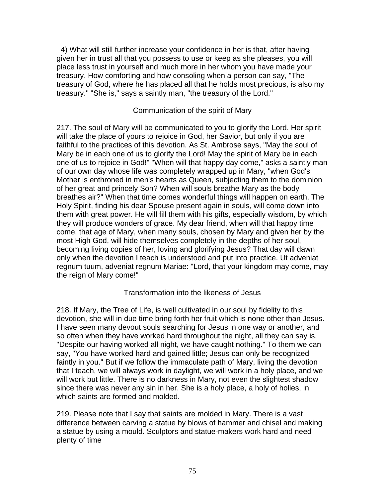4) What will still further increase your confidence in her is that, after having given her in trust all that you possess to use or keep as she pleases, you will place less trust in yourself and much more in her whom you have made your treasury. How comforting and how consoling when a person can say, "The treasury of God, where he has placed all that he holds most precious, is also my treasury." "She is," says a saintly man, "the treasury of the Lord."

#### Communication of the spirit of Mary

217. The soul of Mary will be communicated to you to glorify the Lord. Her spirit will take the place of yours to rejoice in God, her Savior, but only if you are faithful to the practices of this devotion. As St. Ambrose says, "May the soul of Mary be in each one of us to glorify the Lord! May the spirit of Mary be in each one of us to rejoice in God!" "When will that happy day come," asks a saintly man of our own day whose life was completely wrapped up in Mary, "when God's Mother is enthroned in men's hearts as Queen, subjecting them to the dominion of her great and princely Son? When will souls breathe Mary as the body breathes air?" When that time comes wonderful things will happen on earth. The Holy Spirit, finding his dear Spouse present again in souls, will come down into them with great power. He will fill them with his gifts, especially wisdom, by which they will produce wonders of grace. My dear friend, when will that happy time come, that age of Mary, when many souls, chosen by Mary and given her by the most High God, will hide themselves completely in the depths of her soul, becoming living copies of her, loving and glorifying Jesus? That day will dawn only when the devotion I teach is understood and put into practice. Ut adveniat regnum tuum, adveniat regnum Mariae: "Lord, that your kingdom may come, may the reign of Mary come!"

#### Transformation into the likeness of Jesus

218. If Mary, the Tree of Life, is well cultivated in our soul by fidelity to this devotion, she will in due time bring forth her fruit which is none other than Jesus. I have seen many devout souls searching for Jesus in one way or another, and so often when they have worked hard throughout the night, all they can say is, "Despite our having worked all night, we have caught nothing." To them we can say, "You have worked hard and gained little; Jesus can only be recognized faintly in you." But if we follow the immaculate path of Mary, living the devotion that I teach, we will always work in daylight, we will work in a holy place, and we will work but little. There is no darkness in Mary, not even the slightest shadow since there was never any sin in her. She is a holy place, a holy of holies, in which saints are formed and molded.

219. Please note that I say that saints are molded in Mary. There is a vast difference between carving a statue by blows of hammer and chisel and making a statue by using a mould. Sculptors and statue-makers work hard and need plenty of time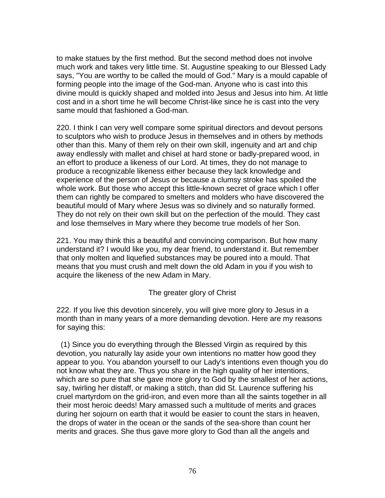to make statues by the first method. But the second method does not involve much work and takes very little time. St. Augustine speaking to our Blessed Lady says, "You are worthy to be called the mould of God." Mary is a mould capable of forming people into the image of the God-man. Anyone who is cast into this divine mould is quickly shaped and molded into Jesus and Jesus into him. At little cost and in a short time he will become Christ-like since he is cast into the very same mould that fashioned a God-man.

220. I think I can very well compare some spiritual directors and devout persons to sculptors who wish to produce Jesus in themselves and in others by methods other than this. Many of them rely on their own skill, ingenuity and art and chip away endlessly with mallet and chisel at hard stone or badly-prepared wood, in an effort to produce a likeness of our Lord. At times, they do not manage to produce a recognizable likeness either because they lack knowledge and experience of the person of Jesus or because a clumsy stroke has spoiled the whole work. But those who accept this little-known secret of grace which I offer them can rightly be compared to smelters and molders who have discovered the beautiful mould of Mary where Jesus was so divinely and so naturally formed. They do not rely on their own skill but on the perfection of the mould. They cast and lose themselves in Mary where they become true models of her Son.

221. You may think this a beautiful and convincing comparison. But how many understand it? I would like you, my dear friend, to understand it. But remember that only molten and liquefied substances may be poured into a mould. That means that you must crush and melt down the old Adam in you if you wish to acquire the likeness of the new Adam in Mary.

## The greater glory of Christ

222. If you live this devotion sincerely, you will give more glory to Jesus in a month than in many years of a more demanding devotion. Here are my reasons for saying this:

 (1) Since you do everything through the Blessed Virgin as required by this devotion, you naturally lay aside your own intentions no matter how good they appear to you. You abandon yourself to our Lady's intentions even though you do not know what they are. Thus you share in the high quality of her intentions, which are so pure that she gave more glory to God by the smallest of her actions, say, twirling her distaff, or making a stitch, than did St. Laurence suffering his cruel martyrdom on the grid-iron, and even more than all the saints together in all their most heroic deeds! Mary amassed such a multitude of merits and graces during her sojourn on earth that it would be easier to count the stars in heaven, the drops of water in the ocean or the sands of the sea-shore than count her merits and graces. She thus gave more glory to God than all the angels and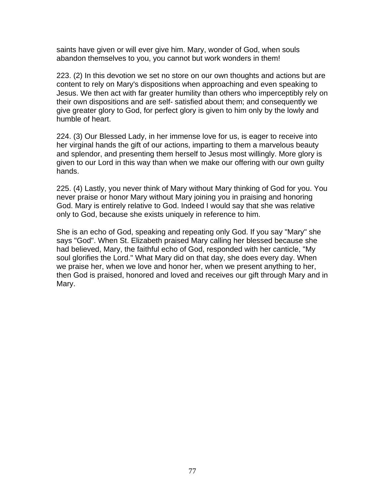saints have given or will ever give him. Mary, wonder of God, when souls abandon themselves to you, you cannot but work wonders in them!

223. (2) In this devotion we set no store on our own thoughts and actions but are content to rely on Mary's dispositions when approaching and even speaking to Jesus. We then act with far greater humility than others who imperceptibly rely on their own dispositions and are self- satisfied about them; and consequently we give greater glory to God, for perfect glory is given to him only by the lowly and humble of heart.

224. (3) Our Blessed Lady, in her immense love for us, is eager to receive into her virginal hands the gift of our actions, imparting to them a marvelous beauty and splendor, and presenting them herself to Jesus most willingly. More glory is given to our Lord in this way than when we make our offering with our own guilty hands.

225. (4) Lastly, you never think of Mary without Mary thinking of God for you. You never praise or honor Mary without Mary joining you in praising and honoring God. Mary is entirely relative to God. Indeed I would say that she was relative only to God, because she exists uniquely in reference to him.

She is an echo of God, speaking and repeating only God. If you say "Mary" she says "God". When St. Elizabeth praised Mary calling her blessed because she had believed, Mary, the faithful echo of God, responded with her canticle, "My soul glorifies the Lord." What Mary did on that day, she does every day. When we praise her, when we love and honor her, when we present anything to her, then God is praised, honored and loved and receives our gift through Mary and in Mary.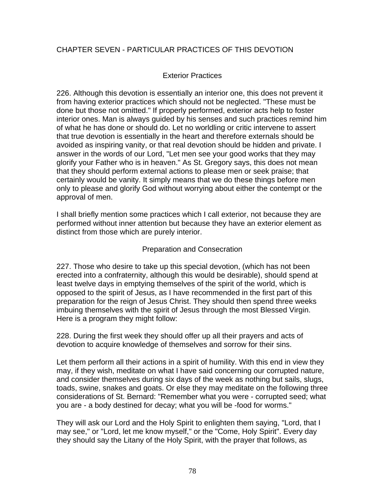## CHAPTER SEVEN - PARTICULAR PRACTICES OF THIS DEVOTION

### Exterior Practices

226. Although this devotion is essentially an interior one, this does not prevent it from having exterior practices which should not be neglected. "These must be done but those not omitted." If properly performed, exterior acts help to foster interior ones. Man is always guided by his senses and such practices remind him of what he has done or should do. Let no worldling or critic intervene to assert that true devotion is essentially in the heart and therefore externals should be avoided as inspiring vanity, or that real devotion should be hidden and private. I answer in the words of our Lord, "Let men see your good works that they may glorify your Father who is in heaven." As St. Gregory says, this does not mean that they should perform external actions to please men or seek praise; that certainly would be vanity. It simply means that we do these things before men only to please and glorify God without worrying about either the contempt or the approval of men.

I shall briefly mention some practices which I call exterior, not because they are performed without inner attention but because they have an exterior element as distinct from those which are purely interior.

#### Preparation and Consecration

227. Those who desire to take up this special devotion, (which has not been erected into a confraternity, although this would be desirable), should spend at least twelve days in emptying themselves of the spirit of the world, which is opposed to the spirit of Jesus, as I have recommended in the first part of this preparation for the reign of Jesus Christ. They should then spend three weeks imbuing themselves with the spirit of Jesus through the most Blessed Virgin. Here is a program they might follow:

228. During the first week they should offer up all their prayers and acts of devotion to acquire knowledge of themselves and sorrow for their sins.

Let them perform all their actions in a spirit of humility. With this end in view they may, if they wish, meditate on what I have said concerning our corrupted nature, and consider themselves during six days of the week as nothing but sails, slugs, toads, swine, snakes and goats. Or else they may meditate on the following three considerations of St. Bernard: "Remember what you were - corrupted seed; what you are - a body destined for decay; what you will be -food for worms."

They will ask our Lord and the Holy Spirit to enlighten them saying, "Lord, that I may see," or "Lord, let me know myself," or the "Come, Holy Spirit". Every day they should say the Litany of the Holy Spirit, with the prayer that follows, as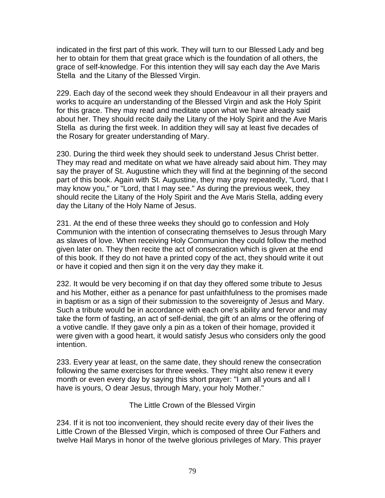indicated in the first part of this work. They will turn to our Blessed Lady and beg her to obtain for them that great grace which is the foundation of all others, the grace of self-knowledge. For this intention they will say each day the Ave Maris Stella and the Litany of the Blessed Virgin.

229. Each day of the second week they should Endeavour in all their prayers and works to acquire an understanding of the Blessed Virgin and ask the Holy Spirit for this grace. They may read and meditate upon what we have already said about her. They should recite daily the Litany of the Holy Spirit and the Ave Maris Stella as during the first week. In addition they will say at least five decades of the Rosary for greater understanding of Mary.

230. During the third week they should seek to understand Jesus Christ better. They may read and meditate on what we have already said about him. They may say the prayer of St. Augustine which they will find at the beginning of the second part of this book. Again with St. Augustine, they may pray repeatedly, "Lord, that I may know you," or "Lord, that I may see." As during the previous week, they should recite the Litany of the Holy Spirit and the Ave Maris Stella, adding every day the Litany of the Holy Name of Jesus.

231. At the end of these three weeks they should go to confession and Holy Communion with the intention of consecrating themselves to Jesus through Mary as slaves of love. When receiving Holy Communion they could follow the method given later on. They then recite the act of consecration which is given at the end of this book. If they do not have a printed copy of the act, they should write it out or have it copied and then sign it on the very day they make it.

232. It would be very becoming if on that day they offered some tribute to Jesus and his Mother, either as a penance for past unfaithfulness to the promises made in baptism or as a sign of their submission to the sovereignty of Jesus and Mary. Such a tribute would be in accordance with each one's ability and fervor and may take the form of fasting, an act of self-denial, the gift of an alms or the offering of a votive candle. If they gave only a pin as a token of their homage, provided it were given with a good heart, it would satisfy Jesus who considers only the good intention.

233. Every year at least, on the same date, they should renew the consecration following the same exercises for three weeks. They might also renew it every month or even every day by saying this short prayer: "I am all yours and all I have is yours, O dear Jesus, through Mary, your holy Mother."

The Little Crown of the Blessed Virgin

234. If it is not too inconvenient, they should recite every day of their lives the Little Crown of the Blessed Virgin, which is composed of three Our Fathers and twelve Hail Marys in honor of the twelve glorious privileges of Mary. This prayer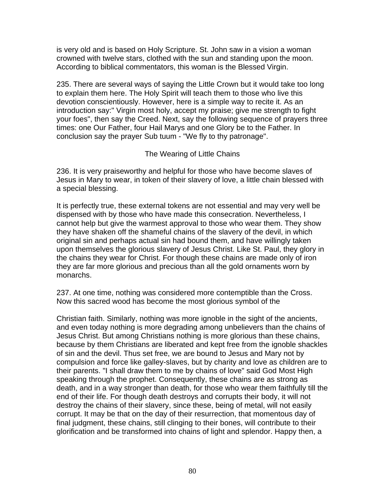is very old and is based on Holy Scripture. St. John saw in a vision a woman crowned with twelve stars, clothed with the sun and standing upon the moon. According to biblical commentators, this woman is the Blessed Virgin.

235. There are several ways of saying the Little Crown but it would take too long to explain them here. The Holy Spirit will teach them to those who live this devotion conscientiously. However, here is a simple way to recite it. As an introduction say:" Virgin most holy, accept my praise; give me strength to fight your foes", then say the Creed. Next, say the following sequence of prayers three times: one Our Father, four Hail Marys and one Glory be to the Father. In conclusion say the prayer Sub tuum - "We fly to thy patronage".

#### The Wearing of Little Chains

236. It is very praiseworthy and helpful for those who have become slaves of Jesus in Mary to wear, in token of their slavery of love, a little chain blessed with a special blessing.

It is perfectly true, these external tokens are not essential and may very well be dispensed with by those who have made this consecration. Nevertheless, I cannot help but give the warmest approval to those who wear them. They show they have shaken off the shameful chains of the slavery of the devil, in which original sin and perhaps actual sin had bound them, and have willingly taken upon themselves the glorious slavery of Jesus Christ. Like St. Paul, they glory in the chains they wear for Christ. For though these chains are made only of iron they are far more glorious and precious than all the gold ornaments worn by monarchs.

237. At one time, nothing was considered more contemptible than the Cross. Now this sacred wood has become the most glorious symbol of the

Christian faith. Similarly, nothing was more ignoble in the sight of the ancients, and even today nothing is more degrading among unbelievers than the chains of Jesus Christ. But among Christians nothing is more glorious than these chains, because by them Christians are liberated and kept free from the ignoble shackles of sin and the devil. Thus set free, we are bound to Jesus and Mary not by compulsion and force like galley-slaves, but by charity and love as children are to their parents. "I shall draw them to me by chains of love" said God Most High speaking through the prophet. Consequently, these chains are as strong as death, and in a way stronger than death, for those who wear them faithfully till the end of their life. For though death destroys and corrupts their body, it will not destroy the chains of their slavery, since these, being of metal, will not easily corrupt. It may be that on the day of their resurrection, that momentous day of final judgment, these chains, still clinging to their bones, will contribute to their glorification and be transformed into chains of light and splendor. Happy then, a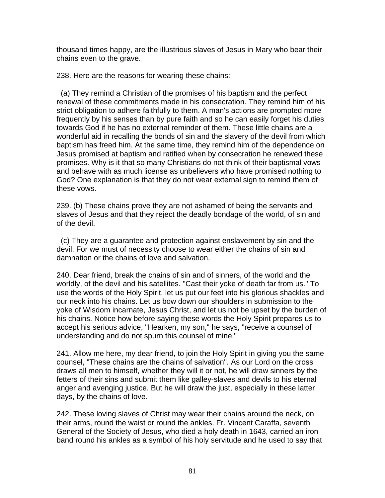thousand times happy, are the illustrious slaves of Jesus in Mary who bear their chains even to the grave.

238. Here are the reasons for wearing these chains:

 (a) They remind a Christian of the promises of his baptism and the perfect renewal of these commitments made in his consecration. They remind him of his strict obligation to adhere faithfully to them. A man's actions are prompted more frequently by his senses than by pure faith and so he can easily forget his duties towards God if he has no external reminder of them. These little chains are a wonderful aid in recalling the bonds of sin and the slavery of the devil from which baptism has freed him. At the same time, they remind him of the dependence on Jesus promised at baptism and ratified when by consecration he renewed these promises. Why is it that so many Christians do not think of their baptismal vows and behave with as much license as unbelievers who have promised nothing to God? One explanation is that they do not wear external sign to remind them of these vows.

239. (b) These chains prove they are not ashamed of being the servants and slaves of Jesus and that they reject the deadly bondage of the world, of sin and of the devil.

 (c) They are a guarantee and protection against enslavement by sin and the devil. For we must of necessity choose to wear either the chains of sin and damnation or the chains of love and salvation.

240. Dear friend, break the chains of sin and of sinners, of the world and the worldly, of the devil and his satellites. "Cast their yoke of death far from us." To use the words of the Holy Spirit, let us put our feet into his glorious shackles and our neck into his chains. Let us bow down our shoulders in submission to the yoke of Wisdom incarnate, Jesus Christ, and let us not be upset by the burden of his chains. Notice how before saying these words the Holy Spirit prepares us to accept his serious advice, "Hearken, my son," he says, "receive a counsel of understanding and do not spurn this counsel of mine."

241. Allow me here, my dear friend, to join the Holy Spirit in giving you the same counsel, "These chains are the chains of salvation". As our Lord on the cross draws all men to himself, whether they will it or not, he will draw sinners by the fetters of their sins and submit them like galley-slaves and devils to his eternal anger and avenging justice. But he will draw the just, especially in these latter days, by the chains of love.

242. These loving slaves of Christ may wear their chains around the neck, on their arms, round the waist or round the ankles. Fr. Vincent Caraffa, seventh General of the Society of Jesus, who died a holy death in 1643, carried an iron band round his ankles as a symbol of his holy servitude and he used to say that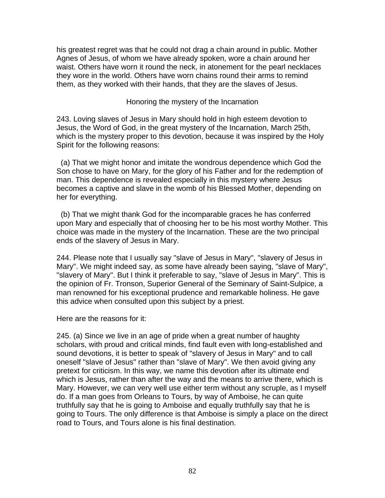his greatest regret was that he could not drag a chain around in public. Mother Agnes of Jesus, of whom we have already spoken, wore a chain around her waist. Others have worn it round the neck, in atonement for the pearl necklaces they wore in the world. Others have worn chains round their arms to remind them, as they worked with their hands, that they are the slaves of Jesus.

Honoring the mystery of the Incarnation

243. Loving slaves of Jesus in Mary should hold in high esteem devotion to Jesus, the Word of God, in the great mystery of the Incarnation, March 25th, which is the mystery proper to this devotion, because it was inspired by the Holy Spirit for the following reasons:

 (a) That we might honor and imitate the wondrous dependence which God the Son chose to have on Mary, for the glory of his Father and for the redemption of man. This dependence is revealed especially in this mystery where Jesus becomes a captive and slave in the womb of his Blessed Mother, depending on her for everything.

 (b) That we might thank God for the incomparable graces he has conferred upon Mary and especially that of choosing her to be his most worthy Mother. This choice was made in the mystery of the Incarnation. These are the two principal ends of the slavery of Jesus in Mary.

244. Please note that I usually say "slave of Jesus in Mary", "slavery of Jesus in Mary". We might indeed say, as some have already been saying, "slave of Mary", "slavery of Mary". But I think it preferable to say, "slave of Jesus in Mary". This is the opinion of Fr. Tronson, Superior General of the Seminary of Saint-Sulpice, a man renowned for his exceptional prudence and remarkable holiness. He gave this advice when consulted upon this subject by a priest.

Here are the reasons for it:

245. (a) Since we live in an age of pride when a great number of haughty scholars, with proud and critical minds, find fault even with long-established and sound devotions, it is better to speak of "slavery of Jesus in Mary" and to call oneself "slave of Jesus" rather than "slave of Mary". We then avoid giving any pretext for criticism. In this way, we name this devotion after its ultimate end which is Jesus, rather than after the way and the means to arrive there, which is Mary. However, we can very well use either term without any scruple, as I myself do. If a man goes from Orleans to Tours, by way of Amboise, he can quite truthfully say that he is going to Amboise and equally truthfully say that he is going to Tours. The only difference is that Amboise is simply a place on the direct road to Tours, and Tours alone is his final destination.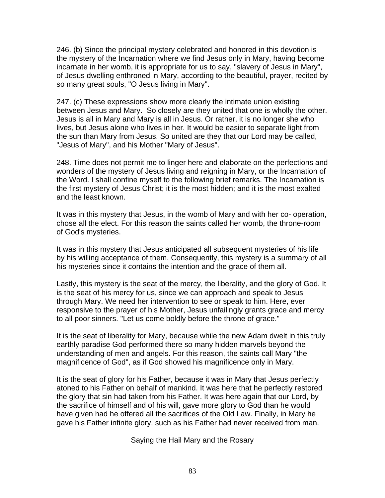246. (b) Since the principal mystery celebrated and honored in this devotion is the mystery of the Incarnation where we find Jesus only in Mary, having become incarnate in her womb, it is appropriate for us to say, "slavery of Jesus in Mary", of Jesus dwelling enthroned in Mary, according to the beautiful, prayer, recited by so many great souls, "O Jesus living in Mary".

247. (c) These expressions show more clearly the intimate union existing between Jesus and Mary. So closely are they united that one is wholly the other. Jesus is all in Mary and Mary is all in Jesus. Or rather, it is no longer she who lives, but Jesus alone who lives in her. It would be easier to separate light from the sun than Mary from Jesus. So united are they that our Lord may be called, "Jesus of Mary", and his Mother "Mary of Jesus".

248. Time does not permit me to linger here and elaborate on the perfections and wonders of the mystery of Jesus living and reigning in Mary, or the Incarnation of the Word. I shall confine myself to the following brief remarks. The Incarnation is the first mystery of Jesus Christ; it is the most hidden; and it is the most exalted and the least known.

It was in this mystery that Jesus, in the womb of Mary and with her co- operation, chose all the elect. For this reason the saints called her womb, the throne-room of God's mysteries.

It was in this mystery that Jesus anticipated all subsequent mysteries of his life by his willing acceptance of them. Consequently, this mystery is a summary of all his mysteries since it contains the intention and the grace of them all.

Lastly, this mystery is the seat of the mercy, the liberality, and the glory of God. It is the seat of his mercy for us, since we can approach and speak to Jesus through Mary. We need her intervention to see or speak to him. Here, ever responsive to the prayer of his Mother, Jesus unfailingly grants grace and mercy to all poor sinners. "Let us come boldly before the throne of grace."

It is the seat of liberality for Mary, because while the new Adam dwelt in this truly earthly paradise God performed there so many hidden marvels beyond the understanding of men and angels. For this reason, the saints call Mary "the magnificence of God", as if God showed his magnificence only in Mary.

It is the seat of glory for his Father, because it was in Mary that Jesus perfectly atoned to his Father on behalf of mankind. It was here that he perfectly restored the glory that sin had taken from his Father. It was here again that our Lord, by the sacrifice of himself and of his will, gave more glory to God than he would have given had he offered all the sacrifices of the Old Law. Finally, in Mary he gave his Father infinite glory, such as his Father had never received from man.

Saying the Hail Mary and the Rosary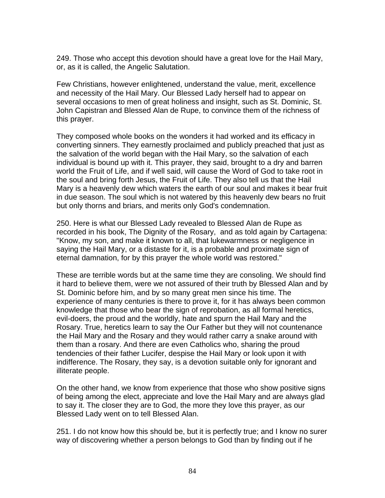249. Those who accept this devotion should have a great love for the Hail Mary, or, as it is called, the Angelic Salutation.

Few Christians, however enlightened, understand the value, merit, excellence and necessity of the Hail Mary. Our Blessed Lady herself had to appear on several occasions to men of great holiness and insight, such as St. Dominic, St. John Capistran and Blessed Alan de Rupe, to convince them of the richness of this prayer.

They composed whole books on the wonders it had worked and its efficacy in converting sinners. They earnestly proclaimed and publicly preached that just as the salvation of the world began with the Hail Mary, so the salvation of each individual is bound up with it. This prayer, they said, brought to a dry and barren world the Fruit of Life, and if well said, will cause the Word of God to take root in the soul and bring forth Jesus, the Fruit of Life. They also tell us that the Hail Mary is a heavenly dew which waters the earth of our soul and makes it bear fruit in due season. The soul which is not watered by this heavenly dew bears no fruit but only thorns and briars, and merits only God's condemnation.

250. Here is what our Blessed Lady revealed to Blessed Alan de Rupe as recorded in his book, The Dignity of the Rosary, and as told again by Cartagena: "Know, my son, and make it known to all, that lukewarmness or negligence in saying the Hail Mary, or a distaste for it, is a probable and proximate sign of eternal damnation, for by this prayer the whole world was restored."

These are terrible words but at the same time they are consoling. We should find it hard to believe them, were we not assured of their truth by Blessed Alan and by St. Dominic before him, and by so many great men since his time. The experience of many centuries is there to prove it, for it has always been common knowledge that those who bear the sign of reprobation, as all formal heretics, evil-doers, the proud and the worldly, hate and spurn the Hail Mary and the Rosary. True, heretics learn to say the Our Father but they will not countenance the Hail Mary and the Rosary and they would rather carry a snake around with them than a rosary. And there are even Catholics who, sharing the proud tendencies of their father Lucifer, despise the Hail Mary or look upon it with indifference. The Rosary, they say, is a devotion suitable only for ignorant and illiterate people.

On the other hand, we know from experience that those who show positive signs of being among the elect, appreciate and love the Hail Mary and are always glad to say it. The closer they are to God, the more they love this prayer, as our Blessed Lady went on to tell Blessed Alan.

251. I do not know how this should be, but it is perfectly true; and I know no surer way of discovering whether a person belongs to God than by finding out if he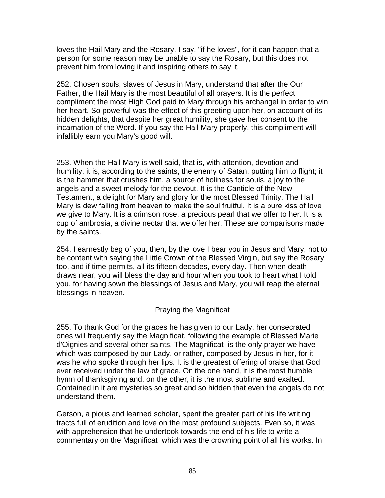loves the Hail Mary and the Rosary. I say, "if he loves", for it can happen that a person for some reason may be unable to say the Rosary, but this does not prevent him from loving it and inspiring others to say it.

252. Chosen souls, slaves of Jesus in Mary, understand that after the Our Father, the Hail Mary is the most beautiful of all prayers. It is the perfect compliment the most High God paid to Mary through his archangel in order to win her heart. So powerful was the effect of this greeting upon her, on account of its hidden delights, that despite her great humility, she gave her consent to the incarnation of the Word. If you say the Hail Mary properly, this compliment will infallibly earn you Mary's good will.

253. When the Hail Mary is well said, that is, with attention, devotion and humility, it is, according to the saints, the enemy of Satan, putting him to flight; it is the hammer that crushes him, a source of holiness for souls, a joy to the angels and a sweet melody for the devout. It is the Canticle of the New Testament, a delight for Mary and glory for the most Blessed Trinity. The Hail Mary is dew falling from heaven to make the soul fruitful. It is a pure kiss of love we give to Mary. It is a crimson rose, a precious pearl that we offer to her. It is a cup of ambrosia, a divine nectar that we offer her. These are comparisons made by the saints.

254. I earnestly beg of you, then, by the love I bear you in Jesus and Mary, not to be content with saying the Little Crown of the Blessed Virgin, but say the Rosary too, and if time permits, all its fifteen decades, every day. Then when death draws near, you will bless the day and hour when you took to heart what I told you, for having sown the blessings of Jesus and Mary, you will reap the eternal blessings in heaven.

## Praying the Magnificat

255. To thank God for the graces he has given to our Lady, her consecrated ones will frequently say the Magnificat, following the example of Blessed Marie d'Oignies and several other saints. The Magnificat is the only prayer we have which was composed by our Lady, or rather, composed by Jesus in her, for it was he who spoke through her lips. It is the greatest offering of praise that God ever received under the law of grace. On the one hand, it is the most humble hymn of thanksgiving and, on the other, it is the most sublime and exalted. Contained in it are mysteries so great and so hidden that even the angels do not understand them.

Gerson, a pious and learned scholar, spent the greater part of his life writing tracts full of erudition and love on the most profound subjects. Even so, it was with apprehension that he undertook towards the end of his life to write a commentary on the Magnificat which was the crowning point of all his works. In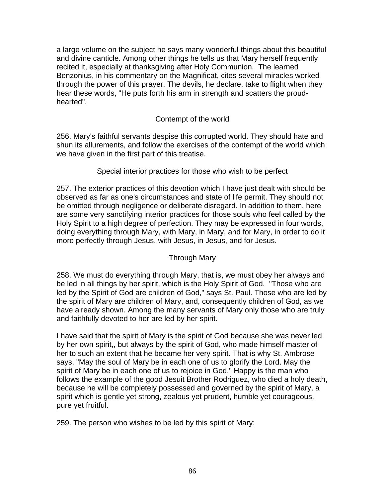a large volume on the subject he says many wonderful things about this beautiful and divine canticle. Among other things he tells us that Mary herself frequently recited it, especially at thanksgiving after Holy Communion. The learned Benzonius, in his commentary on the Magnificat, cites several miracles worked through the power of this prayer. The devils, he declare, take to flight when they hear these words, "He puts forth his arm in strength and scatters the proudhearted".

### Contempt of the world

256. Mary's faithful servants despise this corrupted world. They should hate and shun its allurements, and follow the exercises of the contempt of the world which we have given in the first part of this treatise.

#### Special interior practices for those who wish to be perfect

257. The exterior practices of this devotion which I have just dealt with should be observed as far as one's circumstances and state of life permit. They should not be omitted through negligence or deliberate disregard. In addition to them, here are some very sanctifying interior practices for those souls who feel called by the Holy Spirit to a high degree of perfection. They may be expressed in four words, doing everything through Mary, with Mary, in Mary, and for Mary, in order to do it more perfectly through Jesus, with Jesus, in Jesus, and for Jesus.

## Through Mary

258. We must do everything through Mary, that is, we must obey her always and be led in all things by her spirit, which is the Holy Spirit of God. "Those who are led by the Spirit of God are children of God," says St. Paul. Those who are led by the spirit of Mary are children of Mary, and, consequently children of God, as we have already shown. Among the many servants of Mary only those who are truly and faithfully devoted to her are led by her spirit.

I have said that the spirit of Mary is the spirit of God because she was never led by her own spirit,, but always by the spirit of God, who made himself master of her to such an extent that he became her very spirit. That is why St. Ambrose says, "May the soul of Mary be in each one of us to glorify the Lord. May the spirit of Mary be in each one of us to rejoice in God." Happy is the man who follows the example of the good Jesuit Brother Rodriguez, who died a holy death, because he will be completely possessed and governed by the spirit of Mary, a spirit which is gentle yet strong, zealous yet prudent, humble yet courageous, pure yet fruitful.

259. The person who wishes to be led by this spirit of Mary: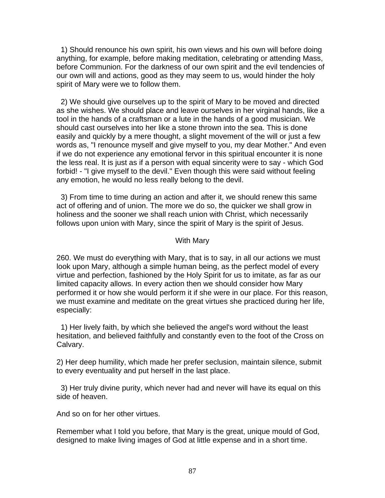1) Should renounce his own spirit, his own views and his own will before doing anything, for example, before making meditation, celebrating or attending Mass, before Communion. For the darkness of our own spirit and the evil tendencies of our own will and actions, good as they may seem to us, would hinder the holy spirit of Mary were we to follow them.

 2) We should give ourselves up to the spirit of Mary to be moved and directed as she wishes. We should place and leave ourselves in her virginal hands, like a tool in the hands of a craftsman or a lute in the hands of a good musician. We should cast ourselves into her like a stone thrown into the sea. This is done easily and quickly by a mere thought, a slight movement of the will or just a few words as, "I renounce myself and give myself to you, my dear Mother." And even if we do not experience any emotional fervor in this spiritual encounter it is none the less real. It is just as if a person with equal sincerity were to say - which God forbid! - "I give myself to the devil." Even though this were said without feeling any emotion, he would no less really belong to the devil.

 3) From time to time during an action and after it, we should renew this same act of offering and of union. The more we do so, the quicker we shall grow in holiness and the sooner we shall reach union with Christ, which necessarily follows upon union with Mary, since the spirit of Mary is the spirit of Jesus.

#### With Mary

260. We must do everything with Mary, that is to say, in all our actions we must look upon Mary, although a simple human being, as the perfect model of every virtue and perfection, fashioned by the Holy Spirit for us to imitate, as far as our limited capacity allows. In every action then we should consider how Mary performed it or how she would perform it if she were in our place. For this reason, we must examine and meditate on the great virtues she practiced during her life, especially:

 1) Her lively faith, by which she believed the angel's word without the least hesitation, and believed faithfully and constantly even to the foot of the Cross on Calvary.

2) Her deep humility, which made her prefer seclusion, maintain silence, submit to every eventuality and put herself in the last place.

 3) Her truly divine purity, which never had and never will have its equal on this side of heaven.

And so on for her other virtues.

Remember what I told you before, that Mary is the great, unique mould of God, designed to make living images of God at little expense and in a short time.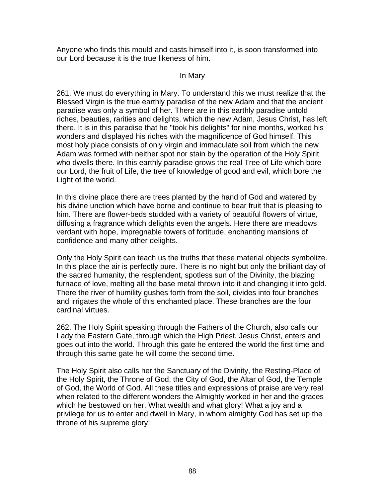Anyone who finds this mould and casts himself into it, is soon transformed into our Lord because it is the true likeness of him.

#### In Mary

261. We must do everything in Mary. To understand this we must realize that the Blessed Virgin is the true earthly paradise of the new Adam and that the ancient paradise was only a symbol of her. There are in this earthly paradise untold riches, beauties, rarities and delights, which the new Adam, Jesus Christ, has left there. It is in this paradise that he "took his delights" for nine months, worked his wonders and displayed his riches with the magnificence of God himself. This most holy place consists of only virgin and immaculate soil from which the new Adam was formed with neither spot nor stain by the operation of the Holy Spirit who dwells there. In this earthly paradise grows the real Tree of Life which bore our Lord, the fruit of Life, the tree of knowledge of good and evil, which bore the Light of the world.

In this divine place there are trees planted by the hand of God and watered by his divine unction which have borne and continue to bear fruit that is pleasing to him. There are flower-beds studded with a variety of beautiful flowers of virtue, diffusing a fragrance which delights even the angels. Here there are meadows verdant with hope, impregnable towers of fortitude, enchanting mansions of confidence and many other delights.

Only the Holy Spirit can teach us the truths that these material objects symbolize. In this place the air is perfectly pure. There is no night but only the brilliant day of the sacred humanity, the resplendent, spotless sun of the Divinity, the blazing furnace of love, melting all the base metal thrown into it and changing it into gold. There the river of humility gushes forth from the soil, divides into four branches and irrigates the whole of this enchanted place. These branches are the four cardinal virtues.

262. The Holy Spirit speaking through the Fathers of the Church, also calls our Lady the Eastern Gate, through which the High Priest, Jesus Christ, enters and goes out into the world. Through this gate he entered the world the first time and through this same gate he will come the second time.

The Holy Spirit also calls her the Sanctuary of the Divinity, the Resting-Place of the Holy Spirit, the Throne of God, the City of God, the Altar of God, the Temple of God, the World of God. All these titles and expressions of praise are very real when related to the different wonders the Almighty worked in her and the graces which he bestowed on her. What wealth and what glory! What a joy and a privilege for us to enter and dwell in Mary, in whom almighty God has set up the throne of his supreme glory!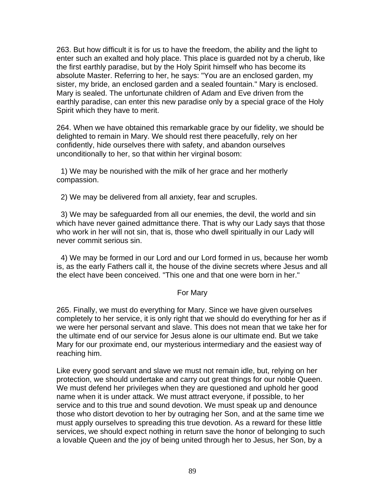263. But how difficult it is for us to have the freedom, the ability and the light to enter such an exalted and holy place. This place is guarded not by a cherub, like the first earthly paradise, but by the Holy Spirit himself who has become its absolute Master. Referring to her, he says: "You are an enclosed garden, my sister, my bride, an enclosed garden and a sealed fountain." Mary is enclosed. Mary is sealed. The unfortunate children of Adam and Eve driven from the earthly paradise, can enter this new paradise only by a special grace of the Holy Spirit which they have to merit.

264. When we have obtained this remarkable grace by our fidelity, we should be delighted to remain in Mary. We should rest there peacefully, rely on her confidently, hide ourselves there with safety, and abandon ourselves unconditionally to her, so that within her virginal bosom:

 1) We may be nourished with the milk of her grace and her motherly compassion.

2) We may be delivered from all anxiety, fear and scruples.

 3) We may be safeguarded from all our enemies, the devil, the world and sin which have never gained admittance there. That is why our Lady says that those who work in her will not sin, that is, those who dwell spiritually in our Lady will never commit serious sin.

 4) We may be formed in our Lord and our Lord formed in us, because her womb is, as the early Fathers call it, the house of the divine secrets where Jesus and all the elect have been conceived. "This one and that one were born in her."

#### For Mary

265. Finally, we must do everything for Mary. Since we have given ourselves completely to her service, it is only right that we should do everything for her as if we were her personal servant and slave. This does not mean that we take her for the ultimate end of our service for Jesus alone is our ultimate end. But we take Mary for our proximate end, our mysterious intermediary and the easiest way of reaching him.

Like every good servant and slave we must not remain idle, but, relying on her protection, we should undertake and carry out great things for our noble Queen. We must defend her privileges when they are questioned and uphold her good name when it is under attack. We must attract everyone, if possible, to her service and to this true and sound devotion. We must speak up and denounce those who distort devotion to her by outraging her Son, and at the same time we must apply ourselves to spreading this true devotion. As a reward for these little services, we should expect nothing in return save the honor of belonging to such a lovable Queen and the joy of being united through her to Jesus, her Son, by a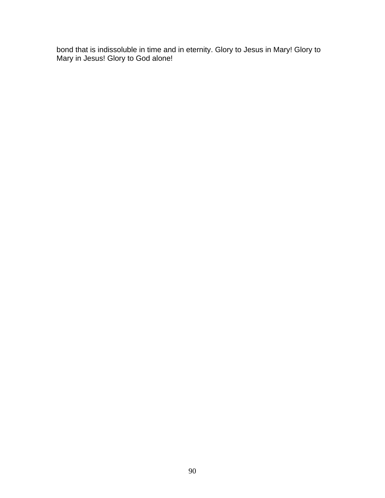bond that is indissoluble in time and in eternity. Glory to Jesus in Mary! Glory to Mary in Jesus! Glory to God alone!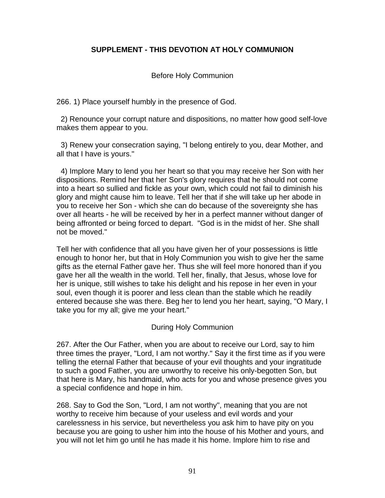## **SUPPLEMENT - THIS DEVOTION AT HOLY COMMUNION**

#### Before Holy Communion

266. 1) Place yourself humbly in the presence of God.

 2) Renounce your corrupt nature and dispositions, no matter how good self-love makes them appear to you.

 3) Renew your consecration saying, "I belong entirely to you, dear Mother, and all that I have is yours."

 4) Implore Mary to lend you her heart so that you may receive her Son with her dispositions. Remind her that her Son's glory requires that he should not come into a heart so sullied and fickle as your own, which could not fail to diminish his glory and might cause him to leave. Tell her that if she will take up her abode in you to receive her Son - which she can do because of the sovereignty she has over all hearts - he will be received by her in a perfect manner without danger of being affronted or being forced to depart. "God is in the midst of her. She shall not be moved."

Tell her with confidence that all you have given her of your possessions is little enough to honor her, but that in Holy Communion you wish to give her the same gifts as the eternal Father gave her. Thus she will feel more honored than if you gave her all the wealth in the world. Tell her, finally, that Jesus, whose love for her is unique, still wishes to take his delight and his repose in her even in your soul, even though it is poorer and less clean than the stable which he readily entered because she was there. Beg her to lend you her heart, saying, "O Mary, I take you for my all; give me your heart."

## During Holy Communion

267. After the Our Father, when you are about to receive our Lord, say to him three times the prayer, "Lord, I am not worthy." Say it the first time as if you were telling the eternal Father that because of your evil thoughts and your ingratitude to such a good Father, you are unworthy to receive his only-begotten Son, but that here is Mary, his handmaid, who acts for you and whose presence gives you a special confidence and hope in him.

268. Say to God the Son, "Lord, I am not worthy", meaning that you are not worthy to receive him because of your useless and evil words and your carelessness in his service, but nevertheless you ask him to have pity on you because you are going to usher him into the house of his Mother and yours, and you will not let him go until he has made it his home. Implore him to rise and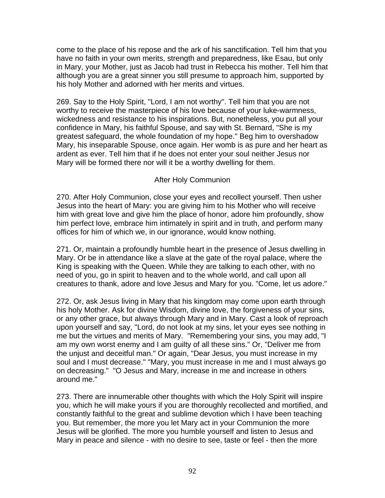come to the place of his repose and the ark of his sanctification. Tell him that you have no faith in your own merits, strength and preparedness, like Esau, but only in Mary, your Mother, just as Jacob had trust in Rebecca his mother. Tell him that although you are a great sinner you still presume to approach him, supported by his holy Mother and adorned with her merits and virtues.

269. Say to the Holy Spirit, "Lord, I am not worthy". Tell him that you are not worthy to receive the masterpiece of his love because of your luke-warmness, wickedness and resistance to his inspirations. But, nonetheless, you put all your confidence in Mary, his faithful Spouse, and say with St. Bernard, "She is my greatest safeguard, the whole foundation of my hope." Beg him to overshadow Mary, his inseparable Spouse, once again. Her womb is as pure and her heart as ardent as ever. Tell him that if he does not enter your soul neither Jesus nor Mary will be formed there nor will it be a worthy dwelling for them.

# After Holy Communion

270. After Holy Communion, close your eyes and recollect yourself. Then usher Jesus into the heart of Mary: you are giving him to his Mother who will receive him with great love and give him the place of honor, adore him profoundly, show him perfect love, embrace him intimately in spirit and in truth, and perform many offices for him of which we, in our ignorance, would know nothing.

271. Or, maintain a profoundly humble heart in the presence of Jesus dwelling in Mary. Or be in attendance like a slave at the gate of the royal palace, where the King is speaking with the Queen. While they are talking to each other, with no need of you, go in spirit to heaven and to the whole world, and call upon all creatures to thank, adore and love Jesus and Mary for you. "Come, let us adore."

272. Or, ask Jesus living in Mary that his kingdom may come upon earth through his holy Mother. Ask for divine Wisdom, divine love, the forgiveness of your sins, or any other grace, but always through Mary and in Mary. Cast a look of reproach upon yourself and say, "Lord, do not look at my sins, let your eyes see nothing in me but the virtues and merits of Mary. "Remembering your sins, you may add, "I am my own worst enemy and I am guilty of all these sins." Or, "Deliver me from the unjust and deceitful man." Or again, "Dear Jesus, you must increase in my soul and I must decrease." "Mary, you must increase in me and I must always go on decreasing." "O Jesus and Mary, increase in me and increase in others around me."

273. There are innumerable other thoughts with which the Holy Spirit will inspire you, which he will make yours if you are thoroughly recollected and mortified, and constantly faithful to the great and sublime devotion which I have been teaching you. But remember, the more you let Mary act in your Communion the more Jesus will be glorified. The more you humble yourself and listen to Jesus and Mary in peace and silence - with no desire to see, taste or feel - then the more